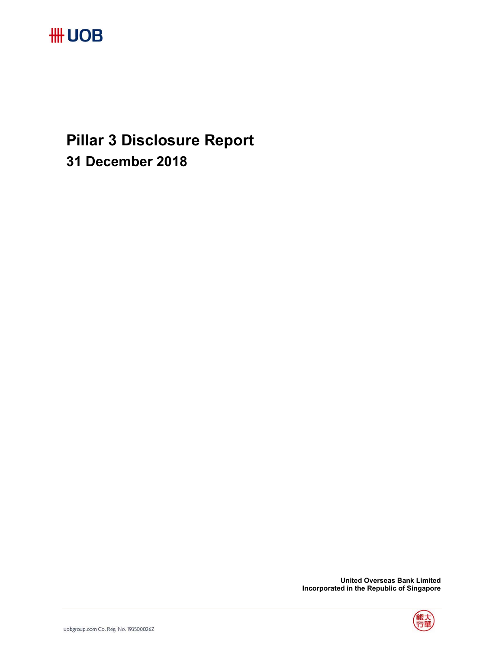**Pillar 3 Disclosure Report 31 December 2018** 

 **United Overseas Bank Limited Incorporated in the Republic of Singapore** 

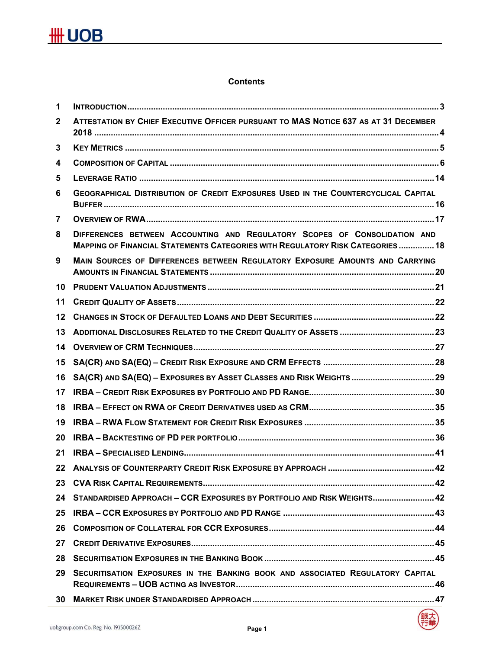# **Contents**

| 1                       |                                                                                                                                                                    |
|-------------------------|--------------------------------------------------------------------------------------------------------------------------------------------------------------------|
| $\overline{2}$          | ATTESTATION BY CHIEF EXECUTIVE OFFICER PURSUANT TO MAS NOTICE 637 AS AT 31 DECEMBER                                                                                |
| $\mathbf{3}$            |                                                                                                                                                                    |
| $\overline{\mathbf{4}}$ |                                                                                                                                                                    |
| 5                       |                                                                                                                                                                    |
| 6                       | <b>GEOGRAPHICAL DISTRIBUTION OF CREDIT EXPOSURES USED IN THE COUNTERCYCLICAL CAPITAL</b>                                                                           |
| $\overline{7}$          |                                                                                                                                                                    |
| 8                       | DIFFERENCES BETWEEN ACCOUNTING AND REGULATORY SCOPES OF CONSOLIDATION AND<br><b>MAPPING OF FINANCIAL STATEMENTS CATEGORIES WITH REGULATORY RISK CATEGORIES  18</b> |
| 9                       | MAIN SOURCES OF DIFFERENCES BETWEEN REGULATORY EXPOSURE AMOUNTS AND CARRYING                                                                                       |
| 10                      |                                                                                                                                                                    |
| 11                      |                                                                                                                                                                    |
| 12                      |                                                                                                                                                                    |
| 13                      |                                                                                                                                                                    |
| 14                      |                                                                                                                                                                    |
| 15                      |                                                                                                                                                                    |
| 16                      |                                                                                                                                                                    |
| 17                      |                                                                                                                                                                    |
| 18                      |                                                                                                                                                                    |
| 19                      |                                                                                                                                                                    |
| 20                      |                                                                                                                                                                    |
| 21                      |                                                                                                                                                                    |
|                         |                                                                                                                                                                    |
| 23                      |                                                                                                                                                                    |
| 24                      | STANDARDISED APPROACH - CCR EXPOSURES BY PORTFOLIO AND RISK WEIGHTS 42                                                                                             |
| 25                      |                                                                                                                                                                    |
| 26                      |                                                                                                                                                                    |
| 27                      |                                                                                                                                                                    |
| 28                      |                                                                                                                                                                    |
| 29                      | SECURITISATION EXPOSURES IN THE BANKING BOOK AND ASSOCIATED REGULATORY CAPITAL                                                                                     |
| 30                      |                                                                                                                                                                    |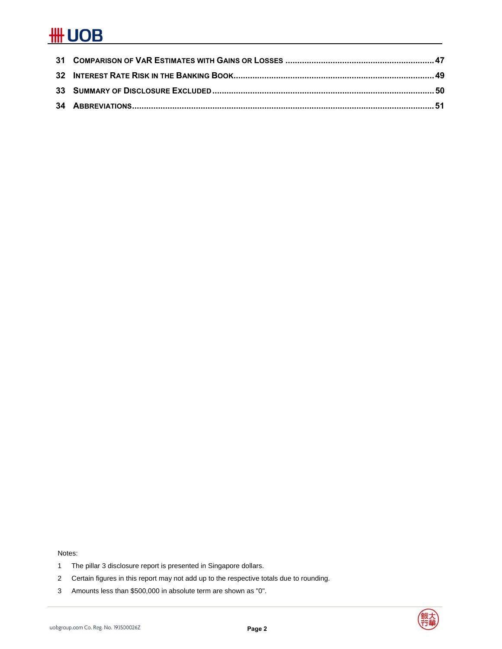Notes:

- 1 The pillar 3 disclosure report is presented in Singapore dollars.
- 2 Certain figures in this report may not add up to the respective totals due to rounding.
- 3 Amounts less than \$500,000 in absolute term are shown as "0".

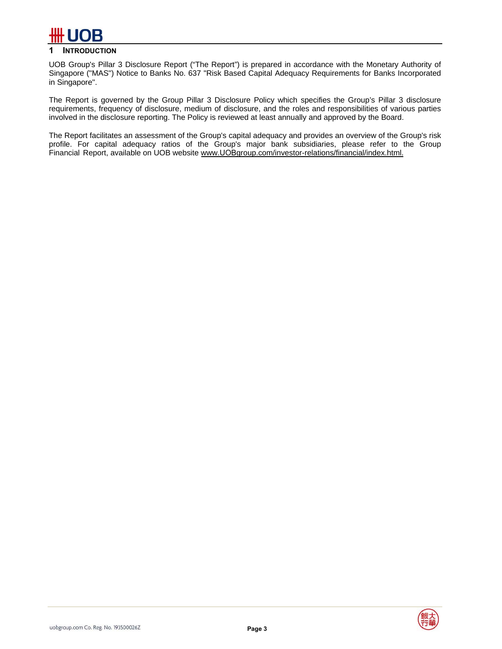

# **1 INTRODUCTION**

UOB Group's Pillar 3 Disclosure Report ("The Report") is prepared in accordance with the Monetary Authority of Singapore ("MAS") Notice to Banks No. 637 "Risk Based Capital Adequacy Requirements for Banks Incorporated in Singapore".

The Report is governed by the Group Pillar 3 Disclosure Policy which specifies the Group's Pillar 3 disclosure requirements, frequency of disclosure, medium of disclosure, and the roles and responsibilities of various parties involved in the disclosure reporting. The Policy is reviewed at least annually and approved by the Board.

The Report facilitates an assessment of the Group's capital adequacy and provides an overview of the Group's risk profile. For capital adequacy ratios of the Group's major bank subsidiaries, please refer to the Group Financial Report, available on UOB website www.UOBgroup.com/investor-relations/financial/index.html.

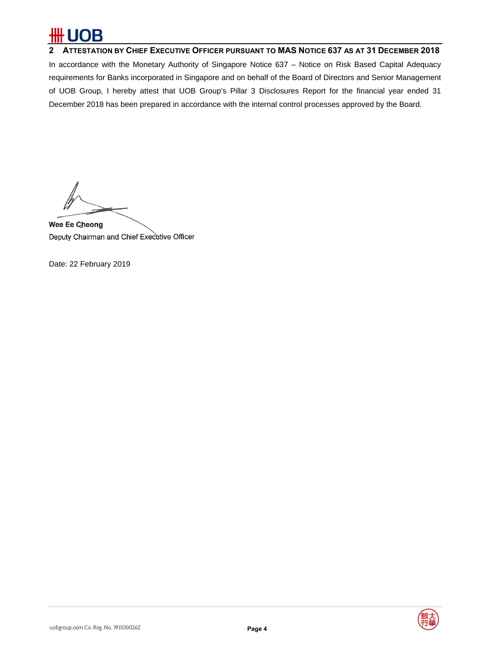# OB

**2 ATTESTATION BY CHIEF EXECUTIVE OFFICER PURSUANT TO MAS NOTICE 637 AS AT 31 DECEMBER 2018**  In accordance with the Monetary Authority of Singapore Notice 637 – Notice on Risk Based Capital Adequacy requirements for Banks incorporated in Singapore and on behalf of the Board of Directors and Senior Management of UOB Group, I hereby attest that UOB Group's Pillar 3 Disclosures Report for the financial year ended 31 December 2018 has been prepared in accordance with the internal control processes approved by the Board.

Wee Ee Cheong Deputy Chairman and Chief Executive Officer

Date: 22 February 2019

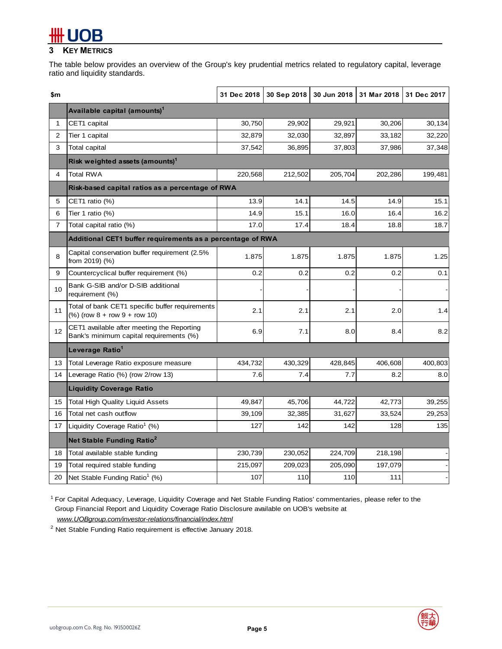# **3 KEY METRICS**

The table below provides an overview of the Group's key prudential metrics related to regulatory capital, leverage ratio and liquidity standards.

| \$m            |                                                                                       | 31 Dec 2018 | 30 Sep 2018 | 30 Jun 2018 | 31 Mar 2018 | 31 Dec 2017 |
|----------------|---------------------------------------------------------------------------------------|-------------|-------------|-------------|-------------|-------------|
|                | Available capital (amounts) <sup>1</sup>                                              |             |             |             |             |             |
| 1              | CET1 capital                                                                          | 30,750      | 29,902      | 29,921      | 30,206      | 30,134      |
| $\overline{2}$ | Tier 1 capital                                                                        | 32,879      | 32,030      | 32,897      | 33,182      | 32,220      |
| 3              | <b>Total capital</b>                                                                  | 37,542      | 36,895      | 37,803      | 37,986      | 37,348      |
|                | Risk weighted assets (amounts) <sup>1</sup>                                           |             |             |             |             |             |
| 4              | <b>Total RWA</b>                                                                      | 220,568     | 212,502     | 205,704     | 202,286     | 199,481     |
|                | Risk-based capital ratios as a percentage of RWA                                      |             |             |             |             |             |
| 5              | CET1 ratio (%)                                                                        | 13.9        | 14.1        | 14.5        | 14.9        | 15.1        |
| 6              | Tier 1 ratio $(%)$                                                                    | 14.9        | 15.1        | 16.0        | 16.4        | 16.2        |
| $\overline{7}$ | Total capital ratio (%)                                                               | 17.0        | 17.4        | 18.4        | 18.8        | 18.7        |
|                | Additional CET1 buffer requirements as a percentage of RWA                            |             |             |             |             |             |
| 8              | Capital conservation buffer requirement (2.5%<br>from 2019) (%)                       | 1.875       | 1.875       | 1.875       | 1.875       | 1.25        |
| 9              | Countercyclical buffer requirement (%)                                                | 0.2         | 0.2         | 0.2         | 0.2         | 0.1         |
| 10             | Bank G-SIB and/or D-SIB additional<br>requirement (%)                                 |             |             |             |             |             |
| 11             | Total of bank CET1 specific buffer requirements<br>$%$ (row 8 + row 9 + row 10)       | 2.1         | 2.1         | 2.1         | 2.0         | 1.4         |
| 12             | CET1 available after meeting the Reporting<br>Bank's minimum capital requirements (%) | 6.9         | 7.1         | 8.0         | 8.4         | 8.2         |
|                | Leverage Ratio <sup>1</sup>                                                           |             |             |             |             |             |
| 13             | Total Leverage Ratio exposure measure                                                 | 434,732     | 430,329     | 428,845     | 406,608     | 400,803     |
| 14             | Leverage Ratio (%) (row 2/row 13)                                                     | 7.6         | 7.4         | 7.7         | 8.2         | 8.0         |
|                | <b>Liquidity Coverage Ratio</b>                                                       |             |             |             |             |             |
| 15             | <b>Total High Quality Liquid Assets</b>                                               | 49,847      | 45,706      | 44,722      | 42,773      | 39,255      |
| 16             | Total net cash outflow                                                                | 39,109      | 32,385      | 31,627      | 33,524      | 29,253      |
| 17             | Liquidity Coverage Ratio <sup>1</sup> (%)                                             | 127         | 142         | 142         | 128         | 135         |
|                | Net Stable Funding Ratio <sup>2</sup>                                                 |             |             |             |             |             |
| 18             | Total available stable funding                                                        | 230,739     | 230,052     | 224,709     | 218,198     |             |
| 19             | Total required stable funding                                                         | 215,097     | 209,023     | 205,090     | 197,079     |             |
| 20             | Net Stable Funding Ratio <sup>1</sup> (%)                                             | 107         | 110         | 110         | 111         |             |

1 For Capital Adequacy, Leverage, Liquidity Coverage and Net Stable Funding Ratios' commentaries, please refer to the Group Financial Report and Liquidity Coverage Ratio Disclosure available on UOB's website at *www.UOBgroup.com/investor-relations/financial/index.html*

 $2$  Net Stable Funding Ratio requirement is effective January 2018.

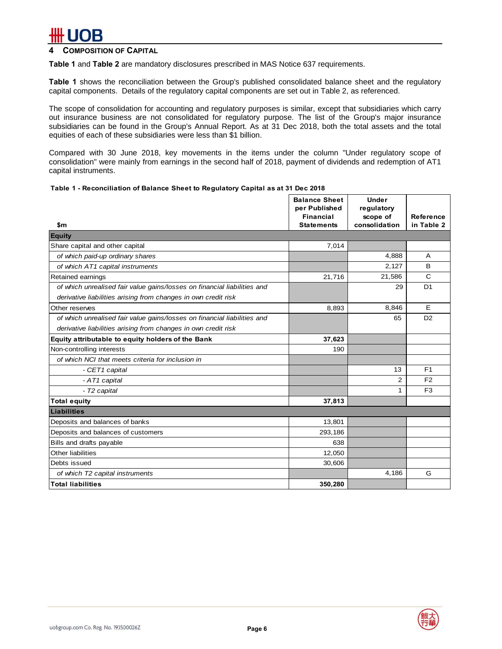## **COMPOSITION OF CAPITAL**

**Table 1** and **Table 2** are mandatory disclosures prescribed in MAS Notice 637 requirements.

**Table 1** shows the reconciliation between the Group's published consolidated balance sheet and the regulatory capital components. Details of the regulatory capital components are set out in Table 2, as referenced.

The scope of consolidation for accounting and regulatory purposes is similar, except that subsidiaries which carry out insurance business are not consolidated for regulatory purpose. The list of the Group's major insurance subsidiaries can be found in the Group's Annual Report. As at 31 Dec 2018, both the total assets and the total equities of each of these subsidiaries were less than \$1 billion.

Compared with 30 June 2018, key movements in the items under the column "Under regulatory scope of consolidation" were mainly from earnings in the second half of 2018, payment of dividends and redemption of AT1 capital instruments.

### **Table 1 - Reconciliation of Balance Sheet to Regulatory Capital as at 31 Dec 2018**

|                                                                          | <b>Balance Sheet</b><br>per Published | <b>Under</b><br>regulatory |                                |
|--------------------------------------------------------------------------|---------------------------------------|----------------------------|--------------------------------|
| \$m                                                                      | <b>Financial</b><br><b>Statements</b> | scope of<br>consolidation  | <b>Reference</b><br>in Table 2 |
| <b>Equity</b>                                                            |                                       |                            |                                |
| Share capital and other capital                                          | 7,014                                 |                            |                                |
| of which paid-up ordinary shares                                         |                                       | 4,888                      | A                              |
| of which AT1 capital instruments                                         |                                       | 2,127                      | B                              |
| Retained earnings                                                        | 21,716                                | 21,586                     | C                              |
| of which unrealised fair value gains/losses on financial liabilities and |                                       | 29                         | D <sub>1</sub>                 |
| derivative liabilities arising from changes in own credit risk           |                                       |                            |                                |
| Other reserves                                                           | 8,893                                 | 8,846                      | E                              |
| of which unrealised fair value gains/losses on financial liabilities and |                                       | 65                         | D <sub>2</sub>                 |
| derivative liabilities arising from changes in own credit risk           |                                       |                            |                                |
| Equity attributable to equity holders of the Bank                        | 37,623                                |                            |                                |
| Non-controlling interests                                                | 190                                   |                            |                                |
| of which NCI that meets criteria for inclusion in                        |                                       |                            |                                |
| - CET1 capital                                                           |                                       | 13                         | F <sub>1</sub>                 |
| - AT1 capital                                                            |                                       | $\overline{2}$             | F <sub>2</sub>                 |
| - T2 capital                                                             |                                       | 1                          | F <sub>3</sub>                 |
| <b>Total equity</b>                                                      | 37,813                                |                            |                                |
| <b>Liabilities</b>                                                       |                                       |                            |                                |
| Deposits and balances of banks                                           | 13,801                                |                            |                                |
| Deposits and balances of customers                                       | 293,186                               |                            |                                |
| Bills and drafts payable                                                 | 638                                   |                            |                                |
| <b>Other liabilities</b>                                                 | 12,050                                |                            |                                |
| Debts issued                                                             | 30,606                                |                            |                                |
| of which T2 capital instruments                                          |                                       | 4,186                      | G                              |
| <b>Total liabilities</b>                                                 | 350,280                               |                            |                                |

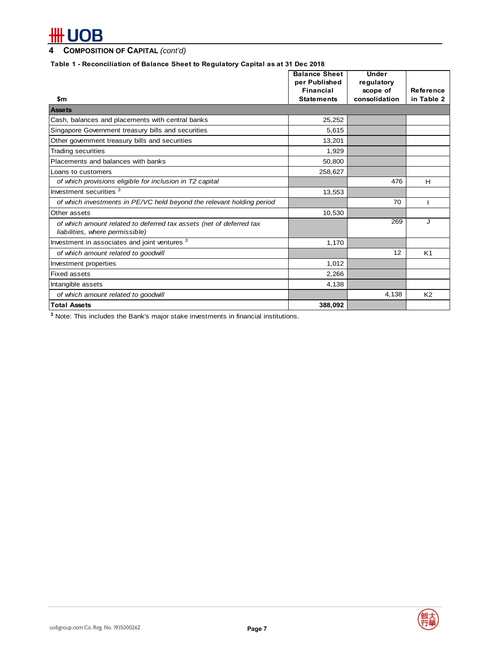# # UOB

# **4 COMPOSITION OF CAPITAL** *(cont'd)*

## **Table 1 - Reconciliation of Balance Sheet to Regulatory Capital as at 31 Dec 2018**

|                                                                                                        | <b>Balance Sheet</b><br>per Published | <b>Under</b><br>regulatory |                |
|--------------------------------------------------------------------------------------------------------|---------------------------------------|----------------------------|----------------|
|                                                                                                        | <b>Financial</b>                      | scope of                   | Reference      |
| \$m                                                                                                    | <b>Statements</b>                     | consolidation              | in Table 2     |
| <b>Assets</b>                                                                                          |                                       |                            |                |
| Cash, balances and placements with central banks                                                       | 25,252                                |                            |                |
| Singapore Government treasury bills and securities                                                     | 5,615                                 |                            |                |
| Other government treasury bills and securities                                                         | 13,201                                |                            |                |
| <b>Trading securities</b>                                                                              | 1,929                                 |                            |                |
| Placements and balances with banks                                                                     | 50,800                                |                            |                |
| Loans to customers                                                                                     | 258,627                               |                            |                |
| of which provisions eligible for inclusion in T2 capital                                               |                                       | 476                        | н              |
| Investment securities <sup>3</sup>                                                                     | 13,553                                |                            |                |
| of which investments in PE/VC held beyond the relevant holding period                                  |                                       | 70                         |                |
| Other assets                                                                                           | 10,530                                |                            |                |
| of which amount related to deferred tax assets (net of deferred tax<br>liabilities, where permissible) |                                       | 269                        | J              |
| Investment in associates and joint ventures <sup>3</sup>                                               | 1,170                                 |                            |                |
| of which amount related to goodwill                                                                    |                                       | 12                         | K <sub>1</sub> |
| Investment properties                                                                                  | 1,012                                 |                            |                |
| <b>Fixed assets</b>                                                                                    | 2,266                                 |                            |                |
| Intangible assets                                                                                      | 4,138                                 |                            |                |
| of which amount related to goodwill                                                                    |                                       | 4,138                      | K <sub>2</sub> |
| <b>Total Assets</b>                                                                                    | 388,092                               |                            |                |

**3** Note: This includes the Bank's major stake investments in financial institutions.

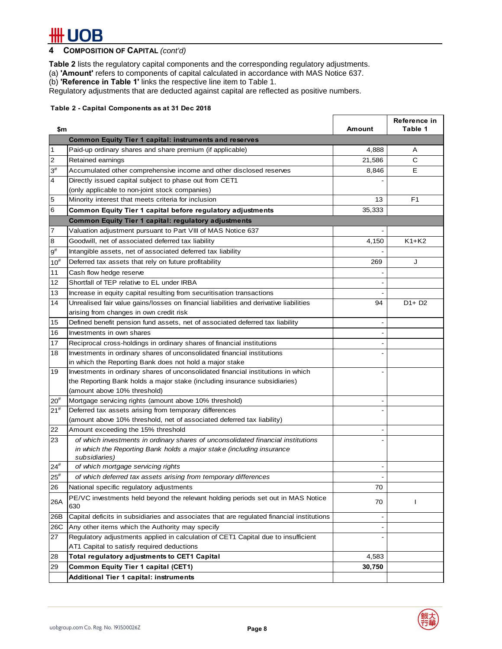## **4 COMPOSITION OF CAPITAL** *(cont'd)*

**Table 2** lists the regulatory capital components and the corresponding regulatory adjustments.

(a) **'Amount'** refers to components of capital calculated in accordance with MAS Notice 637.

(b) **'Reference in Table 1'** links the respective line item to Table 1.

Regulatory adjustments that are deducted against capital are reflected as positive numbers.

### **Table 2 - Capital Components as at 31 Dec 2018**

| \$m            |                                                                                           | Amount                   | Reference in<br>Table 1 |
|----------------|-------------------------------------------------------------------------------------------|--------------------------|-------------------------|
|                | <b>Common Equity Tier 1 capital: instruments and reserves</b>                             |                          |                         |
| 1              | Paid-up ordinary shares and share premium (if applicable)                                 | 4,888                    | Α                       |
| $\overline{c}$ | Retained earnings                                                                         | 21,586                   | C                       |
| $3^{\#}$       | Accumulated other comprehensive income and other disclosed reserves                       | 8,846                    | Е                       |
| $\overline{4}$ | Directly issued capital subject to phase out from CET1                                    |                          |                         |
|                | (only applicable to non-joint stock companies)                                            |                          |                         |
| 5              | Minority interest that meets criteria for inclusion                                       | 13                       | F <sub>1</sub>          |
| 6              | Common Equity Tier 1 capital before regulatory adjustments                                | 35,333                   |                         |
|                | <b>Common Equity Tier 1 capital: regulatory adjustments</b>                               |                          |                         |
| 7              | Valuation adjustment pursuant to Part VIII of MAS Notice 637                              |                          |                         |
| 8              | Goodwill, net of associated deferred tax liability                                        | 4,150                    | $K1+K2$                 |
| $9^{\#}$       | Intangible assets, net of associated deferred tax liability                               |                          |                         |
| $10^{#}$       | Deferred tax assets that rely on future profitability                                     | 269                      | J                       |
| 11             | Cash flow hedge reserve                                                                   |                          |                         |
| 12             | Shortfall of TEP relative to EL under IRBA                                                |                          |                         |
| 13             | Increase in equity capital resulting from securitisation transactions                     |                          |                         |
| 14             | Unrealised fair value gains/losses on financial liabilities and derivative liabilities    | 94                       | $D1+D2$                 |
|                | arising from changes in own credit risk                                                   |                          |                         |
| 15             | Defined benefit pension fund assets, net of associated deferred tax liability             |                          |                         |
| 16             | Investments in own shares                                                                 |                          |                         |
| 17             | Reciprocal cross-holdings in ordinary shares of financial institutions                    |                          |                         |
| 18             | Investments in ordinary shares of unconsolidated financial institutions                   |                          |                         |
|                | in which the Reporting Bank does not hold a major stake                                   |                          |                         |
| 19             | Investments in ordinary shares of unconsolidated financial institutions in which          |                          |                         |
|                | the Reporting Bank holds a major stake (including insurance subsidiaries)                 |                          |                         |
|                | (amount above 10% threshold)                                                              |                          |                         |
| $20^{#}$       | Mortgage servicing rights (amount above 10% threshold)                                    |                          |                         |
| $21^{#}$       | Deferred tax assets arising from temporary differences                                    |                          |                         |
|                | (amount above 10% threshold, net of associated deferred tax liability)                    |                          |                         |
| 22             | Amount exceeding the 15% threshold                                                        |                          |                         |
| 23             | of which investments in ordinary shares of unconsolidated financial institutions          |                          |                         |
|                | in which the Reporting Bank holds a major stake (including insurance<br>subsidiaries)     |                          |                         |
| $24^{#}$       | of which mortgage servicing rights                                                        |                          |                         |
| $25^{\rm \#}$  | of which deferred tax assets arising from temporary differences                           |                          |                         |
| 26             | National specific regulatory adjustments                                                  | 70                       |                         |
|                | PE/VC investments held beyond the relevant holding periods set out in MAS Notice          |                          |                         |
| 26A            | 630                                                                                       | 70                       | L                       |
| 26B            | Capital deficits in subsidiaries and associates that are regulated financial institutions | $\overline{\phantom{a}}$ |                         |
| 26C            | Any other items which the Authority may specify                                           |                          |                         |
| 27             | Regulatory adjustments applied in calculation of CET1 Capital due to insufficient         | $\overline{\phantom{a}}$ |                         |
|                | AT1 Capital to satisfy required deductions                                                |                          |                         |
| 28             | Total regulatory adjustments to CET1 Capital                                              | 4,583                    |                         |
| 29             | <b>Common Equity Tier 1 capital (CET1)</b>                                                | 30,750                   |                         |
|                | <b>Additional Tier 1 capital: instruments</b>                                             |                          |                         |

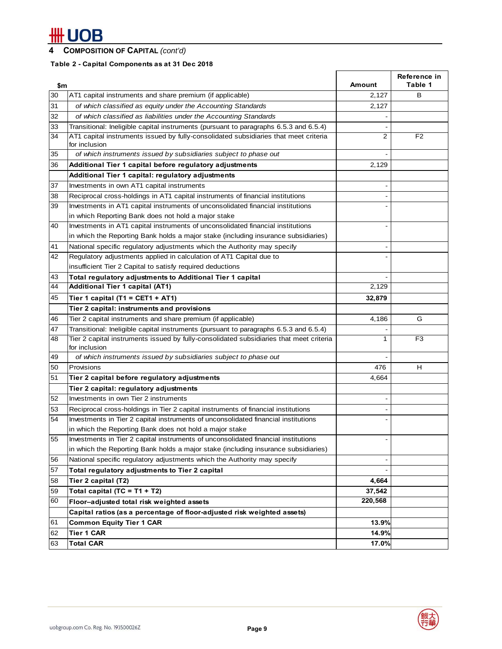# **4 COMPOSITION OF CAPITAL** *(cont'd)*

# **Table 2 - Capital Components as at 31 Dec 2018**

| \$m |                                                                                                            | Amount  | Reference in<br>Table 1 |
|-----|------------------------------------------------------------------------------------------------------------|---------|-------------------------|
| 30  | AT1 capital instruments and share premium (if applicable)                                                  | 2,127   | в                       |
| 31  | of which classified as equity under the Accounting Standards                                               | 2,127   |                         |
| 32  | of which classified as liabilities under the Accounting Standards                                          |         |                         |
| 33  | Transitional: Ineligible capital instruments (pursuant to paragraphs 6.5.3 and 6.5.4)                      |         |                         |
| 34  | AT1 capital instruments issued by fully-consolidated subsidiaries that meet criteria                       | 2       | F <sub>2</sub>          |
|     | for inclusion                                                                                              |         |                         |
| 35  | of which instruments issued by subsidiaries subject to phase out                                           |         |                         |
| 36  | Additional Tier 1 capital before regulatory adjustments                                                    | 2,129   |                         |
|     | Additional Tier 1 capital: regulatory adjustments                                                          |         |                         |
| 37  | Investments in own AT1 capital instruments                                                                 |         |                         |
| 38  | Reciprocal cross-holdings in AT1 capital instruments of financial institutions                             |         |                         |
| 39  | Investments in AT1 capital instruments of unconsolidated financial institutions                            |         |                         |
|     | in which Reporting Bank does not hold a major stake                                                        |         |                         |
| 40  | Investments in AT1 capital instruments of unconsolidated financial institutions                            |         |                         |
|     | in which the Reporting Bank holds a major stake (including insurance subsidiaries)                         |         |                         |
| 41  | National specific regulatory adjustments which the Authority may specify                                   |         |                         |
| 42  | Regulatory adjustments applied in calculation of AT1 Capital due to                                        |         |                         |
|     | insufficient Tier 2 Capital to satisfy required deductions                                                 |         |                         |
| 43  | Total regulatory adjustments to Additional Tier 1 capital                                                  |         |                         |
| 44  | Additional Tier 1 capital (AT1)                                                                            | 2,129   |                         |
| 45  | Tier 1 capital (T1 = CET1 + AT1)                                                                           | 32,879  |                         |
|     | Tier 2 capital: instruments and provisions                                                                 |         |                         |
| 46  | Tier 2 capital instruments and share premium (if applicable)                                               | 4,186   | G                       |
| 47  | Transitional: Ineligible capital instruments (pursuant to paragraphs 6.5.3 and 6.5.4)                      |         |                         |
| 48  | Tier 2 capital instruments issued by fully-consolidated subsidiaries that meet criteria<br>for inclusion   | 1       | F3                      |
| 49  | of which instruments issued by subsidiaries subject to phase out                                           |         |                         |
| 50  | Provisions                                                                                                 | 476     | н                       |
| 51  | Tier 2 capital before regulatory adjustments                                                               | 4,664   |                         |
|     | Tier 2 capital: regulatory adjustments                                                                     |         |                         |
| 52  | Investments in own Tier 2 instruments                                                                      |         |                         |
| 53  | Reciprocal cross-holdings in Tier 2 capital instruments of financial institutions                          |         |                         |
| 54  | Investments in Tier 2 capital instruments of unconsolidated financial institutions                         |         |                         |
|     | in which the Reporting Bank does not hold a major stake                                                    |         |                         |
| 55  | Investments in Tier 2 capital instruments of unconsolidated financial institutions                         |         |                         |
|     | in which the Reporting Bank holds a major stake (including insurance subsidiaries)                         |         |                         |
| 56  | National specific regulatory adjustments which the Authority may specify                                   |         |                         |
| 57  | Total regulatory adjustments to Tier 2 capital                                                             |         |                         |
| 58  | Tier 2 capital (T2)                                                                                        | 4,664   |                         |
| 59  | Total capital $(TC = T1 + T2)$                                                                             | 37,542  |                         |
| 60  |                                                                                                            | 220,568 |                         |
|     | Floor-adjusted total risk weighted assets                                                                  |         |                         |
|     | Capital ratios (as a percentage of floor-adjusted risk weighted assets)<br><b>Common Equity Tier 1 CAR</b> | 13.9%   |                         |
| 61  |                                                                                                            |         |                         |
| 62  | <b>Tier 1 CAR</b>                                                                                          | 14.9%   |                         |
| 63  | <b>Total CAR</b>                                                                                           | 17.0%   |                         |

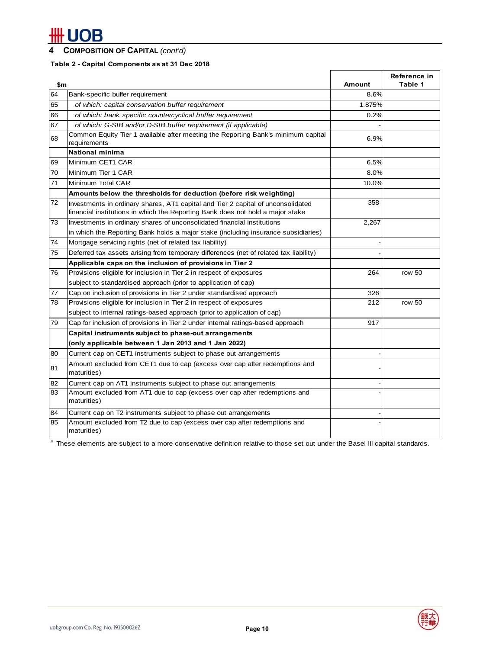# # UOB

## **4 COMPOSITION OF CAPITAL** *(cont'd)*

## **Table 2 - Capital Components as at 31 Dec 2018**

| \$m |                                                                                                                                                                    | <b>Amount</b> | Reference in<br>Table 1 |
|-----|--------------------------------------------------------------------------------------------------------------------------------------------------------------------|---------------|-------------------------|
| 64  | Bank-specific buffer requirement                                                                                                                                   | 8.6%          |                         |
| 65  | of which: capital conservation buffer requirement                                                                                                                  | 1.875%        |                         |
| 66  | of which: bank specific countercyclical buffer requirement                                                                                                         | 0.2%          |                         |
| 67  | of which: G-SIB and/or D-SIB buffer requirement (if applicable)                                                                                                    |               |                         |
| 68  | Common Equity Tier 1 available after meeting the Reporting Bank's minimum capital<br>requirements                                                                  | 6.9%          |                         |
|     | <b>National minima</b>                                                                                                                                             |               |                         |
| 69  | Minimum CET1 CAR                                                                                                                                                   | 6.5%          |                         |
| 70  | Minimum Tier 1 CAR                                                                                                                                                 | 8.0%          |                         |
| 71  | Minimum Total CAR                                                                                                                                                  | 10.0%         |                         |
|     | Amounts below the thresholds for deduction (before risk weighting)                                                                                                 |               |                         |
| 72  | Investments in ordinary shares, AT1 capital and Tier 2 capital of unconsolidated<br>financial institutions in which the Reporting Bank does not hold a major stake | 358           |                         |
| 73  | Investments in ordinary shares of unconsolidated financial institutions                                                                                            | 2,267         |                         |
|     | in which the Reporting Bank holds a major stake (including insurance subsidiaries)                                                                                 |               |                         |
| 74  | Mortgage servicing rights (net of related tax liability)                                                                                                           |               |                         |
| 75  | Deferred tax assets arising from temporary differences (net of related tax liability)                                                                              |               |                         |
|     | Applicable caps on the inclusion of provisions in Tier 2                                                                                                           |               |                         |
| 76  | Provisions eligible for inclusion in Tier 2 in respect of exposures                                                                                                | 264           | row 50                  |
|     | subject to standardised approach (prior to application of cap)                                                                                                     |               |                         |
| 77  | Cap on inclusion of provisions in Tier 2 under standardised approach                                                                                               | 326           |                         |
| 78  | Provisions eligible for inclusion in Tier 2 in respect of exposures                                                                                                | 212           | row 50                  |
|     | subject to internal ratings-based approach (prior to application of cap)                                                                                           |               |                         |
| 79  | Cap for inclusion of provisions in Tier 2 under internal ratings-based approach                                                                                    | 917           |                         |
|     | Capital instruments subject to phase-out arrangements                                                                                                              |               |                         |
|     | (only applicable between 1 Jan 2013 and 1 Jan 2022)                                                                                                                |               |                         |
| 80  | Current cap on CET1 instruments subject to phase out arrangements                                                                                                  |               |                         |
| 81  | Amount excluded from CET1 due to cap (excess over cap after redemptions and<br>maturities)                                                                         |               |                         |
| 82  | Current cap on AT1 instruments subject to phase out arrangements                                                                                                   |               |                         |
| 83  | Amount excluded from AT1 due to cap (excess over cap after redemptions and<br>maturities)                                                                          |               |                         |
| 84  | Current cap on T2 instruments subject to phase out arrangements                                                                                                    |               |                         |
| 85  | Amount excluded from T2 due to cap (excess over cap after redemptions and<br>maturities)                                                                           |               |                         |

# These elements are subject to a more conservative definition relative to those set out under the Basel III capital standards.

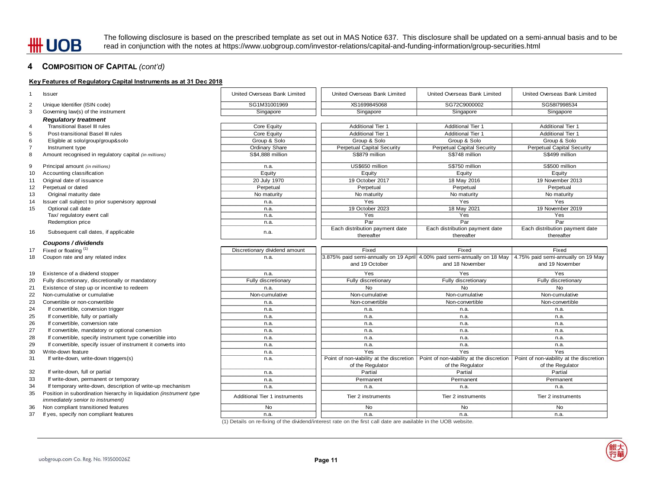The following disclosure is based on the prescribed template as set out in MAS Notice 637. This disclosure shall be updated on a semi-annual basis and to be read in conjunction with the notes at https://www.uobgroup.com/investor-relations/capital-and-funding-information/group-securities.html

### **4 COMPOSITION OF CAPITAL** *(cont'd)*

### **Key Features of Regulatory Capital Instruments as at 31 Dec 2018**

| United Overseas Bank Limited<br>United Overseas Bank Limited<br>United Overseas Bank Limited<br>United Overseas Bank Limited<br><b>Issuer</b><br>SG1M31001969<br>XS1699845068<br>SG72C9000002<br>SG58l7998534<br>Unique Identifier (ISIN code)<br>Singapore<br>Governing law(s) of the instrument<br>Singapore<br>Singapore<br>Singapore<br><b>Regulatory treatment</b><br><b>Transitional Basel III rules</b><br><b>Additional Tier 1</b><br><b>Additional Tier 1</b><br><b>Additional Tier 1</b><br>Core Equity<br><b>Additional Tier 1</b><br><b>Additional Tier 1</b><br><b>Additional Tier 1</b><br>Post-transitional Basel III rules<br>Core Equity<br>Group & Solo<br>Group & Solo<br>Group & Solo<br>Group & Solo<br>Eligible at solo/group/group&solo<br>Ordinary Share<br><b>Perpetual Capital Security</b><br><b>Perpetual Capital Security</b><br><b>Perpetual Capital Security</b><br>Instrument type<br>S\$4,888 million<br>S\$879 million<br>S\$748 million<br>S\$499 million<br>Amount recognised in regulatory capital (in millions)<br>US\$650 million<br>S\$750 million<br>S\$500 million<br>Principal amount (in millions)<br>n.a.<br>Equity<br>Accounting classification<br>Equity<br>Equity<br>Equity<br>20 July 1970<br>18 May 2016<br>Original date of issuance<br>19 October 2017<br>19 November 2013<br>Perpetual or dated<br>Perpetual<br>Perpetual<br>Perpetual<br>Perpetual<br>Original maturity date<br>No maturity<br>No maturity<br>No maturity<br>No maturity<br>Yes<br>Yes<br>Yes<br>Issuer call subject to prior supervisory approval<br>n.a.<br>19 October 2023<br>18 May 2021<br>19 November 2019<br>Optional call date<br>n.a.<br>Yes<br>Yes<br>Tax/ regulatory event call<br>Yes<br>n.a.<br>Par<br>Par<br>Par<br>Redemption price<br>n.a.<br>Each distribution payment date<br>Each distribution payment date<br>Each distribution payment date<br>16<br>Subsequent call dates, if applicable<br>n.a.<br>thereafter<br>thereafter<br>thereafter<br>Coupons / dividends<br>Fixed or floating (1)<br>Discretionary dividend amount<br>Fixed<br>Fixed<br>Fixed<br>3.875% paid semi-annually on 19 April 4.00% paid semi-annually on 18 May   4.75% paid semi-annually on 19 May<br>Coupon rate and any related index<br>18<br>n.a.<br>and 19 October<br>and 18 November<br>and 19 November<br>Existence of a dividend stopper<br>Yes<br>Yes<br>Yes<br>n.a.<br>Fully discretionary, discretionally or mandatory<br>Fully discretionary<br>Fully discretionary<br>Fully discretionary<br>Fully discretionary<br><b>No</b><br><b>No</b><br><b>No</b><br>Existence of step up or incentive to redeem<br>n.a.<br>Non-cumulative or cumulative<br>Non-cumulative<br>Non-cumulative<br>Non-cumulative<br>Non-cumulative<br>Convertible or non-convertible<br>Non-convertible<br>Non-convertible<br>Non-convertible<br>n.a.<br>If convertible, conversion trigger<br>n.a.<br>n.a.<br>n.a.<br>n.a.<br>If convertible, fully or partially<br>n.a.<br>n.a.<br>n.a.<br>n.a.<br>If convertible, conversion rate<br>n.a.<br>n.a.<br>n.a.<br>n.a.<br>If convertible, mandatory or optional conversion<br>n.a.<br>n.a.<br>n.a.<br>n.a.<br>If convertible, specify instrument type convertible into<br>n.a.<br>n.a.<br>n.a.<br>n.a.<br>If convertible, specify issuer of instrument it converts into<br>n.a.<br>n.a.<br>n.a.<br>n.a.<br>Yes<br>Yes<br>Yes<br>Write-down feature<br>n.a.<br>Point of non-viability at the discretion<br>Point of non-viability at the discretion<br>Point of non-viability at the discretion<br>If write-down, write-down triggers(s)<br>n.a.<br>of the Regulator<br>of the Regulator<br>of the Regulator<br>If write-down, full or partial<br>Partial<br>Partial<br>Partial<br>n.a.<br>If write-down, permanent or temporary<br>Permanent<br>Permanent<br>Permanent<br>n.a.<br>If temporary write-down, description of write-up mechanism<br>n.a.<br>n.a.<br>n.a.<br>n.a.<br>Position in subordination hierarchy in liquidation (instrument type<br>Additional Tier 1 instruments<br>Tier 2 instruments<br>Tier 2 instruments<br>Tier 2 instruments<br><i>immediately senior to instrument)</i><br><b>No</b><br>Non compliant transitioned features<br><b>No</b><br><b>No</b><br><b>No</b><br>If yes, specify non compliant features<br>n.a.<br>n.a.<br>n.a.<br>n.a.<br>(1) Details on re-fixing of the dividend/interest rate on the first call date are available in the UOB website. |                |  |  |  |
|--------------------------------------------------------------------------------------------------------------------------------------------------------------------------------------------------------------------------------------------------------------------------------------------------------------------------------------------------------------------------------------------------------------------------------------------------------------------------------------------------------------------------------------------------------------------------------------------------------------------------------------------------------------------------------------------------------------------------------------------------------------------------------------------------------------------------------------------------------------------------------------------------------------------------------------------------------------------------------------------------------------------------------------------------------------------------------------------------------------------------------------------------------------------------------------------------------------------------------------------------------------------------------------------------------------------------------------------------------------------------------------------------------------------------------------------------------------------------------------------------------------------------------------------------------------------------------------------------------------------------------------------------------------------------------------------------------------------------------------------------------------------------------------------------------------------------------------------------------------------------------------------------------------------------------------------------------------------------------------------------------------------------------------------------------------------------------------------------------------------------------------------------------------------------------------------------------------------------------------------------------------------------------------------------------------------------------------------------------------------------------------------------------------------------------------------------------------------------------------------------------------------------------------------------------------------------------------------------------------------------------------------------------------------------------------------------------------------------------------------------------------------------------------------------------------------------------------------------------------------------------------------------------------------------------------------------------------------------------------------------------------------------------------------------------------------------------------------------------------------------------------------------------------------------------------------------------------------------------------------------------------------------------------------------------------------------------------------------------------------------------------------------------------------------------------------------------------------------------------------------------------------------------------------------------------------------------------------------------------------------------------------------------------------------------------------------------------------------------------------------------------------------------------------------------------------------------------------------------------------------------------------------------------------------------------------------------------------------------------------------------------------------------------------------------------------------------------------------------------------------------------------------------------------------------------------------------------------------------------------------------------------------------------------------------------------------------------------------------------------------------------------------------------------------------------------|----------------|--|--|--|
|                                                                                                                                                                                                                                                                                                                                                                                                                                                                                                                                                                                                                                                                                                                                                                                                                                                                                                                                                                                                                                                                                                                                                                                                                                                                                                                                                                                                                                                                                                                                                                                                                                                                                                                                                                                                                                                                                                                                                                                                                                                                                                                                                                                                                                                                                                                                                                                                                                                                                                                                                                                                                                                                                                                                                                                                                                                                                                                                                                                                                                                                                                                                                                                                                                                                                                                                                                                                                                                                                                                                                                                                                                                                                                                                                                                                                                                                                                                                                                                                                                                                                                                                                                                                                                                                                                                                                                                                                                            | 1              |  |  |  |
|                                                                                                                                                                                                                                                                                                                                                                                                                                                                                                                                                                                                                                                                                                                                                                                                                                                                                                                                                                                                                                                                                                                                                                                                                                                                                                                                                                                                                                                                                                                                                                                                                                                                                                                                                                                                                                                                                                                                                                                                                                                                                                                                                                                                                                                                                                                                                                                                                                                                                                                                                                                                                                                                                                                                                                                                                                                                                                                                                                                                                                                                                                                                                                                                                                                                                                                                                                                                                                                                                                                                                                                                                                                                                                                                                                                                                                                                                                                                                                                                                                                                                                                                                                                                                                                                                                                                                                                                                                            | 2              |  |  |  |
|                                                                                                                                                                                                                                                                                                                                                                                                                                                                                                                                                                                                                                                                                                                                                                                                                                                                                                                                                                                                                                                                                                                                                                                                                                                                                                                                                                                                                                                                                                                                                                                                                                                                                                                                                                                                                                                                                                                                                                                                                                                                                                                                                                                                                                                                                                                                                                                                                                                                                                                                                                                                                                                                                                                                                                                                                                                                                                                                                                                                                                                                                                                                                                                                                                                                                                                                                                                                                                                                                                                                                                                                                                                                                                                                                                                                                                                                                                                                                                                                                                                                                                                                                                                                                                                                                                                                                                                                                                            | 3              |  |  |  |
|                                                                                                                                                                                                                                                                                                                                                                                                                                                                                                                                                                                                                                                                                                                                                                                                                                                                                                                                                                                                                                                                                                                                                                                                                                                                                                                                                                                                                                                                                                                                                                                                                                                                                                                                                                                                                                                                                                                                                                                                                                                                                                                                                                                                                                                                                                                                                                                                                                                                                                                                                                                                                                                                                                                                                                                                                                                                                                                                                                                                                                                                                                                                                                                                                                                                                                                                                                                                                                                                                                                                                                                                                                                                                                                                                                                                                                                                                                                                                                                                                                                                                                                                                                                                                                                                                                                                                                                                                                            |                |  |  |  |
|                                                                                                                                                                                                                                                                                                                                                                                                                                                                                                                                                                                                                                                                                                                                                                                                                                                                                                                                                                                                                                                                                                                                                                                                                                                                                                                                                                                                                                                                                                                                                                                                                                                                                                                                                                                                                                                                                                                                                                                                                                                                                                                                                                                                                                                                                                                                                                                                                                                                                                                                                                                                                                                                                                                                                                                                                                                                                                                                                                                                                                                                                                                                                                                                                                                                                                                                                                                                                                                                                                                                                                                                                                                                                                                                                                                                                                                                                                                                                                                                                                                                                                                                                                                                                                                                                                                                                                                                                                            | 4              |  |  |  |
|                                                                                                                                                                                                                                                                                                                                                                                                                                                                                                                                                                                                                                                                                                                                                                                                                                                                                                                                                                                                                                                                                                                                                                                                                                                                                                                                                                                                                                                                                                                                                                                                                                                                                                                                                                                                                                                                                                                                                                                                                                                                                                                                                                                                                                                                                                                                                                                                                                                                                                                                                                                                                                                                                                                                                                                                                                                                                                                                                                                                                                                                                                                                                                                                                                                                                                                                                                                                                                                                                                                                                                                                                                                                                                                                                                                                                                                                                                                                                                                                                                                                                                                                                                                                                                                                                                                                                                                                                                            | 5              |  |  |  |
|                                                                                                                                                                                                                                                                                                                                                                                                                                                                                                                                                                                                                                                                                                                                                                                                                                                                                                                                                                                                                                                                                                                                                                                                                                                                                                                                                                                                                                                                                                                                                                                                                                                                                                                                                                                                                                                                                                                                                                                                                                                                                                                                                                                                                                                                                                                                                                                                                                                                                                                                                                                                                                                                                                                                                                                                                                                                                                                                                                                                                                                                                                                                                                                                                                                                                                                                                                                                                                                                                                                                                                                                                                                                                                                                                                                                                                                                                                                                                                                                                                                                                                                                                                                                                                                                                                                                                                                                                                            | 6              |  |  |  |
|                                                                                                                                                                                                                                                                                                                                                                                                                                                                                                                                                                                                                                                                                                                                                                                                                                                                                                                                                                                                                                                                                                                                                                                                                                                                                                                                                                                                                                                                                                                                                                                                                                                                                                                                                                                                                                                                                                                                                                                                                                                                                                                                                                                                                                                                                                                                                                                                                                                                                                                                                                                                                                                                                                                                                                                                                                                                                                                                                                                                                                                                                                                                                                                                                                                                                                                                                                                                                                                                                                                                                                                                                                                                                                                                                                                                                                                                                                                                                                                                                                                                                                                                                                                                                                                                                                                                                                                                                                            | $\overline{7}$ |  |  |  |
|                                                                                                                                                                                                                                                                                                                                                                                                                                                                                                                                                                                                                                                                                                                                                                                                                                                                                                                                                                                                                                                                                                                                                                                                                                                                                                                                                                                                                                                                                                                                                                                                                                                                                                                                                                                                                                                                                                                                                                                                                                                                                                                                                                                                                                                                                                                                                                                                                                                                                                                                                                                                                                                                                                                                                                                                                                                                                                                                                                                                                                                                                                                                                                                                                                                                                                                                                                                                                                                                                                                                                                                                                                                                                                                                                                                                                                                                                                                                                                                                                                                                                                                                                                                                                                                                                                                                                                                                                                            | 8              |  |  |  |
|                                                                                                                                                                                                                                                                                                                                                                                                                                                                                                                                                                                                                                                                                                                                                                                                                                                                                                                                                                                                                                                                                                                                                                                                                                                                                                                                                                                                                                                                                                                                                                                                                                                                                                                                                                                                                                                                                                                                                                                                                                                                                                                                                                                                                                                                                                                                                                                                                                                                                                                                                                                                                                                                                                                                                                                                                                                                                                                                                                                                                                                                                                                                                                                                                                                                                                                                                                                                                                                                                                                                                                                                                                                                                                                                                                                                                                                                                                                                                                                                                                                                                                                                                                                                                                                                                                                                                                                                                                            | 9              |  |  |  |
|                                                                                                                                                                                                                                                                                                                                                                                                                                                                                                                                                                                                                                                                                                                                                                                                                                                                                                                                                                                                                                                                                                                                                                                                                                                                                                                                                                                                                                                                                                                                                                                                                                                                                                                                                                                                                                                                                                                                                                                                                                                                                                                                                                                                                                                                                                                                                                                                                                                                                                                                                                                                                                                                                                                                                                                                                                                                                                                                                                                                                                                                                                                                                                                                                                                                                                                                                                                                                                                                                                                                                                                                                                                                                                                                                                                                                                                                                                                                                                                                                                                                                                                                                                                                                                                                                                                                                                                                                                            | 10             |  |  |  |
|                                                                                                                                                                                                                                                                                                                                                                                                                                                                                                                                                                                                                                                                                                                                                                                                                                                                                                                                                                                                                                                                                                                                                                                                                                                                                                                                                                                                                                                                                                                                                                                                                                                                                                                                                                                                                                                                                                                                                                                                                                                                                                                                                                                                                                                                                                                                                                                                                                                                                                                                                                                                                                                                                                                                                                                                                                                                                                                                                                                                                                                                                                                                                                                                                                                                                                                                                                                                                                                                                                                                                                                                                                                                                                                                                                                                                                                                                                                                                                                                                                                                                                                                                                                                                                                                                                                                                                                                                                            | 11             |  |  |  |
|                                                                                                                                                                                                                                                                                                                                                                                                                                                                                                                                                                                                                                                                                                                                                                                                                                                                                                                                                                                                                                                                                                                                                                                                                                                                                                                                                                                                                                                                                                                                                                                                                                                                                                                                                                                                                                                                                                                                                                                                                                                                                                                                                                                                                                                                                                                                                                                                                                                                                                                                                                                                                                                                                                                                                                                                                                                                                                                                                                                                                                                                                                                                                                                                                                                                                                                                                                                                                                                                                                                                                                                                                                                                                                                                                                                                                                                                                                                                                                                                                                                                                                                                                                                                                                                                                                                                                                                                                                            | 12             |  |  |  |
|                                                                                                                                                                                                                                                                                                                                                                                                                                                                                                                                                                                                                                                                                                                                                                                                                                                                                                                                                                                                                                                                                                                                                                                                                                                                                                                                                                                                                                                                                                                                                                                                                                                                                                                                                                                                                                                                                                                                                                                                                                                                                                                                                                                                                                                                                                                                                                                                                                                                                                                                                                                                                                                                                                                                                                                                                                                                                                                                                                                                                                                                                                                                                                                                                                                                                                                                                                                                                                                                                                                                                                                                                                                                                                                                                                                                                                                                                                                                                                                                                                                                                                                                                                                                                                                                                                                                                                                                                                            | 13             |  |  |  |
|                                                                                                                                                                                                                                                                                                                                                                                                                                                                                                                                                                                                                                                                                                                                                                                                                                                                                                                                                                                                                                                                                                                                                                                                                                                                                                                                                                                                                                                                                                                                                                                                                                                                                                                                                                                                                                                                                                                                                                                                                                                                                                                                                                                                                                                                                                                                                                                                                                                                                                                                                                                                                                                                                                                                                                                                                                                                                                                                                                                                                                                                                                                                                                                                                                                                                                                                                                                                                                                                                                                                                                                                                                                                                                                                                                                                                                                                                                                                                                                                                                                                                                                                                                                                                                                                                                                                                                                                                                            | 14             |  |  |  |
|                                                                                                                                                                                                                                                                                                                                                                                                                                                                                                                                                                                                                                                                                                                                                                                                                                                                                                                                                                                                                                                                                                                                                                                                                                                                                                                                                                                                                                                                                                                                                                                                                                                                                                                                                                                                                                                                                                                                                                                                                                                                                                                                                                                                                                                                                                                                                                                                                                                                                                                                                                                                                                                                                                                                                                                                                                                                                                                                                                                                                                                                                                                                                                                                                                                                                                                                                                                                                                                                                                                                                                                                                                                                                                                                                                                                                                                                                                                                                                                                                                                                                                                                                                                                                                                                                                                                                                                                                                            | 15             |  |  |  |
|                                                                                                                                                                                                                                                                                                                                                                                                                                                                                                                                                                                                                                                                                                                                                                                                                                                                                                                                                                                                                                                                                                                                                                                                                                                                                                                                                                                                                                                                                                                                                                                                                                                                                                                                                                                                                                                                                                                                                                                                                                                                                                                                                                                                                                                                                                                                                                                                                                                                                                                                                                                                                                                                                                                                                                                                                                                                                                                                                                                                                                                                                                                                                                                                                                                                                                                                                                                                                                                                                                                                                                                                                                                                                                                                                                                                                                                                                                                                                                                                                                                                                                                                                                                                                                                                                                                                                                                                                                            |                |  |  |  |
|                                                                                                                                                                                                                                                                                                                                                                                                                                                                                                                                                                                                                                                                                                                                                                                                                                                                                                                                                                                                                                                                                                                                                                                                                                                                                                                                                                                                                                                                                                                                                                                                                                                                                                                                                                                                                                                                                                                                                                                                                                                                                                                                                                                                                                                                                                                                                                                                                                                                                                                                                                                                                                                                                                                                                                                                                                                                                                                                                                                                                                                                                                                                                                                                                                                                                                                                                                                                                                                                                                                                                                                                                                                                                                                                                                                                                                                                                                                                                                                                                                                                                                                                                                                                                                                                                                                                                                                                                                            |                |  |  |  |
|                                                                                                                                                                                                                                                                                                                                                                                                                                                                                                                                                                                                                                                                                                                                                                                                                                                                                                                                                                                                                                                                                                                                                                                                                                                                                                                                                                                                                                                                                                                                                                                                                                                                                                                                                                                                                                                                                                                                                                                                                                                                                                                                                                                                                                                                                                                                                                                                                                                                                                                                                                                                                                                                                                                                                                                                                                                                                                                                                                                                                                                                                                                                                                                                                                                                                                                                                                                                                                                                                                                                                                                                                                                                                                                                                                                                                                                                                                                                                                                                                                                                                                                                                                                                                                                                                                                                                                                                                                            |                |  |  |  |
|                                                                                                                                                                                                                                                                                                                                                                                                                                                                                                                                                                                                                                                                                                                                                                                                                                                                                                                                                                                                                                                                                                                                                                                                                                                                                                                                                                                                                                                                                                                                                                                                                                                                                                                                                                                                                                                                                                                                                                                                                                                                                                                                                                                                                                                                                                                                                                                                                                                                                                                                                                                                                                                                                                                                                                                                                                                                                                                                                                                                                                                                                                                                                                                                                                                                                                                                                                                                                                                                                                                                                                                                                                                                                                                                                                                                                                                                                                                                                                                                                                                                                                                                                                                                                                                                                                                                                                                                                                            |                |  |  |  |
|                                                                                                                                                                                                                                                                                                                                                                                                                                                                                                                                                                                                                                                                                                                                                                                                                                                                                                                                                                                                                                                                                                                                                                                                                                                                                                                                                                                                                                                                                                                                                                                                                                                                                                                                                                                                                                                                                                                                                                                                                                                                                                                                                                                                                                                                                                                                                                                                                                                                                                                                                                                                                                                                                                                                                                                                                                                                                                                                                                                                                                                                                                                                                                                                                                                                                                                                                                                                                                                                                                                                                                                                                                                                                                                                                                                                                                                                                                                                                                                                                                                                                                                                                                                                                                                                                                                                                                                                                                            |                |  |  |  |
|                                                                                                                                                                                                                                                                                                                                                                                                                                                                                                                                                                                                                                                                                                                                                                                                                                                                                                                                                                                                                                                                                                                                                                                                                                                                                                                                                                                                                                                                                                                                                                                                                                                                                                                                                                                                                                                                                                                                                                                                                                                                                                                                                                                                                                                                                                                                                                                                                                                                                                                                                                                                                                                                                                                                                                                                                                                                                                                                                                                                                                                                                                                                                                                                                                                                                                                                                                                                                                                                                                                                                                                                                                                                                                                                                                                                                                                                                                                                                                                                                                                                                                                                                                                                                                                                                                                                                                                                                                            | 17             |  |  |  |
|                                                                                                                                                                                                                                                                                                                                                                                                                                                                                                                                                                                                                                                                                                                                                                                                                                                                                                                                                                                                                                                                                                                                                                                                                                                                                                                                                                                                                                                                                                                                                                                                                                                                                                                                                                                                                                                                                                                                                                                                                                                                                                                                                                                                                                                                                                                                                                                                                                                                                                                                                                                                                                                                                                                                                                                                                                                                                                                                                                                                                                                                                                                                                                                                                                                                                                                                                                                                                                                                                                                                                                                                                                                                                                                                                                                                                                                                                                                                                                                                                                                                                                                                                                                                                                                                                                                                                                                                                                            |                |  |  |  |
|                                                                                                                                                                                                                                                                                                                                                                                                                                                                                                                                                                                                                                                                                                                                                                                                                                                                                                                                                                                                                                                                                                                                                                                                                                                                                                                                                                                                                                                                                                                                                                                                                                                                                                                                                                                                                                                                                                                                                                                                                                                                                                                                                                                                                                                                                                                                                                                                                                                                                                                                                                                                                                                                                                                                                                                                                                                                                                                                                                                                                                                                                                                                                                                                                                                                                                                                                                                                                                                                                                                                                                                                                                                                                                                                                                                                                                                                                                                                                                                                                                                                                                                                                                                                                                                                                                                                                                                                                                            | 19             |  |  |  |
|                                                                                                                                                                                                                                                                                                                                                                                                                                                                                                                                                                                                                                                                                                                                                                                                                                                                                                                                                                                                                                                                                                                                                                                                                                                                                                                                                                                                                                                                                                                                                                                                                                                                                                                                                                                                                                                                                                                                                                                                                                                                                                                                                                                                                                                                                                                                                                                                                                                                                                                                                                                                                                                                                                                                                                                                                                                                                                                                                                                                                                                                                                                                                                                                                                                                                                                                                                                                                                                                                                                                                                                                                                                                                                                                                                                                                                                                                                                                                                                                                                                                                                                                                                                                                                                                                                                                                                                                                                            | 20             |  |  |  |
|                                                                                                                                                                                                                                                                                                                                                                                                                                                                                                                                                                                                                                                                                                                                                                                                                                                                                                                                                                                                                                                                                                                                                                                                                                                                                                                                                                                                                                                                                                                                                                                                                                                                                                                                                                                                                                                                                                                                                                                                                                                                                                                                                                                                                                                                                                                                                                                                                                                                                                                                                                                                                                                                                                                                                                                                                                                                                                                                                                                                                                                                                                                                                                                                                                                                                                                                                                                                                                                                                                                                                                                                                                                                                                                                                                                                                                                                                                                                                                                                                                                                                                                                                                                                                                                                                                                                                                                                                                            | 21             |  |  |  |
|                                                                                                                                                                                                                                                                                                                                                                                                                                                                                                                                                                                                                                                                                                                                                                                                                                                                                                                                                                                                                                                                                                                                                                                                                                                                                                                                                                                                                                                                                                                                                                                                                                                                                                                                                                                                                                                                                                                                                                                                                                                                                                                                                                                                                                                                                                                                                                                                                                                                                                                                                                                                                                                                                                                                                                                                                                                                                                                                                                                                                                                                                                                                                                                                                                                                                                                                                                                                                                                                                                                                                                                                                                                                                                                                                                                                                                                                                                                                                                                                                                                                                                                                                                                                                                                                                                                                                                                                                                            | 22             |  |  |  |
|                                                                                                                                                                                                                                                                                                                                                                                                                                                                                                                                                                                                                                                                                                                                                                                                                                                                                                                                                                                                                                                                                                                                                                                                                                                                                                                                                                                                                                                                                                                                                                                                                                                                                                                                                                                                                                                                                                                                                                                                                                                                                                                                                                                                                                                                                                                                                                                                                                                                                                                                                                                                                                                                                                                                                                                                                                                                                                                                                                                                                                                                                                                                                                                                                                                                                                                                                                                                                                                                                                                                                                                                                                                                                                                                                                                                                                                                                                                                                                                                                                                                                                                                                                                                                                                                                                                                                                                                                                            | 23             |  |  |  |
|                                                                                                                                                                                                                                                                                                                                                                                                                                                                                                                                                                                                                                                                                                                                                                                                                                                                                                                                                                                                                                                                                                                                                                                                                                                                                                                                                                                                                                                                                                                                                                                                                                                                                                                                                                                                                                                                                                                                                                                                                                                                                                                                                                                                                                                                                                                                                                                                                                                                                                                                                                                                                                                                                                                                                                                                                                                                                                                                                                                                                                                                                                                                                                                                                                                                                                                                                                                                                                                                                                                                                                                                                                                                                                                                                                                                                                                                                                                                                                                                                                                                                                                                                                                                                                                                                                                                                                                                                                            | 24             |  |  |  |
|                                                                                                                                                                                                                                                                                                                                                                                                                                                                                                                                                                                                                                                                                                                                                                                                                                                                                                                                                                                                                                                                                                                                                                                                                                                                                                                                                                                                                                                                                                                                                                                                                                                                                                                                                                                                                                                                                                                                                                                                                                                                                                                                                                                                                                                                                                                                                                                                                                                                                                                                                                                                                                                                                                                                                                                                                                                                                                                                                                                                                                                                                                                                                                                                                                                                                                                                                                                                                                                                                                                                                                                                                                                                                                                                                                                                                                                                                                                                                                                                                                                                                                                                                                                                                                                                                                                                                                                                                                            | 25             |  |  |  |
|                                                                                                                                                                                                                                                                                                                                                                                                                                                                                                                                                                                                                                                                                                                                                                                                                                                                                                                                                                                                                                                                                                                                                                                                                                                                                                                                                                                                                                                                                                                                                                                                                                                                                                                                                                                                                                                                                                                                                                                                                                                                                                                                                                                                                                                                                                                                                                                                                                                                                                                                                                                                                                                                                                                                                                                                                                                                                                                                                                                                                                                                                                                                                                                                                                                                                                                                                                                                                                                                                                                                                                                                                                                                                                                                                                                                                                                                                                                                                                                                                                                                                                                                                                                                                                                                                                                                                                                                                                            | 26             |  |  |  |
|                                                                                                                                                                                                                                                                                                                                                                                                                                                                                                                                                                                                                                                                                                                                                                                                                                                                                                                                                                                                                                                                                                                                                                                                                                                                                                                                                                                                                                                                                                                                                                                                                                                                                                                                                                                                                                                                                                                                                                                                                                                                                                                                                                                                                                                                                                                                                                                                                                                                                                                                                                                                                                                                                                                                                                                                                                                                                                                                                                                                                                                                                                                                                                                                                                                                                                                                                                                                                                                                                                                                                                                                                                                                                                                                                                                                                                                                                                                                                                                                                                                                                                                                                                                                                                                                                                                                                                                                                                            | 27             |  |  |  |
|                                                                                                                                                                                                                                                                                                                                                                                                                                                                                                                                                                                                                                                                                                                                                                                                                                                                                                                                                                                                                                                                                                                                                                                                                                                                                                                                                                                                                                                                                                                                                                                                                                                                                                                                                                                                                                                                                                                                                                                                                                                                                                                                                                                                                                                                                                                                                                                                                                                                                                                                                                                                                                                                                                                                                                                                                                                                                                                                                                                                                                                                                                                                                                                                                                                                                                                                                                                                                                                                                                                                                                                                                                                                                                                                                                                                                                                                                                                                                                                                                                                                                                                                                                                                                                                                                                                                                                                                                                            | 28             |  |  |  |
|                                                                                                                                                                                                                                                                                                                                                                                                                                                                                                                                                                                                                                                                                                                                                                                                                                                                                                                                                                                                                                                                                                                                                                                                                                                                                                                                                                                                                                                                                                                                                                                                                                                                                                                                                                                                                                                                                                                                                                                                                                                                                                                                                                                                                                                                                                                                                                                                                                                                                                                                                                                                                                                                                                                                                                                                                                                                                                                                                                                                                                                                                                                                                                                                                                                                                                                                                                                                                                                                                                                                                                                                                                                                                                                                                                                                                                                                                                                                                                                                                                                                                                                                                                                                                                                                                                                                                                                                                                            | 29             |  |  |  |
|                                                                                                                                                                                                                                                                                                                                                                                                                                                                                                                                                                                                                                                                                                                                                                                                                                                                                                                                                                                                                                                                                                                                                                                                                                                                                                                                                                                                                                                                                                                                                                                                                                                                                                                                                                                                                                                                                                                                                                                                                                                                                                                                                                                                                                                                                                                                                                                                                                                                                                                                                                                                                                                                                                                                                                                                                                                                                                                                                                                                                                                                                                                                                                                                                                                                                                                                                                                                                                                                                                                                                                                                                                                                                                                                                                                                                                                                                                                                                                                                                                                                                                                                                                                                                                                                                                                                                                                                                                            | 30             |  |  |  |
|                                                                                                                                                                                                                                                                                                                                                                                                                                                                                                                                                                                                                                                                                                                                                                                                                                                                                                                                                                                                                                                                                                                                                                                                                                                                                                                                                                                                                                                                                                                                                                                                                                                                                                                                                                                                                                                                                                                                                                                                                                                                                                                                                                                                                                                                                                                                                                                                                                                                                                                                                                                                                                                                                                                                                                                                                                                                                                                                                                                                                                                                                                                                                                                                                                                                                                                                                                                                                                                                                                                                                                                                                                                                                                                                                                                                                                                                                                                                                                                                                                                                                                                                                                                                                                                                                                                                                                                                                                            | 31             |  |  |  |
|                                                                                                                                                                                                                                                                                                                                                                                                                                                                                                                                                                                                                                                                                                                                                                                                                                                                                                                                                                                                                                                                                                                                                                                                                                                                                                                                                                                                                                                                                                                                                                                                                                                                                                                                                                                                                                                                                                                                                                                                                                                                                                                                                                                                                                                                                                                                                                                                                                                                                                                                                                                                                                                                                                                                                                                                                                                                                                                                                                                                                                                                                                                                                                                                                                                                                                                                                                                                                                                                                                                                                                                                                                                                                                                                                                                                                                                                                                                                                                                                                                                                                                                                                                                                                                                                                                                                                                                                                                            |                |  |  |  |
|                                                                                                                                                                                                                                                                                                                                                                                                                                                                                                                                                                                                                                                                                                                                                                                                                                                                                                                                                                                                                                                                                                                                                                                                                                                                                                                                                                                                                                                                                                                                                                                                                                                                                                                                                                                                                                                                                                                                                                                                                                                                                                                                                                                                                                                                                                                                                                                                                                                                                                                                                                                                                                                                                                                                                                                                                                                                                                                                                                                                                                                                                                                                                                                                                                                                                                                                                                                                                                                                                                                                                                                                                                                                                                                                                                                                                                                                                                                                                                                                                                                                                                                                                                                                                                                                                                                                                                                                                                            | 32             |  |  |  |
|                                                                                                                                                                                                                                                                                                                                                                                                                                                                                                                                                                                                                                                                                                                                                                                                                                                                                                                                                                                                                                                                                                                                                                                                                                                                                                                                                                                                                                                                                                                                                                                                                                                                                                                                                                                                                                                                                                                                                                                                                                                                                                                                                                                                                                                                                                                                                                                                                                                                                                                                                                                                                                                                                                                                                                                                                                                                                                                                                                                                                                                                                                                                                                                                                                                                                                                                                                                                                                                                                                                                                                                                                                                                                                                                                                                                                                                                                                                                                                                                                                                                                                                                                                                                                                                                                                                                                                                                                                            | 33             |  |  |  |
|                                                                                                                                                                                                                                                                                                                                                                                                                                                                                                                                                                                                                                                                                                                                                                                                                                                                                                                                                                                                                                                                                                                                                                                                                                                                                                                                                                                                                                                                                                                                                                                                                                                                                                                                                                                                                                                                                                                                                                                                                                                                                                                                                                                                                                                                                                                                                                                                                                                                                                                                                                                                                                                                                                                                                                                                                                                                                                                                                                                                                                                                                                                                                                                                                                                                                                                                                                                                                                                                                                                                                                                                                                                                                                                                                                                                                                                                                                                                                                                                                                                                                                                                                                                                                                                                                                                                                                                                                                            | 34             |  |  |  |
|                                                                                                                                                                                                                                                                                                                                                                                                                                                                                                                                                                                                                                                                                                                                                                                                                                                                                                                                                                                                                                                                                                                                                                                                                                                                                                                                                                                                                                                                                                                                                                                                                                                                                                                                                                                                                                                                                                                                                                                                                                                                                                                                                                                                                                                                                                                                                                                                                                                                                                                                                                                                                                                                                                                                                                                                                                                                                                                                                                                                                                                                                                                                                                                                                                                                                                                                                                                                                                                                                                                                                                                                                                                                                                                                                                                                                                                                                                                                                                                                                                                                                                                                                                                                                                                                                                                                                                                                                                            | 35             |  |  |  |
|                                                                                                                                                                                                                                                                                                                                                                                                                                                                                                                                                                                                                                                                                                                                                                                                                                                                                                                                                                                                                                                                                                                                                                                                                                                                                                                                                                                                                                                                                                                                                                                                                                                                                                                                                                                                                                                                                                                                                                                                                                                                                                                                                                                                                                                                                                                                                                                                                                                                                                                                                                                                                                                                                                                                                                                                                                                                                                                                                                                                                                                                                                                                                                                                                                                                                                                                                                                                                                                                                                                                                                                                                                                                                                                                                                                                                                                                                                                                                                                                                                                                                                                                                                                                                                                                                                                                                                                                                                            | 36             |  |  |  |
|                                                                                                                                                                                                                                                                                                                                                                                                                                                                                                                                                                                                                                                                                                                                                                                                                                                                                                                                                                                                                                                                                                                                                                                                                                                                                                                                                                                                                                                                                                                                                                                                                                                                                                                                                                                                                                                                                                                                                                                                                                                                                                                                                                                                                                                                                                                                                                                                                                                                                                                                                                                                                                                                                                                                                                                                                                                                                                                                                                                                                                                                                                                                                                                                                                                                                                                                                                                                                                                                                                                                                                                                                                                                                                                                                                                                                                                                                                                                                                                                                                                                                                                                                                                                                                                                                                                                                                                                                                            | 37             |  |  |  |
|                                                                                                                                                                                                                                                                                                                                                                                                                                                                                                                                                                                                                                                                                                                                                                                                                                                                                                                                                                                                                                                                                                                                                                                                                                                                                                                                                                                                                                                                                                                                                                                                                                                                                                                                                                                                                                                                                                                                                                                                                                                                                                                                                                                                                                                                                                                                                                                                                                                                                                                                                                                                                                                                                                                                                                                                                                                                                                                                                                                                                                                                                                                                                                                                                                                                                                                                                                                                                                                                                                                                                                                                                                                                                                                                                                                                                                                                                                                                                                                                                                                                                                                                                                                                                                                                                                                                                                                                                                            |                |  |  |  |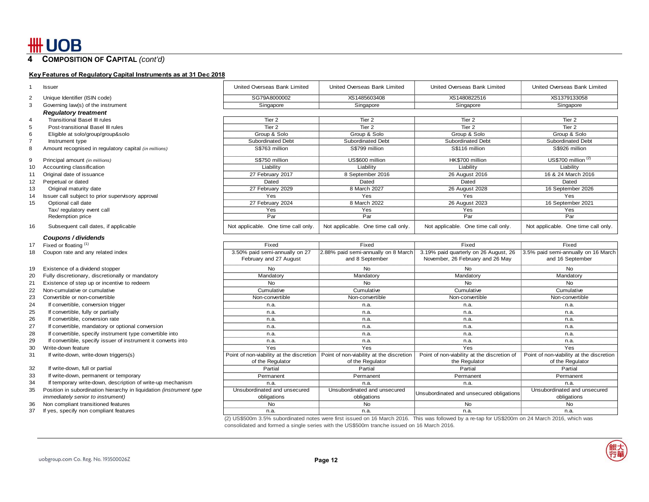17

### **4 COMPOSITION OF CAPITAL** *(cont'd)*

### **Key Features of Regulatory Capital Instruments as at 31 Dec 2018**

|    | <b>Issuer</b>                                                       | United Overseas Bank Limited        | United Overseas Bank Limited                                                        | United Overseas Bank Limited                | United Overseas Bank Limited             |
|----|---------------------------------------------------------------------|-------------------------------------|-------------------------------------------------------------------------------------|---------------------------------------------|------------------------------------------|
|    | Unique Identifier (ISIN code)                                       | SG79A8000002                        | XS1485603408                                                                        | XS1480822516                                | XS1379133058                             |
| 3  | Governing law(s) of the instrument                                  | Singapore                           | Singapore                                                                           | Singapore                                   | Singapore                                |
|    | <b>Regulatory treatment</b>                                         |                                     |                                                                                     |                                             |                                          |
|    | <b>Transitional Basel III rules</b>                                 | Tier 2                              | Tier 2                                                                              | Tier 2                                      | Tier <sub>2</sub>                        |
|    | Post-transitional Basel III rules                                   | Tier 2                              | Tier 2                                                                              | Tier 2                                      | Tier <sub>2</sub>                        |
|    | Eligible at solo/group/group&solo                                   | Group & Solo                        | Group & Solo                                                                        | Group & Solo                                | Group & Solo                             |
|    | Instrument type                                                     | Subordinated Debt                   | Subordinated Debt                                                                   | Subordinated Debt                           | Subordinated Debt                        |
|    | Amount recognised in regulatory capital (in millions)               | S\$763 million                      | S\$799 million                                                                      | S\$116 million                              | S\$926 million                           |
|    |                                                                     |                                     |                                                                                     |                                             |                                          |
| g  | Principal amount (in millions)                                      | S\$750 million                      | US\$600 million                                                                     | HK\$700 million                             | $US$700$ million $(2)$                   |
| 10 | Accounting classification                                           | Liability                           | Liability                                                                           | Liability                                   | Liability                                |
| 11 | Original date of issuance                                           | 27 February 2017                    | 8 September 2016                                                                    | 26 August 2016                              | 16 & 24 March 2016                       |
| 12 | Perpetual or dated                                                  | Dated                               | Dated                                                                               | Dated                                       | Dated                                    |
| 13 | Original maturity date                                              | 27 February 2029                    | 8 March 2027                                                                        | 26 August 2028                              | 16 September 2026                        |
| 14 | Issuer call subject to prior supervisory approval                   | Yes                                 | Yes                                                                                 | Yes                                         | Yes                                      |
| 15 | Optional call date                                                  | 27 February 2024                    | 8 March 2022                                                                        | 26 August 2023                              | 16 September 2021                        |
|    | Tax/ regulatory event call                                          | Yes                                 | Yes                                                                                 | Yes                                         | Yes                                      |
|    | Redemption price                                                    | Par                                 | Par                                                                                 | Par                                         | Par                                      |
| 16 | Subsequent call dates, if applicable                                | Not applicable. One time call only. | Not applicable. One time call only.                                                 | Not applicable. One time call only.         | Not applicable. One time call only.      |
|    | Coupons / dividends                                                 |                                     |                                                                                     |                                             |                                          |
| 17 | Fixed or floating (1)                                               | Fixed                               | Fixed                                                                               | Fixed                                       | Fixed                                    |
| 18 | Coupon rate and any related index                                   | 3.50% paid semi-annually on 27      | 2.88% paid semi-annually on 8 March                                                 | 3.19% paid quarterly on 26 August, 26       | 3.5% paid semi-annually on 16 March      |
|    |                                                                     | February and 27 August              | and 8 September                                                                     | November, 26 February and 26 May            | and 16 September                         |
| 19 | Existence of a dividend stopper                                     | No                                  | No                                                                                  | No                                          | No                                       |
| 20 | Fully discretionary, discretionally or mandatory                    | Mandatory                           | Mandatory                                                                           | Mandatory                                   | Mandatory                                |
| 21 | Existence of step up or incentive to redeem                         | <b>No</b>                           | <b>No</b>                                                                           | <b>No</b>                                   | <b>No</b>                                |
| 22 | Non-cumulative or cumulative                                        | Cumulative                          | Cumulative                                                                          | Cumulative                                  | Cumulative                               |
| 23 | Convertible or non-convertible                                      | Non-convertible                     | Non-convertible                                                                     | Non-convertible                             | Non-convertible                          |
| 24 | If convertible, conversion trigger                                  | n.a.                                | n.a.                                                                                | n.a.                                        | n.a.                                     |
| 25 | If convertible, fully or partially                                  | n.a.                                | n.a.                                                                                | n.a.                                        | n.a.                                     |
| 26 | If convertible, conversion rate                                     | n.a.                                | n.a.                                                                                | n.a.                                        | n.a.                                     |
| 27 | If convertible, mandatory or optional conversion                    | n.a.                                | n.a.                                                                                | n.a.                                        | n.a.                                     |
| 28 | If convertible, specify instrument type convertible into            | n.a.                                | n.a.                                                                                | n.a.                                        | n.a.                                     |
| 29 | If convertible, specify issuer of instrument it converts into       | n.a.                                | n.a.                                                                                | n.a.                                        | n.a.                                     |
| 30 | Write-down feature                                                  | Yes                                 | Yes                                                                                 | Yes                                         | Yes                                      |
| 31 | If write-down, write-down triggers(s)                               |                                     | Point of non-viability at the discretion   Point of non-viability at the discretion | Point of non-viability at the discretion of | Point of non-viability at the discretion |
|    |                                                                     | of the Regulator                    | of the Regulator                                                                    | the Regulator                               | of the Regulator                         |
| 32 | If write-down, full or partial                                      | Partial                             | Partial                                                                             | Partial                                     | Partial                                  |
| 33 | If write-down, permanent or temporary                               | Permanent                           | Permanent                                                                           | Permanent                                   | Permanent                                |
| 34 | If temporary write-down, description of write-up mechanism          | n.a.                                | n.a.                                                                                | n.a.                                        | n.a.                                     |
| 35 | Position in subordination hierarchy in liquidation (instrument type | Unsubordinated and unsecured        | Unsubordinated and unsecured                                                        |                                             | Unsubordinated and unsecured             |
|    | <i>immediately senior to instrument)</i>                            | obligations                         | obligations                                                                         | Unsubordinated and unsecured obligations    | obligations                              |
| 36 | Non compliant transitioned features                                 | <b>No</b>                           | <b>No</b>                                                                           | <b>No</b>                                   | <b>No</b>                                |
| 37 | If yes, specify non compliant features                              | n.a.                                | n.a.                                                                                | n.a.                                        | n.a.                                     |
|    |                                                                     |                                     |                                                                                     |                                             |                                          |

(2) US\$500m 3.5% subordinated notes were first issued on 16 March 2016. This was followed by a re-tap for US\$200m on 24 March 2016, which was consolidated and formed a single series with the US\$500m tranche issued on 16 March 2016.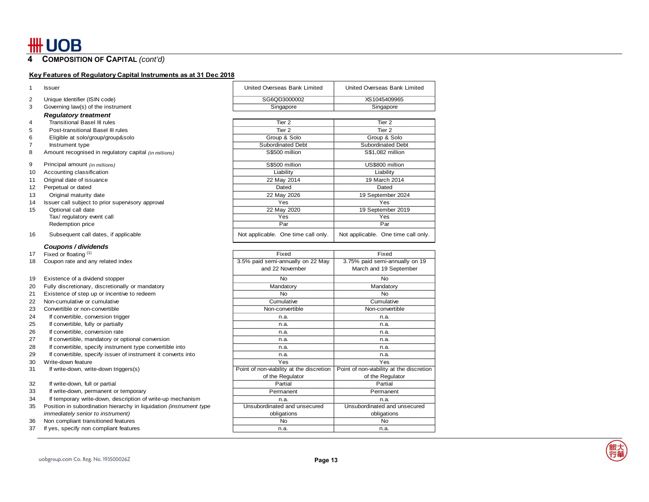**COMPOSITION OF CAPITAL** *(cont'd)* 

## **Key Features of Regulatory Capital Instruments as at 31 Dec 2018**

| $\mathbf{1}$   | <b>Issuer</b>                                                       | United Overseas Bank Limited                         | United Overseas Bank Limited                             |
|----------------|---------------------------------------------------------------------|------------------------------------------------------|----------------------------------------------------------|
| $\overline{2}$ | Unique Identifier (ISIN code)                                       | SG6QD3000002                                         | XS1045409965                                             |
| 3              | Governing law(s) of the instrument                                  | Singapore                                            | Singapore                                                |
|                | <b>Regulatory treatment</b>                                         |                                                      |                                                          |
| $\overline{4}$ | <b>Transitional Basel III rules</b>                                 | Tier <sub>2</sub>                                    | Tier <sub>2</sub>                                        |
| 5              | Post-transitional Basel III rules                                   | Tier <sub>2</sub>                                    | Tier <sub>2</sub>                                        |
| 6              | Eligible at solo/group/group&solo                                   | Group & Solo                                         | Group & Solo                                             |
| $\overline{7}$ | Instrument type                                                     | <b>Subordinated Debt</b>                             | <b>Subordinated Debt</b>                                 |
| 8              | Amount recognised in regulatory capital (in millions)               | S\$500 million                                       | S\$1,082 million                                         |
| 9              | Principal amount (in millions)                                      | S\$500 million                                       | US\$800 million                                          |
| 10             | Accounting classification                                           | Liability                                            | Liability                                                |
| 11             | Original date of issuance                                           | 22 May 2014                                          | 19 March 2014                                            |
| 12             | Perpetual or dated                                                  | Dated                                                | Dated                                                    |
| 13             | Original maturity date                                              | 22 May 2026                                          | 19 September 2024                                        |
| 14             | Issuer call subject to prior supervisory approval                   | Yes                                                  | Yes                                                      |
| 15             | Optional call date                                                  | 22 May 2020                                          | 19 September 2019                                        |
|                | Tax/ regulatory event call                                          | Yes                                                  | Yes                                                      |
|                | Redemption price                                                    | Par                                                  | Par                                                      |
| 16             | Subsequent call dates, if applicable                                | Not applicable. One time call only.                  | Not applicable. One time call only.                      |
|                | Coupons / dividends                                                 |                                                      |                                                          |
| 17             | Fixed or floating (1)                                               | Fixed                                                | Fixed                                                    |
| 18             | Coupon rate and any related index                                   | 3.5% paid semi-annually on 22 May<br>and 22 November | 3.75% paid semi-annually on 19<br>March and 19 September |
| 19             | Existence of a dividend stopper                                     | No                                                   | No                                                       |
| 20             | Fully discretionary, discretionally or mandatory                    | Mandatory                                            | Mandatory                                                |
| 21             | Existence of step up or incentive to redeem                         | No                                                   | No                                                       |
| 22             | Non-cumulative or cumulative                                        | Cumulative                                           | Cumulative                                               |
| 23             | Convertible or non-convertible                                      | Non-convertible                                      | Non-convertible                                          |
| 24             | If convertible, conversion trigger                                  | n.a.                                                 | n.a.                                                     |
| 25             | If convertible, fully or partially                                  | n.a.                                                 | n.a.                                                     |
| 26             | If convertible, conversion rate                                     | n.a.                                                 | n.a.                                                     |
| 27             | If convertible, mandatory or optional conversion                    | n.a.                                                 | n.a.                                                     |
| 28             | If convertible, specify instrument type convertible into            | n.a.                                                 | n.a.                                                     |
| 29             | If convertible, specify issuer of instrument it converts into       | n.a.                                                 | n.a.                                                     |
| 30             | Write-down feature                                                  | Yes                                                  | Yes                                                      |
| 31             | If write-down, write-down triggers(s)                               | Point of non-viability at the discretion             | Point of non-viability at the discretion                 |
|                |                                                                     | of the Regulator                                     | of the Regulator                                         |
| 32             | If write-down, full or partial                                      | Partial                                              | Partial                                                  |
| 33             | If write-down, permanent or temporary                               | Permanent                                            | Permanent                                                |
| 34             | If temporary write-down, description of write-up mechanism          | n.a.                                                 | n.a.                                                     |
| 35             | Position in subordination hierarchy in liquidation (instrument type | Unsubordinated and unsecured                         | Unsubordinated and unsecured                             |
|                | <i>immediately senior to instrument)</i>                            | obligations                                          | obligations                                              |
| 36             | Non compliant transitioned features                                 | No                                                   | No                                                       |
| 37             | If yes, specify non compliant features                              | n.a.                                                 | n.a.                                                     |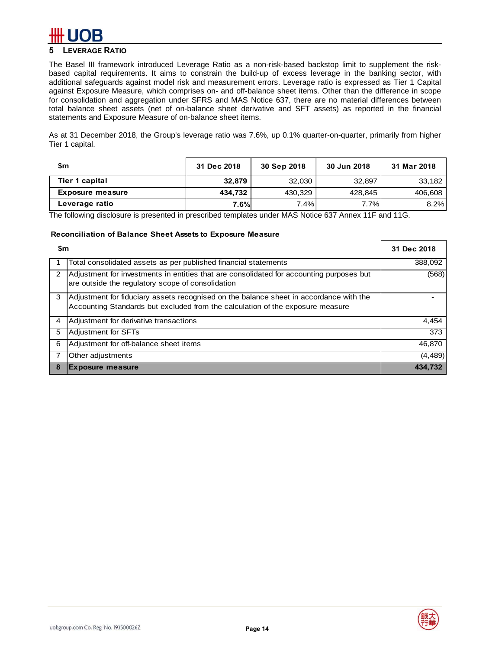# **5 LEVERAGE RATIO**

The Basel III framework introduced Leverage Ratio as a non-risk-based backstop limit to supplement the riskbased capital requirements. It aims to constrain the build-up of excess leverage in the banking sector, with additional safeguards against model risk and measurement errors. Leverage ratio is expressed as Tier 1 Capital against Exposure Measure, which comprises on- and off-balance sheet items. Other than the difference in scope for consolidation and aggregation under SFRS and MAS Notice 637, there are no material differences between total balance sheet assets (net of on-balance sheet derivative and SFT assets) as reported in the financial statements and Exposure Measure of on-balance sheet items.

As at 31 December 2018, the Group's leverage ratio was 7.6%, up 0.1% quarter-on-quarter, primarily from higher Tier 1 capital.

| \$m                     | 31 Dec 2018 | 30 Sep 2018 | 30 Jun 2018 | 31 Mar 2018 |
|-------------------------|-------------|-------------|-------------|-------------|
| Tier 1 capital          | 32.879      | 32.030      | 32,897      | 33.182      |
| <b>Exposure measure</b> | 434.732     | 430,329     | 428,845     | 406,608     |
| Leverage ratio          | 7.6%        | 7.4%        | 7.7%        | 8.2%        |

The following disclosure is presented in prescribed templates under MAS Notice 637 Annex 11F and 11G.

### **Reconciliation of Balance Sheet Assets to Exposure Measure**

|                | \$m                                                                                                                                                                      |          |  |  |  |  |
|----------------|--------------------------------------------------------------------------------------------------------------------------------------------------------------------------|----------|--|--|--|--|
|                | Total consolidated assets as per published financial statements                                                                                                          | 388,092  |  |  |  |  |
| $\overline{2}$ | Adjustment for investments in entities that are consolidated for accounting purposes but<br>are outside the regulatory scope of consolidation                            | (568)    |  |  |  |  |
| 3              | Adjustment for fiduciary assets recognised on the balance sheet in accordance with the<br>Accounting Standards but excluded from the calculation of the exposure measure |          |  |  |  |  |
| 4              | Adjustment for derivative transactions                                                                                                                                   | 4,454    |  |  |  |  |
| 5              | Adjustment for SFTs                                                                                                                                                      | 373      |  |  |  |  |
| 6              | Adjustment for off-balance sheet items                                                                                                                                   | 46,870   |  |  |  |  |
|                | Other adjustments                                                                                                                                                        | (4, 489) |  |  |  |  |
| 8              | <b>Exposure measure</b>                                                                                                                                                  | 434.732  |  |  |  |  |

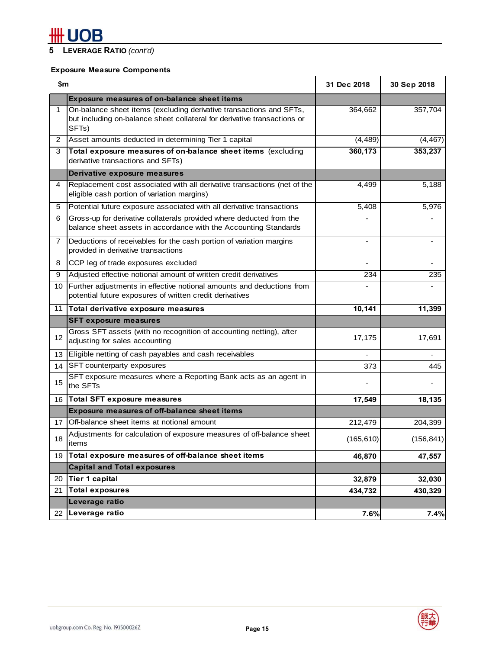# **5 LEVERAGE RATIO** *(cont'd)*

# **Exposure Measure Components**

| \$m            |                                                                                                                                                          | 31 Dec 2018              | 30 Sep 2018 |
|----------------|----------------------------------------------------------------------------------------------------------------------------------------------------------|--------------------------|-------------|
|                | <b>Exposure measures of on-balance sheet items</b>                                                                                                       |                          |             |
| $\mathbf{1}$   | On-balance sheet items (excluding derivative transactions and SFTs,<br>but including on-balance sheet collateral for derivative transactions or<br>SFTs) | 364,662                  | 357,704     |
| $\overline{2}$ | Asset amounts deducted in determining Tier 1 capital                                                                                                     | (4, 489)                 | (4, 467)    |
| 3              | Total exposure measures of on-balance sheet items (excluding<br>derivative transactions and SFTs)                                                        | 360,173                  | 353,237     |
|                | Derivative exposure measures                                                                                                                             |                          |             |
| 4              | Replacement cost associated with all derivative transactions (net of the<br>eligible cash portion of variation margins)                                  | 4,499                    | 5,188       |
| 5              | Potential future exposure associated with all derivative transactions                                                                                    | 5,408                    | 5,976       |
| 6              | Gross-up for derivative collaterals provided where deducted from the<br>balance sheet assets in accordance with the Accounting Standards                 |                          |             |
| 7.             | Deductions of receivables for the cash portion of variation margins<br>provided in derivative transactions                                               | $\overline{\phantom{a}}$ |             |
| 8              | CCP leg of trade exposures excluded                                                                                                                      |                          |             |
| 9              | Adjusted effective notional amount of written credit derivatives                                                                                         | 234                      | 235         |
| 10             | Further adjustments in effective notional amounts and deductions from<br>potential future exposures of written credit derivatives                        |                          |             |
| 11             | Total derivative exposure measures                                                                                                                       | 10,141                   | 11,399      |
|                | <b>SFT exposure measures</b>                                                                                                                             |                          |             |
| 12             | Gross SFT assets (with no recognition of accounting netting), after<br>adjusting for sales accounting                                                    | 17,175                   | 17,691      |
| 13             | Eligible netting of cash payables and cash receivables                                                                                                   |                          |             |
| 14             | SFT counterparty exposures                                                                                                                               | 373                      | 445         |
| 15             | SFT exposure measures where a Reporting Bank acts as an agent in<br>the SFTs                                                                             |                          |             |
| 16             | <b>Total SFT exposure measures</b>                                                                                                                       | 17,549                   | 18,135      |
|                | <b>Exposure measures of off-balance sheet items</b>                                                                                                      |                          |             |
| 17             | Off-balance sheet items at notional amount                                                                                                               | 212,479                  | 204,399     |
| 18             | Adjustments for calculation of exposure measures of off-balance sheet<br>items                                                                           | (165, 610)               | (156, 841)  |
| 19             | Total exposure measures of off-balance sheet items                                                                                                       | 46,870                   | 47,557      |
|                | <b>Capital and Total exposures</b>                                                                                                                       |                          |             |
| 20             | <b>Tier 1 capital</b>                                                                                                                                    | 32,879                   | 32,030      |
| 21             | <b>Total exposures</b>                                                                                                                                   | 434,732                  | 430,329     |
|                | Leverage ratio                                                                                                                                           |                          |             |
| 22             | Leverage ratio                                                                                                                                           | 7.6%                     | 7.4%        |

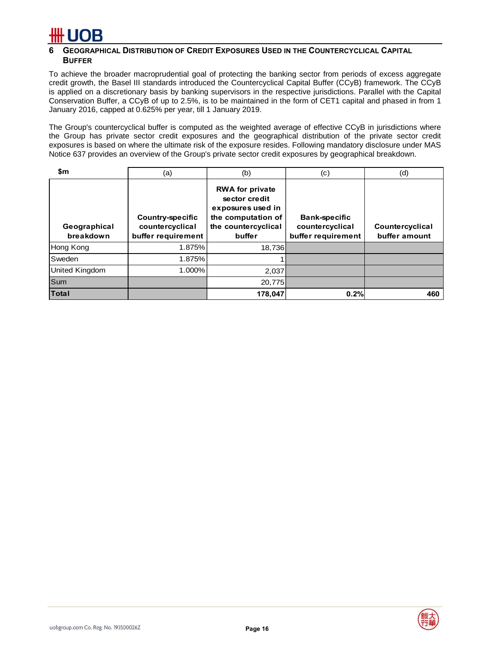## **6 GEOGRAPHICAL DISTRIBUTION OF CREDIT EXPOSURES USED IN THE COUNTERCYCLICAL CAPITAL BUFFER**

To achieve the broader macroprudential goal of protecting the banking sector from periods of excess aggregate credit growth, the Basel III standards introduced the Countercyclical Capital Buffer (CCyB) framework. The CCyB is applied on a discretionary basis by banking supervisors in the respective jurisdictions. Parallel with the Capital Conservation Buffer, a CCyB of up to 2.5%, is to be maintained in the form of CET1 capital and phased in from 1 January 2016, capped at 0.625% per year, till 1 January 2019.

The Group's countercyclical buffer is computed as the weighted average of effective CCyB in jurisdictions where the Group has private sector credit exposures and the geographical distribution of the private sector credit exposures is based on where the ultimate risk of the exposure resides. Following mandatory disclosure under MAS Notice 637 provides an overview of the Group's private sector credit exposures by geographical breakdown.

| \$m                       | (a)                                                              | (b)                                                                                                                 | (c)                                                    | (d)                              |
|---------------------------|------------------------------------------------------------------|---------------------------------------------------------------------------------------------------------------------|--------------------------------------------------------|----------------------------------|
| Geographical<br>breakdown | <b>Country-specific</b><br>countercyclical<br>buffer requirement | <b>RWA for private</b><br>sector credit<br>exposures used in<br>the computation of<br>the countercyclical<br>buffer | Bank-specific<br>countercyclical<br>buffer requirement | Countercyclical<br>buffer amount |
| Hong Kong                 | 1.875%                                                           | 18,736                                                                                                              |                                                        |                                  |
| Sweden                    | 1.875%                                                           |                                                                                                                     |                                                        |                                  |
| United Kingdom            | 1.000%                                                           | 2,037                                                                                                               |                                                        |                                  |
| Sum                       |                                                                  | 20,775                                                                                                              |                                                        |                                  |
| <b>Total</b>              |                                                                  | 178,047                                                                                                             | 0.2%                                                   | 460                              |

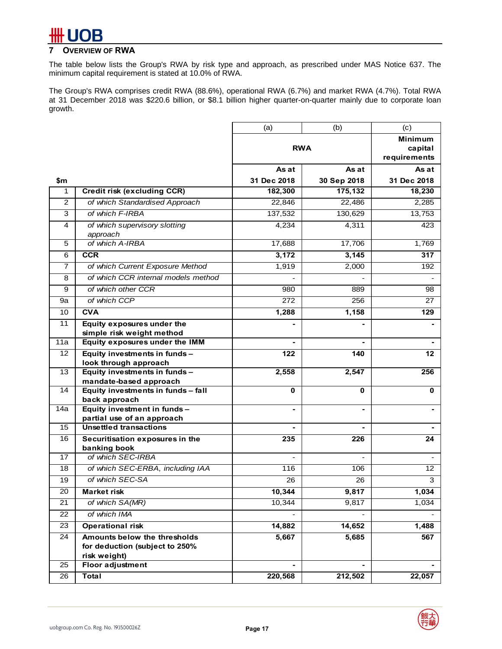# **7 OVERVIEW OF RWA**

The table below lists the Group's RWA by risk type and approach, as prescribed under MAS Notice 637. The minimum capital requirement is stated at 10.0% of RWA.

The Group's RWA comprises credit RWA (88.6%), operational RWA (6.7%) and market RWA (4.7%). Total RWA at 31 December 2018 was \$220.6 billion, or \$8.1 billion higher quarter-on-quarter mainly due to corporate loan growth.

|                 |                                                         | (a)            | (b)            | (c)            |
|-----------------|---------------------------------------------------------|----------------|----------------|----------------|
|                 |                                                         |                |                | <b>Minimum</b> |
|                 |                                                         | <b>RWA</b>     |                | capital        |
|                 |                                                         |                |                | requirements   |
|                 |                                                         | As at          | As at          | As at          |
| \$m             |                                                         | 31 Dec 2018    | 30 Sep 2018    | 31 Dec 2018    |
| 1               | <b>Credit risk (excluding CCR)</b>                      | 182,300        | 175,132        | 18,230         |
| 2               | of which Standardised Approach                          | 22,846         | 22,486         | 2,285          |
| 3               | of which F-IRBA                                         | 137,532        | 130,629        | 13,753         |
| 4               | of which supervisory slotting                           | 4,234          | 4,311          | 423            |
|                 | approach                                                |                |                |                |
| 5               | of which A-IRBA                                         | 17,688         | 17,706         | 1,769          |
| 6               | <b>CCR</b>                                              | 3,172          | 3,145          | 317            |
| $\overline{7}$  | of which Current Exposure Method                        | 1,919          | 2,000          | 192            |
| 8               | of which CCR internal models method                     |                |                |                |
| 9               | of which other CCR                                      | 980            | 889            | 98             |
| 9a              | of which CCP                                            | 272            | 256            | 27             |
| 10              | <b>CVA</b>                                              | 1,288          | 1,158          | 129            |
| 11              | <b>Equity exposures under the</b>                       |                |                |                |
|                 | simple risk weight method                               |                |                |                |
| 11a             | Equity exposures under the IMM                          |                |                |                |
| 12              | Equity investments in funds -                           | 122            | 140            | 12             |
| 13              | look through approach                                   |                |                |                |
|                 | Equity investments in funds -<br>mandate-based approach | 2,558          | 2,547          | 256            |
| 14              | Equity investments in funds - fall                      | 0              | 0              | 0              |
|                 | back approach                                           |                |                |                |
| 14a             | Equity investment in funds -                            | $\blacksquare$ | $\blacksquare$ |                |
|                 | partial use of an approach                              |                |                |                |
| 15              | <b>Unsettled transactions</b>                           |                |                |                |
| 16              | Securitisation exposures in the<br>banking book         | 235            | 226            | 24             |
| 17              | of which SEC-IRBA                                       |                |                |                |
| 18              | of which SEC-ERBA, including IAA                        | 116            | 106            | 12             |
| 19              | of which SEC-SA                                         | 26             | 26             | 3              |
| 20              | <b>Market risk</b>                                      | 10,344         | 9,817          | 1,034          |
| 21              | of which SA(MR)                                         | 10,344         | 9,817          | 1,034          |
| 22              | of which IMA                                            |                |                |                |
| 23              | <b>Operational risk</b>                                 | 14,882         | 14,652         | 1,488          |
| $\overline{24}$ | Amounts below the thresholds                            | 5,667          | 5,685          | 567            |
|                 | for deduction (subject to 250%                          |                |                |                |
|                 | risk weight)                                            |                |                |                |
| 25              | Floor adjustment                                        |                |                |                |
| 26              | <b>Total</b>                                            | 220,568        | 212,502        | 22,057         |

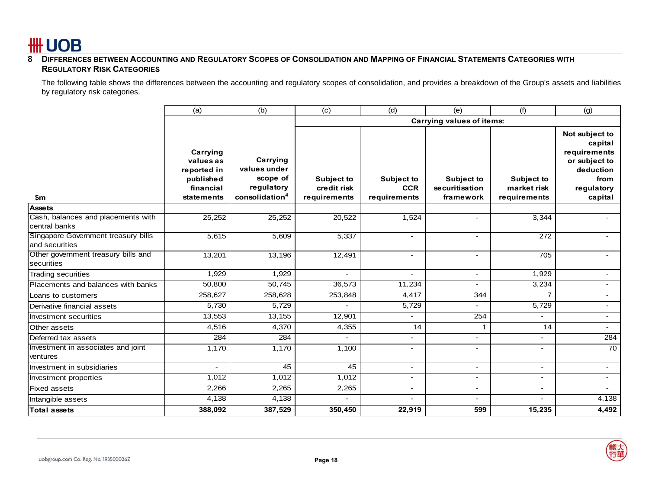

### **8 DIFFERENCES BETWEEN ACCOUNTING AND REGULATORY SCOPES OF CONSOLIDATION AND MAPPING OF FINANCIAL STATEMENTS CATEGORIES WITH REGULATORY RISK CATEGORIES**

The following table shows the differences between the accounting and regulatory scopes of consolidation, and provides a breakdown of the Group's assets and liabilities by regulatory risk categories.

|                                                       | (a)                                                                          | (b)                                                                              | (c)                                              | (d)                                             | (e)                                              | (f)                                              | (g)                                                                                                      |
|-------------------------------------------------------|------------------------------------------------------------------------------|----------------------------------------------------------------------------------|--------------------------------------------------|-------------------------------------------------|--------------------------------------------------|--------------------------------------------------|----------------------------------------------------------------------------------------------------------|
|                                                       |                                                                              |                                                                                  |                                                  |                                                 | Carrying values of items:                        |                                                  |                                                                                                          |
| \$m                                                   | Carrying<br>values as<br>reported in<br>published<br>financial<br>statements | Carrying<br>values under<br>scope of<br>regulatory<br>consolidation <sup>4</sup> | <b>Subject to</b><br>credit risk<br>requirements | <b>Subject to</b><br><b>CCR</b><br>requirements | <b>Subject to</b><br>securitisation<br>framework | <b>Subject to</b><br>market risk<br>requirements | Not subject to<br>capital<br>requirements<br>or subject to<br>deduction<br>from<br>regulatory<br>capital |
| <b>Assets</b>                                         |                                                                              |                                                                                  |                                                  |                                                 |                                                  |                                                  |                                                                                                          |
| Cash, balances and placements with<br>central banks   | 25,252                                                                       | 25,252                                                                           | 20,522                                           | 1,524                                           | $\overline{\phantom{a}}$                         | 3,344                                            |                                                                                                          |
| Singapore Government treasury bills<br>and securities | 5,615                                                                        | 5,609                                                                            | 5,337                                            | $\blacksquare$                                  | $\overline{\phantom{0}}$                         | 272                                              |                                                                                                          |
| Other government treasury bills and<br>securities     | 13,201                                                                       | 13,196                                                                           | 12,491                                           | $\overline{\phantom{a}}$                        | $\overline{\phantom{0}}$                         | 705                                              | $\overline{\phantom{0}}$                                                                                 |
| <b>Trading securities</b>                             | 1,929                                                                        | 1,929                                                                            |                                                  | $\blacksquare$                                  | $\overline{\phantom{0}}$                         | 1,929                                            |                                                                                                          |
| Placements and balances with banks                    | 50,800                                                                       | 50,745                                                                           | 36,573                                           | 11,234                                          | $\overline{\phantom{a}}$                         | 3,234                                            |                                                                                                          |
| Loans to customers                                    | 258,627                                                                      | 258,628                                                                          | 253,848                                          | 4,417                                           | 344                                              | 7                                                |                                                                                                          |
| Derivative financial assets                           | 5,730                                                                        | 5,729                                                                            |                                                  | 5,729                                           | $\overline{\phantom{0}}$                         | 5,729                                            | $\overline{\phantom{0}}$                                                                                 |
| Investment securities                                 | 13,553                                                                       | 13,155                                                                           | 12,901                                           | $\overline{\phantom{a}}$                        | 254                                              |                                                  | $\blacksquare$                                                                                           |
| Other assets                                          | 4,516                                                                        | 4,370                                                                            | 4,355                                            | 14                                              | $\mathbf 1$                                      | 14                                               | $\overline{\phantom{0}}$                                                                                 |
| Deferred tax assets                                   | 284                                                                          | 284                                                                              |                                                  |                                                 | $\overline{a}$                                   |                                                  | 284                                                                                                      |
| Investment in associates and joint<br>ventures        | 1,170                                                                        | 1,170                                                                            | 1,100                                            | $\overline{a}$                                  | $\blacksquare$                                   | $\overline{\phantom{0}}$                         | 70                                                                                                       |
| Investment in subsidiaries                            |                                                                              | 45                                                                               | 45                                               | $\overline{\phantom{a}}$                        | $\overline{\phantom{a}}$                         | $\overline{\phantom{0}}$                         | $\overline{\phantom{a}}$                                                                                 |
| Investment properties                                 | 1,012                                                                        | 1,012                                                                            | 1,012                                            | $\overline{\phantom{a}}$                        | $\overline{\phantom{a}}$                         | $\overline{\phantom{0}}$                         | $\blacksquare$                                                                                           |
| <b>Fixed assets</b>                                   | 2,266                                                                        | 2,265                                                                            | 2,265                                            | $\overline{\phantom{a}}$                        |                                                  | $\overline{\phantom{0}}$                         |                                                                                                          |
| Intangible assets                                     | 4,138                                                                        | 4,138                                                                            |                                                  |                                                 | $\overline{a}$                                   | $\overline{\phantom{0}}$                         | 4,138                                                                                                    |
| <b>Total assets</b>                                   | 388,092                                                                      | 387,529                                                                          | 350,450                                          | 22,919                                          | 599                                              | 15,235                                           | 4,492                                                                                                    |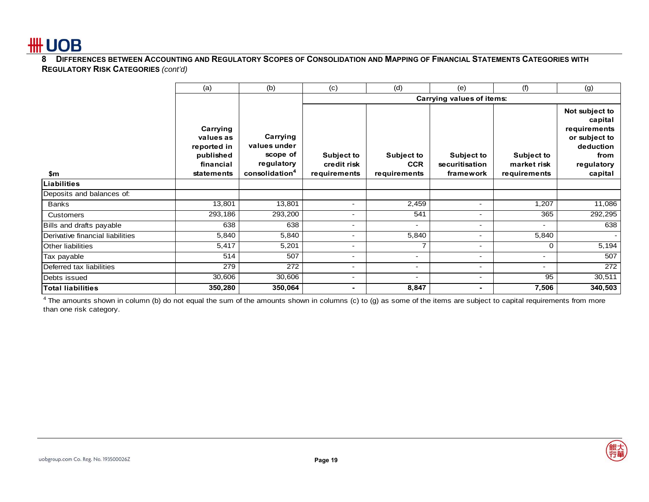

**8 DIFFERENCES BETWEEN ACCOUNTING AND REGULATORY SCOPES OF CONSOLIDATION AND MAPPING OF FINANCIAL STATEMENTS CATEGORIES WITH REGULATORY RISK CATEGORIES** *(cont'd)*

|                                  | (a)                                                                          | (b)                                                                              | (c)                                              | (d)                                      | (e)                                              | (f)                                              | (g)                                                                                                      |
|----------------------------------|------------------------------------------------------------------------------|----------------------------------------------------------------------------------|--------------------------------------------------|------------------------------------------|--------------------------------------------------|--------------------------------------------------|----------------------------------------------------------------------------------------------------------|
|                                  |                                                                              |                                                                                  |                                                  |                                          | Carrying values of items:                        |                                                  |                                                                                                          |
| \$m                              | Carrying<br>values as<br>reported in<br>published<br>financial<br>statements | Carrying<br>values under<br>scope of<br>regulatory<br>consolidation <sup>4</sup> | <b>Subject to</b><br>credit risk<br>requirements | Subject to<br><b>CCR</b><br>requirements | <b>Subject to</b><br>securitisation<br>framework | <b>Subject to</b><br>market risk<br>requirements | Not subject to<br>capital<br>requirements<br>or subject to<br>deduction<br>from<br>regulatory<br>capital |
| Liabilities                      |                                                                              |                                                                                  |                                                  |                                          |                                                  |                                                  |                                                                                                          |
| Deposits and balances of:        |                                                                              |                                                                                  |                                                  |                                          |                                                  |                                                  |                                                                                                          |
| <b>Banks</b>                     | 13,801                                                                       | 13,801                                                                           | $\overline{\phantom{a}}$                         | 2,459                                    | $\blacksquare$                                   | 1,207                                            | 11,086                                                                                                   |
| Customers                        | 293,186                                                                      | 293,200                                                                          | $\overline{\phantom{a}}$                         | 541                                      | $\blacksquare$                                   | 365                                              | 292,295                                                                                                  |
| Bills and drafts payable         | 638                                                                          | 638                                                                              | ۰                                                | $\overline{\phantom{a}}$                 | $\blacksquare$                                   | $\overline{\phantom{a}}$                         | 638                                                                                                      |
| Derivative financial liabilities | 5,840                                                                        | 5,840                                                                            | -                                                | 5,840                                    | $\blacksquare$                                   | 5,840                                            | $\overline{\phantom{a}}$                                                                                 |
| <b>Other liabilities</b>         | 5,417                                                                        | 5,201                                                                            | ۰                                                |                                          | $\blacksquare$                                   | 0                                                | 5,194                                                                                                    |
| Tax payable                      | 514                                                                          | 507                                                                              | $\blacksquare$                                   | $\overline{\phantom{a}}$                 | $\blacksquare$                                   | -                                                | 507                                                                                                      |
| Deferred tax liabilities         | 279                                                                          | 272                                                                              | ۰                                                |                                          |                                                  | ۰.                                               | 272                                                                                                      |
| Debts issued                     | 30,606                                                                       | 30,606                                                                           | ۰                                                | $\overline{\phantom{a}}$                 | $\sim$                                           | 95                                               | 30,511                                                                                                   |
| <b>Total liabilities</b>         | 350,280                                                                      | 350,064                                                                          | ۰                                                | 8,847                                    | ۰.                                               | 7,506                                            | 340,503                                                                                                  |

 $4$  The amounts shown in column (b) do not equal the sum of the amounts shown in columns (c) to (g) as some of the items are subject to capital requirements from more than one risk category.

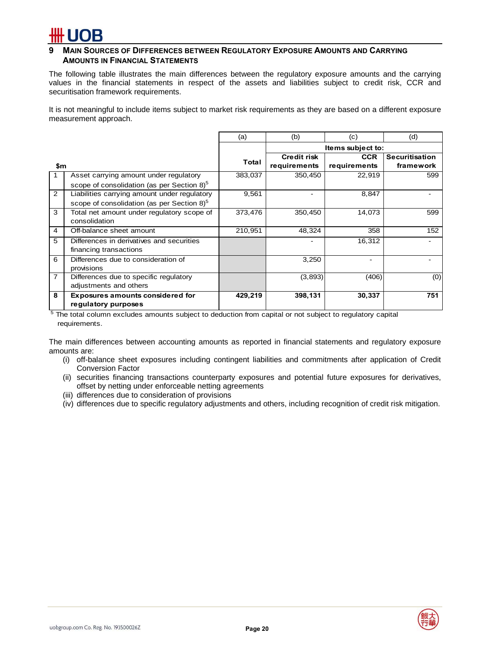## **9 MAIN SOURCES OF DIFFERENCES BETWEEN REGULATORY EXPOSURE AMOUNTS AND CARRYING AMOUNTS IN FINANCIAL STATEMENTS**

The following table illustrates the main differences between the regulatory exposure amounts and the carrying values in the financial statements in respect of the assets and liabilities subject to credit risk, CCR and securitisation framework requirements.

It is not meaningful to include items subject to market risk requirements as they are based on a different exposure measurement approach.

|     |                                                        | (a)     | (b)                | (c)               | (d)            |
|-----|--------------------------------------------------------|---------|--------------------|-------------------|----------------|
|     |                                                        |         |                    | Items subject to: |                |
|     |                                                        | Total   | <b>Credit risk</b> | <b>CCR</b>        | Securitisation |
| \$m |                                                        |         | requirements       | requirements      | framework      |
|     | Asset carrying amount under regulatory                 | 383,037 | 350,450            | 22,919            | 599            |
|     | scope of consolidation (as per Section 8) <sup>5</sup> |         |                    |                   |                |
| 2   | Liabilities carrying amount under regulatory           | 9,561   |                    | 8,847             |                |
|     | scope of consolidation (as per Section 8) <sup>5</sup> |         |                    |                   |                |
| 3   | Total net amount under regulatory scope of             | 373,476 | 350,450            | 14,073            | 599            |
|     | consolidation                                          |         |                    |                   |                |
| 4   | Off-balance sheet amount                               | 210,951 | 48,324             | 358               | 152            |
| 5   | Differences in derivatives and securities              |         |                    | 16,312            |                |
|     | financing transactions                                 |         |                    |                   |                |
| 6   | Differences due to consideration of                    |         | 3,250              |                   |                |
|     | provisions                                             |         |                    |                   |                |
| 7   | Differences due to specific regulatory                 |         | (3,893)            | (406)             | (0)            |
|     | adjustments and others                                 |         |                    |                   |                |
| 8   | <b>Exposures amounts considered for</b>                | 429,219 | 398,131            | 30,337            | 751            |
|     | regulatory purposes                                    |         |                    |                   |                |

<sup>5</sup> The total column excludes amounts subject to deduction from capital or not subject to regulatory capital requirements.

The main differences between accounting amounts as reported in financial statements and regulatory exposure amounts are:

- (i) off-balance sheet exposures including contingent liabilities and commitments after application of Credit Conversion Factor
- (ii) securities financing transactions counterparty exposures and potential future exposures for derivatives, offset by netting under enforceable netting agreements
- (iii) differences due to consideration of provisions
- (iv) differences due to specific regulatory adjustments and others, including recognition of credit risk mitigation.

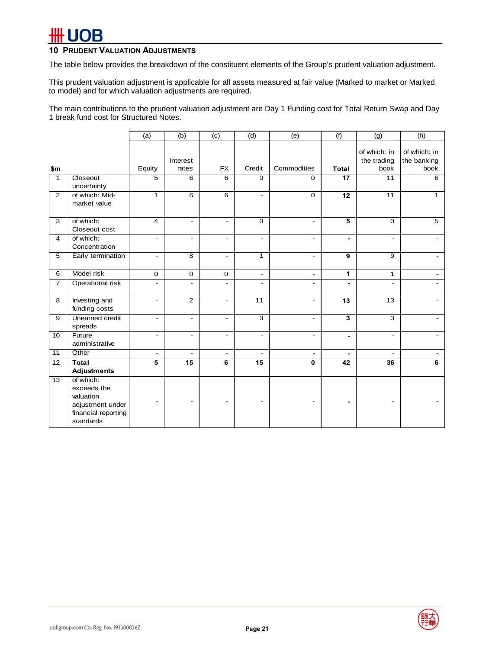# **FUOB**

# **10 PRUDENT VALUATION ADJUSTMENTS**

The table below provides the breakdown of the constituent elements of the Group's prudent valuation adjustment.

This prudent valuation adjustment is applicable for all assets measured at fair value (Marked to market or Marked to model) and for which valuation adjustments are required.

The main contributions to the prudent valuation adjustment are Day 1 Funding cost for Total Return Swap and Day 1 break fund cost for Structured Notes.

|                 |                                                                                               | (a)                      | (b)                      | (c)                      | (d)                      | (e)                      | (f)                      | (g)                                 | (h)                                 |
|-----------------|-----------------------------------------------------------------------------------------------|--------------------------|--------------------------|--------------------------|--------------------------|--------------------------|--------------------------|-------------------------------------|-------------------------------------|
| \$m             |                                                                                               | Equity                   | Interest<br>rates        | <b>FX</b>                | Credit                   | Commodities              | Total                    | of which: in<br>the trading<br>book | of which: in<br>the banking<br>book |
| 1               | Closeout<br>uncertainty                                                                       | 5                        | 6                        | $\overline{6}$           | 0                        | $\mathbf 0$              | 17                       | 11                                  | 6                                   |
| $\overline{2}$  | of which: Mid-<br>market value                                                                | $\mathbf{1}$             | $\overline{6}$           | 6                        | $\blacksquare$           | $\mathbf 0$              | 12                       | $\overline{11}$                     | $\mathbf{1}$                        |
| 3               | of which:<br>Closeout cost                                                                    | $\overline{4}$           | $\blacksquare$           | $\blacksquare$           | $\mathbf 0$              | $\blacksquare$           | $\overline{\mathbf{5}}$  | $\Omega$                            | $\overline{5}$                      |
| $\overline{4}$  | of which:<br>Concentration                                                                    | $\overline{\phantom{a}}$ | $\blacksquare$           | $\overline{\phantom{a}}$ | $\blacksquare$           | $\blacksquare$           | $\blacksquare$           | $\blacksquare$                      | $\overline{a}$                      |
| 5               | Early termination                                                                             | $\overline{\phantom{a}}$ | $\overline{8}$           | $\blacksquare$           | $\mathbf{1}$             | $\blacksquare$           | 9                        | 9                                   | ۰                                   |
| 6               | Model risk                                                                                    | $\mathbf 0$              | $\mathbf 0$              | $\mathbf 0$              | $\overline{\phantom{a}}$ | $\overline{\phantom{a}}$ | 1                        | $\mathbf{1}$                        | $\overline{\phantom{a}}$            |
| $\overline{7}$  | Operational risk                                                                              | $\overline{\phantom{a}}$ | $\blacksquare$           | $\blacksquare$           | $\overline{\phantom{a}}$ | ٠                        | $\blacksquare$           | ٠                                   |                                     |
| $\overline{8}$  | Investing and<br>funding costs                                                                | $\blacksquare$           | $\overline{2}$           | $\blacksquare$           | $\overline{11}$          | $\blacksquare$           | 13                       | $\overline{13}$                     | $\overline{a}$                      |
| $\overline{9}$  | Unearned credit<br>spreads                                                                    | $\overline{\phantom{a}}$ | $\overline{\phantom{a}}$ | $\overline{\phantom{a}}$ | $\overline{3}$           | $\overline{\phantom{a}}$ | 3                        | 3                                   |                                     |
| 10              | Future<br>administrative                                                                      | $\overline{\phantom{a}}$ | $\blacksquare$           | $\blacksquare$           | $\overline{\phantom{a}}$ | $\overline{\phantom{a}}$ | $\overline{\phantom{a}}$ | $\blacksquare$                      |                                     |
| $\overline{11}$ | Other                                                                                         | $\blacksquare$           | $\blacksquare$           | $\blacksquare$           | $\blacksquare$           | $\overline{\phantom{0}}$ |                          | ÷.                                  |                                     |
| $\overline{12}$ | <b>Total</b><br>Adjustments                                                                   | 5                        | 15                       | 6                        | 15                       | $\mathbf 0$              | 42                       | 36                                  | 6                                   |
| $\overline{13}$ | of which:<br>exceeds the<br>valuation<br>adjustment under<br>financial reporting<br>standards |                          |                          |                          |                          |                          |                          |                                     |                                     |

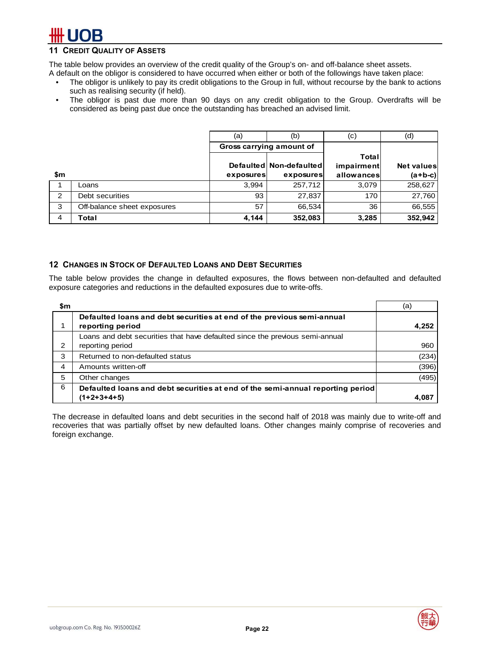# **CREDIT QUALITY OF ASSETS**

The table below provides an overview of the credit quality of the Group's on- and off-balance sheet assets.

A default on the obligor is considered to have occurred when either or both of the followings have taken place:

- The obligor is unlikely to pay its credit obligations to the Group in full, without recourse by the bank to actions such as realising security (if held).
- The obligor is past due more than 90 days on any credit obligation to the Group. Overdrafts will be considered as being past due once the outstanding has breached an advised limit.

|     |                             | (a)       | (b)                      | (c)        | (d)               |
|-----|-----------------------------|-----------|--------------------------|------------|-------------------|
|     |                             |           | Gross carrying amount of |            |                   |
|     |                             |           |                          | Totall     |                   |
|     |                             |           | Defaulted Non-defaulted  | impairment | <b>Net values</b> |
| \$m |                             | exposures | exposures                | allowances | $(a+b-c)$         |
|     | Loans                       | 3,994     | 257,712                  | 3,079      | 258,627           |
| 2   | Debt securities             | 93        | 27,837                   | 170        | 27,760            |
| 3   | Off-balance sheet exposures | 57        | 66,534                   | 36         | 66,555            |
| 4   | Total                       | 4,144     | 352,083                  | 3,285      | 352,942           |

### **12 CHANGES IN STOCK OF DEFAULTED LOANS AND DEBT SECURITIES**

The table below provides the change in defaulted exposures, the flows between non-defaulted and defaulted exposure categories and reductions in the defaulted exposures due to write-offs.

| \$m |                                                                                | (a)   |
|-----|--------------------------------------------------------------------------------|-------|
|     | Defaulted loans and debt securities at end of the previous semi-annual         |       |
|     | reporting period                                                               | 4,252 |
|     | Loans and debt securities that have defaulted since the previous semi-annual   |       |
| 2   | reporting period                                                               | 960   |
| 3   | Returned to non-defaulted status                                               | (234) |
| 4   | Amounts written-off                                                            | (396) |
| 5   | Other changes                                                                  | (495) |
| 6   | Defaulted loans and debt securities at end of the semi-annual reporting period |       |
|     | (1+2+3+4+5)                                                                    | 4.087 |

The decrease in defaulted loans and debt securities in the second half of 2018 was mainly due to write-off and recoveries that was partially offset by new defaulted loans. Other changes mainly comprise of recoveries and foreign exchange.

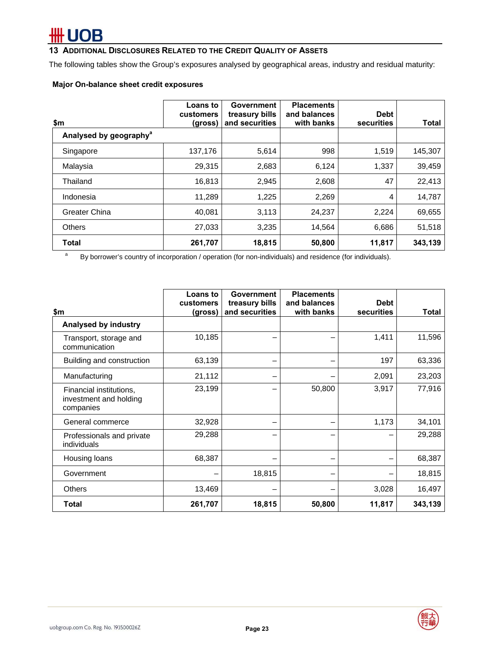# **UOB**

# **13 ADDITIONAL DISCLOSURES RELATED TO THE CREDIT QUALITY OF ASSETS**

The following tables show the Group's exposures analysed by geographical areas, industry and residual maturity:

### **Major On-balance sheet credit exposures**

| \$m                                | Loans to<br>customers<br>(gross) | <b>Government</b><br>treasury bills<br>and securities | <b>Placements</b><br>and balances<br>with banks | <b>Debt</b><br>securities | <b>Total</b> |
|------------------------------------|----------------------------------|-------------------------------------------------------|-------------------------------------------------|---------------------------|--------------|
| Analysed by geography <sup>a</sup> |                                  |                                                       |                                                 |                           |              |
| Singapore                          | 137,176                          | 5,614                                                 | 998                                             | 1,519                     | 145,307      |
| Malaysia                           | 29,315                           | 2,683                                                 | 6,124                                           | 1,337                     | 39,459       |
| Thailand                           | 16,813                           | 2,945                                                 | 2,608                                           | 47                        | 22,413       |
| Indonesia                          | 11,289                           | 1,225                                                 | 2,269                                           | 4                         | 14,787       |
| <b>Greater China</b>               | 40.081                           | 3,113                                                 | 24,237                                          | 2,224                     | 69,655       |
| <b>Others</b>                      | 27,033                           | 3,235                                                 | 14,564                                          | 6,686                     | 51,518       |
| Total                              | 261,707                          | 18,815                                                | 50,800                                          | 11,817                    | 343,139      |

a By borrower's country of incorporation / operation (for non-individuals) and residence (for individuals).

| \$m                                                            | Loans to<br>customers<br>(gross) | Government<br>treasury bills<br>and securities | <b>Placements</b><br>and balances<br>with banks | <b>Debt</b><br><b>securities</b> | <b>Total</b> |
|----------------------------------------------------------------|----------------------------------|------------------------------------------------|-------------------------------------------------|----------------------------------|--------------|
| Analysed by industry                                           |                                  |                                                |                                                 |                                  |              |
| Transport, storage and<br>communication                        | 10,185                           |                                                |                                                 | 1,411                            | 11,596       |
| Building and construction                                      | 63,139                           |                                                |                                                 | 197                              | 63,336       |
| Manufacturing                                                  | 21,112                           |                                                |                                                 | 2,091                            | 23,203       |
| Financial institutions,<br>investment and holding<br>companies | 23,199                           |                                                | 50,800                                          | 3,917                            | 77,916       |
| General commerce                                               | 32,928                           |                                                |                                                 | 1,173                            | 34,101       |
| Professionals and private<br>individuals                       | 29,288                           | -                                              |                                                 |                                  | 29,288       |
| Housing loans                                                  | 68,387                           |                                                |                                                 |                                  | 68,387       |
| Government                                                     |                                  | 18,815                                         |                                                 |                                  | 18,815       |
| <b>Others</b>                                                  | 13,469                           |                                                |                                                 | 3,028                            | 16,497       |
| Total                                                          | 261,707                          | 18,815                                         | 50,800                                          | 11,817                           | 343,139      |

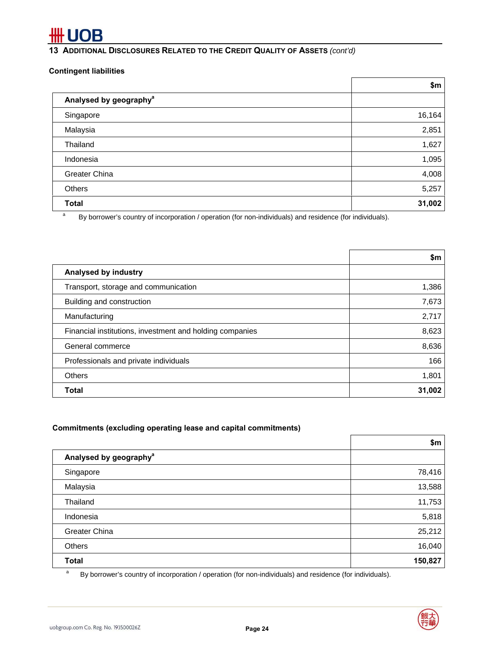# **13 ADDITIONAL DISCLOSURES RELATED TO THE CREDIT QUALITY OF ASSETS** *(cont'd)*

### **Contingent liabilities**

|                                                                                                                                  | \$m    |
|----------------------------------------------------------------------------------------------------------------------------------|--------|
| Analysed by geography <sup>a</sup>                                                                                               |        |
| Singapore                                                                                                                        | 16,164 |
| Malaysia                                                                                                                         | 2,851  |
| Thailand                                                                                                                         | 1,627  |
| Indonesia                                                                                                                        | 1,095  |
| <b>Greater China</b>                                                                                                             | 4,008  |
| <b>Others</b>                                                                                                                    | 5,257  |
| <b>Total</b>                                                                                                                     | 31,002 |
| a<br>$D_{11}$ bouncing a country of incorporation Longration <i>(for non-individuale)</i> and residence <i>(for individuale)</i> |        |

By borrower's country of incorporation / operation (for non-individuals) and residence (for individuals).

|                                                          | \$m    |
|----------------------------------------------------------|--------|
| Analysed by industry                                     |        |
| Transport, storage and communication                     | 1,386  |
| Building and construction                                | 7,673  |
| Manufacturing                                            | 2,717  |
| Financial institutions, investment and holding companies | 8,623  |
| General commerce                                         | 8,636  |
| Professionals and private individuals                    | 166    |
| Others                                                   | 1,801  |
| <b>Total</b>                                             | 31,002 |

# **Commitments (excluding operating lease and capital commitments)**

|                                    | \$m     |
|------------------------------------|---------|
| Analysed by geography <sup>a</sup> |         |
| Singapore                          | 78,416  |
| Malaysia                           | 13,588  |
| Thailand                           | 11,753  |
| Indonesia                          | 5,818   |
| Greater China                      | 25,212  |
| Others                             | 16,040  |
| <b>Total</b>                       | 150,827 |

a By borrower's country of incorporation / operation (for non-individuals) and residence (for individuals).

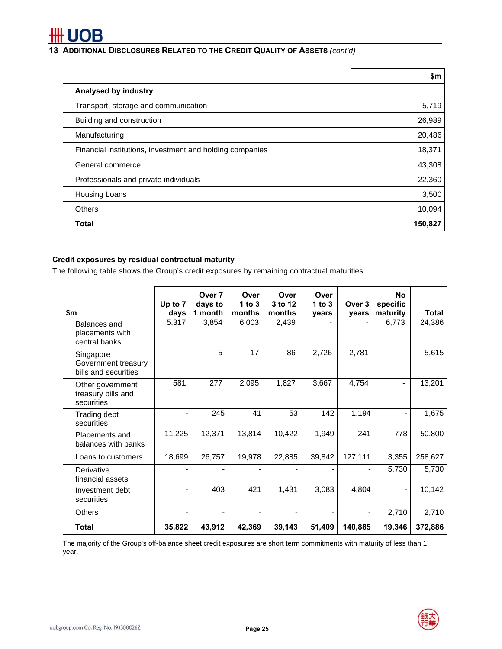

# **13 ADDITIONAL DISCLOSURES RELATED TO THE CREDIT QUALITY OF ASSETS** *(cont'd)*

|                                                          | \$m     |
|----------------------------------------------------------|---------|
| Analysed by industry                                     |         |
| Transport, storage and communication                     | 5,719   |
| Building and construction                                | 26,989  |
| Manufacturing                                            | 20,486  |
| Financial institutions, investment and holding companies | 18,371  |
| General commerce                                         | 43,308  |
| Professionals and private individuals                    | 22,360  |
| <b>Housing Loans</b>                                     | 3,500   |
| <b>Others</b>                                            | 10,094  |
| Total                                                    | 150,827 |

## **Credit exposures by residual contractual maturity**

The following table shows the Group's credit exposures by remaining contractual maturities.

| \$m                                                      | Up to 7<br>days | Over <sub>7</sub><br>days to<br>1 month | Over<br>1 to $3$<br>months | Over<br>3 to 12<br>months | Over<br>1 to $3$<br>years | Over 3<br>vears | <b>No</b><br>specific<br>maturity | <b>Total</b> |
|----------------------------------------------------------|-----------------|-----------------------------------------|----------------------------|---------------------------|---------------------------|-----------------|-----------------------------------|--------------|
| Balances and<br>placements with<br>central banks         | 5,317           | 3,854                                   | 6,003                      | 2,439                     |                           |                 | 6,773                             | 24,386       |
| Singapore<br>Government treasury<br>bills and securities |                 | 5                                       | 17                         | 86                        | 2,726                     | 2,781           |                                   | 5,615        |
| Other government<br>treasury bills and<br>securities     | 581             | 277                                     | 2,095                      | 1,827                     | 3,667                     | 4,754           |                                   | 13,201       |
| Trading debt<br>securities                               |                 | 245                                     | 41                         | 53                        | 142                       | 1,194           |                                   | 1,675        |
| Placements and<br>balances with banks                    | 11,225          | 12,371                                  | 13,814                     | 10,422                    | 1,949                     | 241             | 778                               | 50,800       |
| Loans to customers                                       | 18,699          | 26,757                                  | 19,978                     | 22,885                    | 39,842                    | 127,111         | 3,355                             | 258,627      |
| Derivative<br>financial assets                           |                 |                                         |                            |                           |                           |                 | 5,730                             | 5,730        |
| Investment debt<br>securities                            |                 | 403                                     | 421                        | 1,431                     | 3,083                     | 4,804           |                                   | 10,142       |
| <b>Others</b>                                            |                 |                                         |                            |                           |                           |                 | 2,710                             | 2,710        |
| <b>Total</b>                                             | 35,822          | 43,912                                  | 42,369                     | 39,143                    | 51,409                    | 140,885         | 19,346                            | 372,886      |

The majority of the Group's off-balance sheet credit exposures are short term commitments with maturity of less than 1 year.

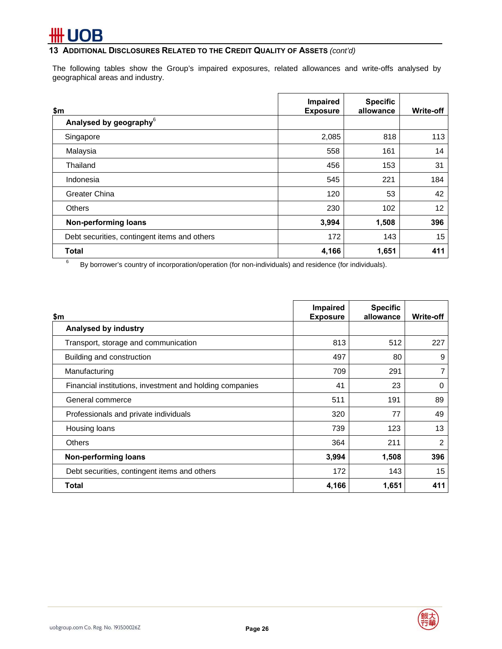# OB

**13 ADDITIONAL DISCLOSURES RELATED TO THE CREDIT QUALITY OF ASSETS** *(cont'd)*

The following tables show the Group's impaired exposures, related allowances and write-offs analysed by geographical areas and industry.

| \$m                                          | Impaired<br><b>Exposure</b> | <b>Specific</b><br>allowance | <b>Write-off</b> |
|----------------------------------------------|-----------------------------|------------------------------|------------------|
| Analysed by geography <sup>6</sup>           |                             |                              |                  |
| Singapore                                    | 2,085                       | 818                          | 113              |
| Malaysia                                     | 558                         | 161                          | 14               |
| Thailand                                     | 456                         | 153                          | 31               |
| Indonesia                                    | 545                         | 221                          | 184              |
| Greater China                                | 120                         | 53                           | 42               |
| <b>Others</b>                                | 230                         | 102                          | 12               |
| <b>Non-performing loans</b>                  | 3,994                       | 1,508                        | 396              |
| Debt securities, contingent items and others | 172                         | 143                          | 15               |
| <b>Total</b>                                 | 4,166                       | 1,651                        | 411              |

6 By borrower's country of incorporation/operation (for non-individuals) and residence (for individuals).

| \$m                                                      | Impaired<br><b>Exposure</b> | <b>Specific</b><br>allowance | <b>Write-off</b> |
|----------------------------------------------------------|-----------------------------|------------------------------|------------------|
| Analysed by industry                                     |                             |                              |                  |
| Transport, storage and communication                     | 813                         | 512                          | 227              |
| Building and construction                                | 497                         | 80                           | 9                |
| Manufacturing                                            | 709                         | 291                          | 7                |
| Financial institutions, investment and holding companies | 41                          | 23                           | $\Omega$         |
| General commerce                                         | 511                         | 191                          | 89               |
| Professionals and private individuals                    | 320                         | 77                           | 49               |
| Housing loans                                            | 739                         | 123                          | 13               |
| <b>Others</b>                                            | 364                         | 211                          | $\overline{2}$   |
| Non-performing loans                                     | 3,994                       | 1,508                        | 396              |
| Debt securities, contingent items and others             | 172                         | 143                          | 15               |
| Total                                                    | 4,166                       | 1,651                        | 411              |

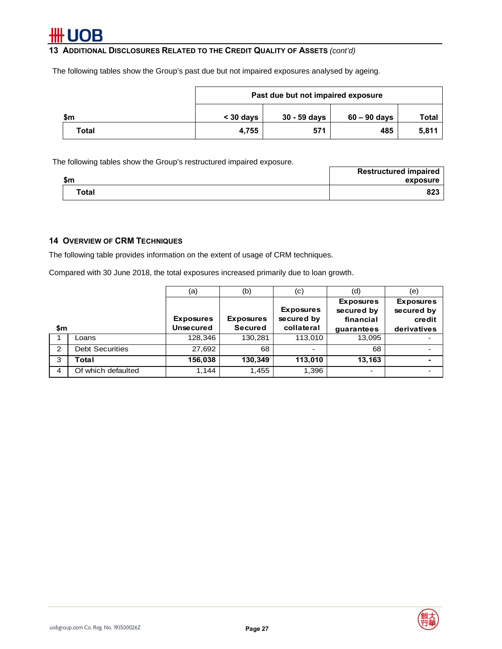**13 ADDITIONAL DISCLOSURES RELATED TO THE CREDIT QUALITY OF ASSETS** *(cont'd)*

The following tables show the Group's past due but not impaired exposures analysed by ageing.

|       | Past due but not impaired exposure |              |                |       |  |
|-------|------------------------------------|--------------|----------------|-------|--|
| \$m   | $<$ 30 days                        | 30 - 59 days | $60 - 90$ days | Total |  |
| Total | 4.755                              | 571          | 485            | 5,811 |  |

The following tables show the Group's restructured impaired exposure.

|                    | <b>Restructured impaired</b> |
|--------------------|------------------------------|
| <b>C</b><br>- DII. | exposure                     |
| Total              | 823                          |

# **14 OVERVIEW OF CRM TECHNIQUES**

The following table provides information on the extent of usage of CRM techniques.

Compared with 30 June 2018, the total exposures increased primarily due to loan growth.

|                |                        | (a)              | (b)              | (c)                            | (d)                                         | (e)                                      |
|----------------|------------------------|------------------|------------------|--------------------------------|---------------------------------------------|------------------------------------------|
|                |                        | <b>Exposures</b> | <b>Exposures</b> | <b>Exposures</b><br>secured by | <b>Exposures</b><br>secured by<br>financial | <b>Exposures</b><br>secured by<br>credit |
| \$m            |                        | <b>Unsecured</b> | <b>Secured</b>   | collateral                     | guarantees                                  | derivatives                              |
|                | Loans                  | 128,346          | 130,281          | 113,010                        | 13,095                                      |                                          |
| $\overline{2}$ | <b>Debt Securities</b> | 27,692           | 68               | $\overline{\phantom{0}}$       | 68                                          |                                          |
| 3              | Total                  | 156,038          | 130,349          | 113,010                        | 13,163                                      |                                          |
| 4              | Of which defaulted     | 1,144            | 1,455            | 1,396                          | -                                           |                                          |

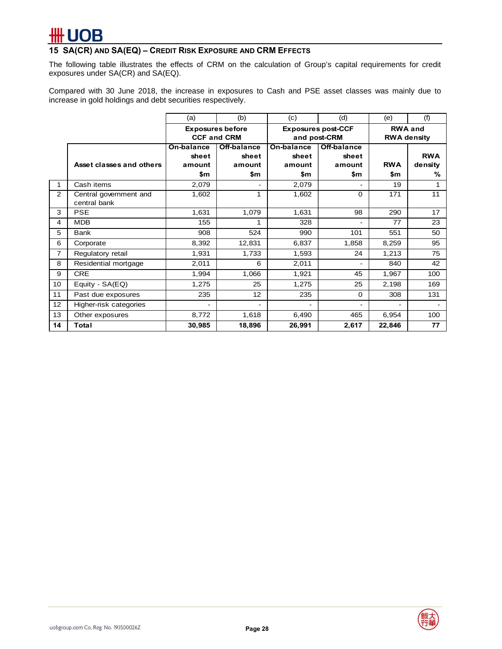# **15 SA(CR) AND SA(EQ) – CREDIT RISK EXPOSURE AND CRM EFFECTS**

The following table illustrates the effects of CRM on the calculation of Group's capital requirements for credit exposures under SA(CR) and SA(EQ).

Compared with 30 June 2018, the increase in exposures to Cash and PSE asset classes was mainly due to increase in gold holdings and debt securities respectively.

|                |                                        | (a)                                           | (b)                                   | (c)                                  | (d)                                       | (e)                                  | (f)                        |
|----------------|----------------------------------------|-----------------------------------------------|---------------------------------------|--------------------------------------|-------------------------------------------|--------------------------------------|----------------------------|
|                |                                        | <b>Exposures before</b><br><b>CCF and CRM</b> |                                       |                                      | <b>Exposures post-CCF</b><br>and post-CRM | <b>RWA and</b><br><b>RWA density</b> |                            |
|                | Asset classes and others               | On-balance<br>sheet<br>amount<br>\$m          | Off-balance<br>sheet<br>amount<br>\$m | On-balance<br>sheet<br>amount<br>\$m | Off-balance<br>sheet<br>amount<br>\$m     | <b>RWA</b><br>\$m                    | <b>RWA</b><br>density<br>℅ |
| 1              | Cash items                             | 2,079                                         |                                       | 2,079                                |                                           | 19                                   |                            |
| 2              | Central government and<br>central bank | 1,602                                         | 1                                     | 1,602                                | $\Omega$                                  | 171                                  | 11                         |
| 3              | <b>PSE</b>                             | 1,631                                         | 1,079                                 | 1,631                                | 98                                        | 290                                  | 17                         |
| 4              | <b>MDB</b>                             | 155                                           |                                       | 328                                  |                                           | 77                                   | 23                         |
| 5              | <b>Bank</b>                            | 908                                           | 524                                   | 990                                  | 101                                       | 551                                  | 50                         |
| 6              | Corporate                              | 8,392                                         | 12,831                                | 6,837                                | 1,858                                     | 8,259                                | 95                         |
| $\overline{7}$ | Regulatory retail                      | 1,931                                         | 1,733                                 | 1,593                                | 24                                        | 1,213                                | 75                         |
| 8              | Residential mortgage                   | 2,011                                         | 6                                     | 2,011                                |                                           | 840                                  | 42                         |
| 9              | <b>CRE</b>                             | 1,994                                         | 1,066                                 | 1,921                                | 45                                        | 1,967                                | 100                        |
| 10             | Equity - SA(EQ)                        | 1,275                                         | 25                                    | 1,275                                | 25                                        | 2,198                                | 169                        |
| 11             | Past due exposures                     | 235                                           | 12                                    | 235                                  | $\Omega$                                  | 308                                  | 131                        |
| 12             | Higher-risk categories                 |                                               |                                       |                                      |                                           |                                      |                            |
| 13             | Other exposures                        | 8,772                                         | 1,618                                 | 6,490                                | 465                                       | 6,954                                | 100                        |
| 14             | Total                                  | 30,985                                        | 18,896                                | 26,991                               | 2,617                                     | 22,846                               | 77                         |

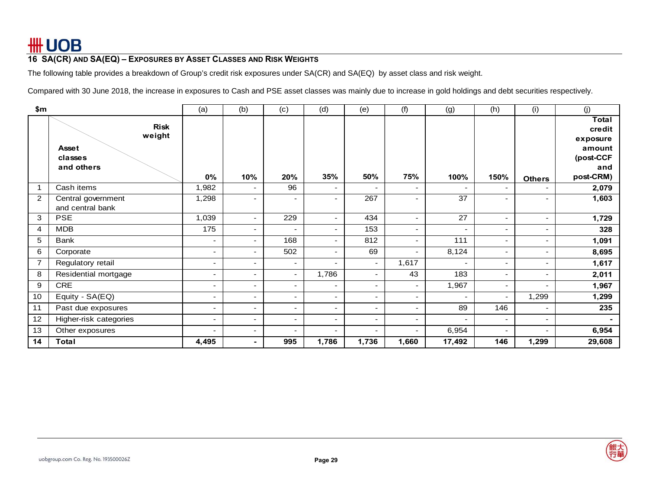# **16 SA(CR) AND SA(EQ) – EXPOSURES BY ASSET CLASSES AND RISK WEIGHTS**

The following table provides a breakdown of Group's credit risk exposures under SA(CR) and SA(EQ) by asset class and risk weight.

Compared with 30 June 2018, the increase in exposures to Cash and PSE asset classes was mainly due to increase in gold holdings and debt securities respectively.

| \$m            |                        | (a)                      | (b)                      | (c)                      | (d)                      | (e)                      | (f)                      | (g)                      | (h)                      | (i)                      | (j)                    |
|----------------|------------------------|--------------------------|--------------------------|--------------------------|--------------------------|--------------------------|--------------------------|--------------------------|--------------------------|--------------------------|------------------------|
|                | <b>Risk</b><br>weight  |                          |                          |                          |                          |                          |                          |                          |                          |                          | <b>Total</b><br>credit |
|                | <b>Asset</b>           |                          |                          |                          |                          |                          |                          |                          |                          |                          | exposure<br>amount     |
|                | classes                |                          |                          |                          |                          |                          |                          |                          |                          |                          | (post-CCF              |
|                | and others             |                          |                          |                          |                          |                          |                          |                          |                          |                          | and                    |
|                |                        | $0\%$                    | 10%                      | 20%                      | 35%                      | 50%                      | 75%                      | 100%                     | 150%                     | <b>Others</b>            | post-CRM)              |
|                | Cash items             | 1,982                    | $\overline{\phantom{0}}$ | 96                       | $\overline{\phantom{0}}$ | $\overline{a}$           | $\overline{\phantom{0}}$ | $\overline{\phantom{a}}$ | $\overline{\phantom{a}}$ |                          | 2,079                  |
| 2              | Central government     | 1,298                    | ٠                        | -                        |                          | 267                      |                          | $\overline{37}$          | ٠                        |                          | 1,603                  |
|                | and central bank       |                          |                          |                          |                          |                          |                          |                          |                          |                          |                        |
| 3              | <b>PSE</b>             | 1,039                    | ٠                        | 229                      | ٠                        | 434                      | ۰.                       | 27                       | ٠                        | ٠                        | 1,729                  |
| 4              | <b>MDB</b>             | 175                      | $\overline{\phantom{0}}$ | $\overline{\phantom{a}}$ | ٠                        | 153                      | ۰.                       | $\overline{\phantom{a}}$ | $\overline{\phantom{a}}$ | ٠                        | 328                    |
| 5              | Bank                   | $\overline{\phantom{a}}$ | $\overline{\phantom{0}}$ | 168                      | $\overline{\phantom{0}}$ | 812                      | $\overline{\phantom{0}}$ | 111                      | $\blacksquare$           | ٠                        | 1,091                  |
| 6              | Corporate              |                          | $\overline{\phantom{0}}$ | 502                      | ٠                        | 69                       |                          | 8,124                    | $\overline{\phantom{0}}$ | -                        | 8,695                  |
| $\overline{7}$ | Regulatory retail      |                          | $\overline{\phantom{0}}$ | ٠                        | $\overline{\phantom{0}}$ | $\sim$                   | 1,617                    | $\blacksquare$           | $\overline{\phantom{0}}$ | $\overline{\phantom{0}}$ | 1,617                  |
| 8              | Residential mortgage   | $\overline{\phantom{a}}$ | $\overline{\phantom{a}}$ | $\sim$                   | 1,786                    | $\overline{\phantom{a}}$ | 43                       | 183                      | $\overline{\phantom{a}}$ | ٠                        | 2,011                  |
| 9              | <b>CRE</b>             | $\overline{\phantom{0}}$ | $\overline{\phantom{a}}$ | ٠                        | ۰.                       | ۰                        | ۰.                       | 1,967                    | $\overline{\phantom{a}}$ | ٠                        | 1,967                  |
| 10             | Equity - SA(EQ)        | $\overline{\phantom{0}}$ | $\overline{\phantom{0}}$ | $\sim$                   | $\overline{\phantom{a}}$ | $\sim$                   | $\overline{a}$           | $\overline{\phantom{a}}$ | $\blacksquare$           | 1,299                    | 1,299                  |
| 11             | Past due exposures     | $\overline{\phantom{a}}$ | $\overline{\phantom{a}}$ | ٠                        | ٠                        | $\overline{\phantom{a}}$ | $\overline{\phantom{a}}$ | 89                       | 146                      | ٠                        | 235                    |
| 12             | Higher-risk categories | $\overline{\phantom{a}}$ | $\overline{\phantom{a}}$ | $\blacksquare$           | ٠                        | $\blacksquare$           | ۰.                       | $\blacksquare$           | $\overline{\phantom{a}}$ | $\blacksquare$           | $\blacksquare$         |
| 13             | Other exposures        |                          | $\overline{\phantom{a}}$ | $\sim$                   | ٠                        | $\overline{\phantom{0}}$ |                          | 6,954                    | $\overline{\phantom{a}}$ | $\overline{\phantom{0}}$ | 6,954                  |
| 14             | <b>Total</b>           | 4,495                    |                          | 995                      | 1,786                    | 1,736                    | 1,660                    | 17,492                   | 146                      | 1,299                    | 29,608                 |

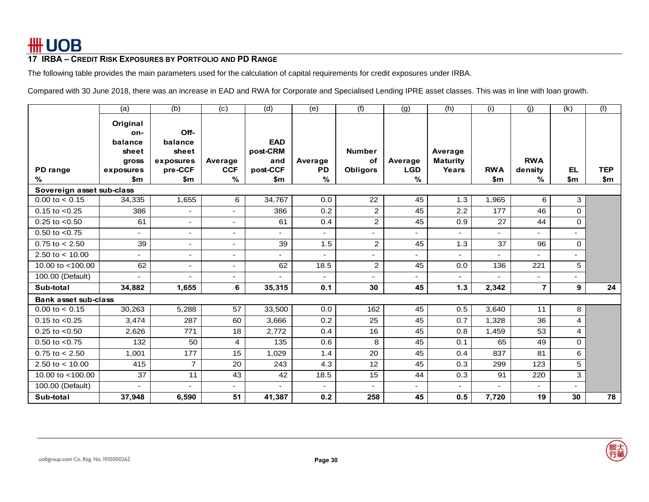The following table provides the main parameters used for the calculation of capital requirements for credit exposures under IRBA.

Compared with 30 June 2018, there was an increase in EAD and RWA for Corporate and Specialised Lending IPRE asset classes. This was in line with loan growth.

|                             | (a)                      | (b)                      | (c)                      | (d)                      | (e)                        | (f)             | (g)                      | (h)                      | (i)               | (j)                      | (k)                      | (1)               |
|-----------------------------|--------------------------|--------------------------|--------------------------|--------------------------|----------------------------|-----------------|--------------------------|--------------------------|-------------------|--------------------------|--------------------------|-------------------|
|                             | Original                 |                          |                          |                          |                            |                 |                          |                          |                   |                          |                          |                   |
|                             | on-                      | Off-                     |                          |                          |                            |                 |                          |                          |                   |                          |                          |                   |
|                             | balance                  | balance                  |                          | <b>EAD</b>               |                            |                 |                          |                          |                   |                          |                          |                   |
|                             | sheet                    | sheet                    |                          | post-CRM                 |                            | <b>Number</b>   |                          | Average                  |                   |                          |                          |                   |
|                             | gross                    | exposures                | Average                  | and                      | Average                    | οf              | Average                  | <b>Maturity</b>          |                   | <b>RWA</b>               |                          |                   |
| PD range<br>%               | exposures<br>\$m         | pre-CCF<br>\$m           | <b>CCF</b><br>$\%$       | post-CCF<br>\$m          | <b>PD</b><br>$\frac{0}{6}$ | <b>Obligors</b> | <b>LGD</b><br>%          | Years                    | <b>RWA</b><br>\$m | density<br>℅             | EL.<br>\$m               | <b>TEP</b><br>\$m |
| Sovereign asset sub-class   |                          |                          |                          |                          |                            |                 |                          |                          |                   |                          |                          |                   |
| $0.00$ to $< 0.15$          | 34,335                   | 1,655                    | 6                        | 34,767                   | 0.0                        | 22              | 45                       | 1.3                      | 1,965             | 6                        | 3                        |                   |
| $0.15$ to $< 0.25$          | 386                      | $\blacksquare$           | $\overline{\phantom{0}}$ | 386                      | 0.2                        | $\overline{2}$  | 45                       | 2.2                      | 177               | 46                       | $\Omega$                 |                   |
| $0.25$ to $< 0.50$          |                          | $\blacksquare$           |                          | 61                       | 0.4                        | $\overline{c}$  | 45                       | 0.9                      | 27                | 44                       | 0                        |                   |
|                             | 61                       |                          | $\blacksquare$           |                          |                            |                 |                          |                          |                   |                          |                          |                   |
| $0.50$ to $< 0.75$          | $\overline{\phantom{a}}$ | $\overline{\phantom{a}}$ | $\sim$                   | $\overline{\phantom{a}}$ | ٠                          |                 | $\overline{\phantom{a}}$ |                          |                   | -                        | $\overline{\phantom{0}}$ |                   |
| $0.75$ to < 2.50            | 39                       | $\overline{\phantom{a}}$ |                          | 39                       | 1.5                        | $\overline{c}$  | 45                       | 1.3                      | 37                | 96                       | $\Omega$                 |                   |
| 2.50 to $< 10.00$           | $\sim$                   | $\overline{\phantom{a}}$ | $\sim$                   | $\overline{a}$           |                            |                 | $\overline{\phantom{a}}$ | $\overline{\phantom{a}}$ |                   | $\blacksquare$           | $\overline{\phantom{0}}$ |                   |
| 10.00 to $<$ 100.00         | 62                       | $\overline{\phantom{a}}$ | $\blacksquare$           | 62                       | 18.5                       | $\overline{a}$  | 45                       | 0.0                      | 136               | 221                      | 5                        |                   |
| 100.00 (Default)            |                          |                          | ۰.                       |                          |                            |                 |                          |                          |                   | -                        |                          |                   |
| Sub-total                   | 34,882                   | 1,655                    | 6                        | 35,315                   | 0.1                        | 30              | 45                       | 1.3                      | 2,342             | $\overline{7}$           | 9                        | 24                |
| <b>Bank asset sub-class</b> |                          |                          |                          |                          |                            |                 |                          |                          |                   |                          |                          |                   |
| $0.00$ to $< 0.15$          | 30,263                   | 5,288                    | 57                       | 33,500                   | 0.0                        | 162             | 45                       | 0.5                      | 3,640             | 11                       | 8                        |                   |
| $0.15$ to $< 0.25$          | 3,474                    | 287                      | 60                       | 3,666                    | 0.2                        | 25              | 45                       | 0.7                      | 1,328             | 36                       | 4                        |                   |
| $0.25$ to $< 0.50$          | 2,626                    | 771                      | 18                       | 2,772                    | 0.4                        | 16              | 45                       | 0.8                      | 1,459             | 53                       | 4                        |                   |
| $0.50$ to $< 0.75$          | 132                      | 50                       | 4                        | 135                      | 0.6                        | 8               | 45                       | 0.1                      | 65                | 49                       | $\mathbf 0$              |                   |
| $0.75$ to $< 2.50$          | 1,001                    | 177                      | 15                       | 1,029                    | 1.4                        | 20              | 45                       | 0.4                      | 837               | 81                       | 6                        |                   |
| 2.50 to $< 10.00$           | 415                      | $\overline{7}$           | 20                       | 243                      | 4.3                        | 12              | 45                       | 0.3                      | 299               | 123                      | 5                        |                   |
| 10.00 to <100.00            | 37                       | 11                       | 43                       | 42                       | 18.5                       | 15              | 44                       | 0.3                      | 91                | 220                      | 3                        |                   |
| 100.00 (Default)            | $\blacksquare$           | $\overline{\phantom{0}}$ | $\overline{\phantom{0}}$ |                          | $\blacksquare$             |                 | $\overline{\phantom{0}}$ | $\overline{\phantom{a}}$ |                   | $\overline{\phantom{a}}$ | $\overline{\phantom{a}}$ |                   |
| Sub-total                   | 37,948                   | 6,590                    | 51                       | 41,387                   | 0.2                        | 258             | 45                       | 0.5                      | 7,720             | 19                       | 30                       | 78                |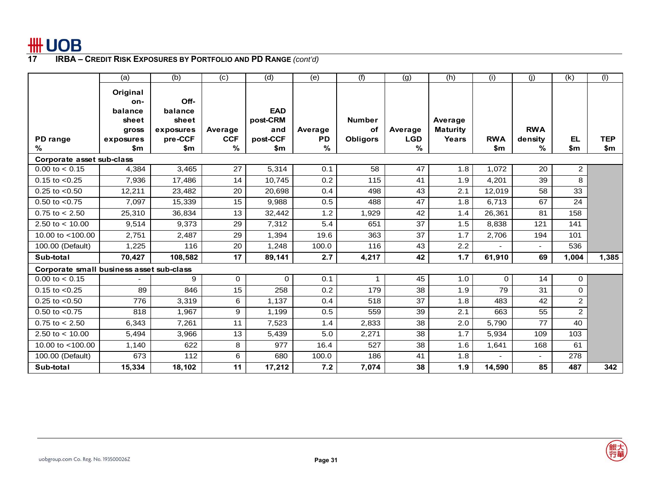

|                                          | (a)       | (b)       | (c)        | (d)        | (e)       | (f)             | (g)        | (h)             | (i)          | (i)            | (k)            | (1)        |
|------------------------------------------|-----------|-----------|------------|------------|-----------|-----------------|------------|-----------------|--------------|----------------|----------------|------------|
|                                          | Original  |           |            |            |           |                 |            |                 |              |                |                |            |
|                                          | on-       | Off-      |            |            |           |                 |            |                 |              |                |                |            |
|                                          | balance   | balance   |            | <b>EAD</b> |           |                 |            |                 |              |                |                |            |
|                                          | sheet     | sheet     |            | post-CRM   |           | <b>Number</b>   |            | Average         |              |                |                |            |
|                                          | gross     | exposures | Average    | and        | Average   | оf              | Average    | <b>Maturity</b> |              | <b>RWA</b>     |                |            |
| PD range                                 | exposures | pre-CCF   | <b>CCF</b> | post-CCF   | <b>PD</b> | <b>Obligors</b> | <b>LGD</b> | Years           | <b>RWA</b>   | density        | EL.            | <b>TEP</b> |
| ℅                                        | \$m       | \$m       | %          | \$m        | %         |                 | %          |                 | $\mathbf{m}$ | %              | $\mathsf{sm}$  | \$m        |
| Corporate asset sub-class                |           |           |            |            |           |                 |            |                 |              |                |                |            |
| $0.00$ to $< 0.15$                       | 4,384     | 3,465     | 27         | 5,314      | 0.1       | 58              | 47         | 1.8             | 1,072        | 20             | $\overline{2}$ |            |
| $0.15$ to $< 0.25$                       | 7,936     | 17,486    | 14         | 10,745     | 0.2       | 115             | 41         | 1.9             | 4,201        | 39             | 8              |            |
| $0.25$ to $< 0.50$                       | 12,211    | 23,482    | 20         | 20,698     | 0.4       | 498             | 43         | 2.1             | 12,019       | 58             | 33             |            |
| $0.50$ to $< 0.75$                       | 7,097     | 15,339    | 15         | 9,988      | 0.5       | 488             | 47         | 1.8             | 6.713        | 67             | 24             |            |
| $0.75$ to $< 2.50$                       | 25,310    | 36,834    | 13         | 32,442     | 1.2       | 1,929           | 42         | 1.4             | 26,361       | 81             | 158            |            |
| 2.50 to $< 10.00$                        | 9,514     | 9,373     | 29         | 7,312      | 5.4       | 651             | 37         | 1.5             | 8,838        | 121            | 141            |            |
| 10.00 to $<$ 100.00                      | 2,751     | 2,487     | 29         | 1,394      | 19.6      | 363             | 37         | 1.7             | 2,706        | 194            | 101            |            |
| 100.00 (Default)                         | 1,225     | 116       | 20         | 1,248      | 100.0     | 116             | 43         | 2.2             |              | $\overline{a}$ | 536            |            |
| Sub-total                                | 70,427    | 108,582   | 17         | 89,141     | 2.7       | 4,217           | 42         | 1.7             | 61,910       | 69             | 1,004          | 1,385      |
| Corporate small business asset sub-class |           |           |            |            |           |                 |            |                 |              |                |                |            |
| $0.00$ to $< 0.15$                       |           | 9         | 0          | $\Omega$   | 0.1       | 1               | 45         | 1.0             | $\Omega$     | 14             | $\mathbf{O}$   |            |
| $0.15$ to $< 0.25$                       | 89        | 846       | 15         | 258        | 0.2       | 179             | 38         | 1.9             | 79           | 31             | $\Omega$       |            |
| $0.25$ to $< 0.50$                       | 776       | 3,319     | 6          | 1,137      | 0.4       | 518             | 37         | 1.8             | 483          | 42             | $\overline{2}$ |            |
| $0.50$ to $< 0.75$                       | 818       | 1,967     | 9          | 1,199      | 0.5       | 559             | 39         | 2.1             | 663          | 55             | $\overline{2}$ |            |
| $0.75$ to $< 2.50$                       | 6,343     | 7,261     | 11         | 7,523      | 1.4       | 2,833           | 38         | 2.0             | 5,790        | 77             | 40             |            |
| 2.50 to $<$ 10.00                        | 5,494     | 3,966     | 13         | 5,439      | 5.0       | 2,271           | 38         | 1.7             | 5,934        | 109            | 103            |            |
| 10.00 to $<$ 100.00                      | 1,140     | 622       | 8          | 977        | 16.4      | 527             | 38         | 1.6             | 1,641        | 168            | 61             |            |
| 100.00 (Default)                         | 673       | 112       | 6          | 680        | 100.0     | 186             | 41         | 1.8             |              | $\blacksquare$ | 278            |            |
| Sub-total                                | 15,334    | 18,102    | 11         | 17,212     | 7.2       | 7,074           | 38         | 1.9             | 14,590       | 85             | 487            | 342        |

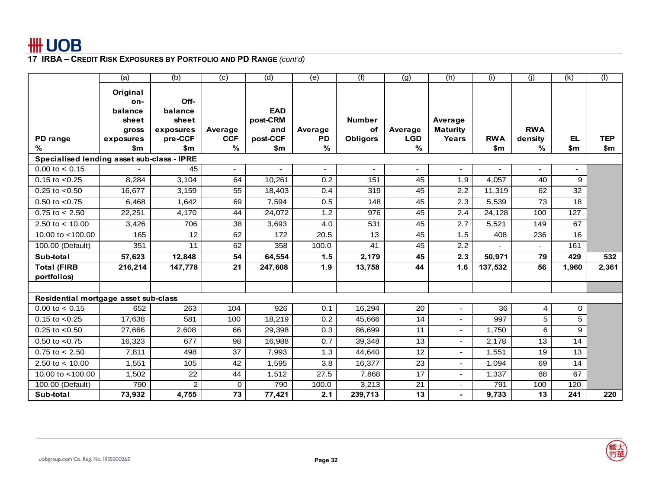

|                                            | (a)                                                       | (b)                                              | (c)                      | (d)                                       | (e)                  | (f)                                    | (g)                      | (h)                                 | (i)           | (i)                   | $\overline{(\mathsf{k})}$ | (1)        |
|--------------------------------------------|-----------------------------------------------------------|--------------------------------------------------|--------------------------|-------------------------------------------|----------------------|----------------------------------------|--------------------------|-------------------------------------|---------------|-----------------------|---------------------------|------------|
| PD range                                   | Original<br>on-<br>balance<br>sheet<br>gross<br>exposures | Off-<br>balance<br>sheet<br>exposures<br>pre-CCF | Average<br><b>CCF</b>    | <b>EAD</b><br>post-CRM<br>and<br>post-CCF | Average<br><b>PD</b> | <b>Number</b><br>оf<br><b>Obligors</b> | Average<br><b>LGD</b>    | Average<br><b>Maturity</b><br>Years | <b>RWA</b>    | <b>RWA</b><br>density | EL.                       | <b>TEP</b> |
| %                                          | \$m                                                       | \$m                                              | %                        | \$m                                       | $\%$                 |                                        | %                        |                                     | $\mathsf{sm}$ | %                     | \$m                       | \$m        |
| Specialised lending asset sub-class - IPRE |                                                           |                                                  |                          |                                           |                      |                                        |                          |                                     |               |                       |                           |            |
| $0.00$ to $< 0.15$                         |                                                           | 45                                               | $\overline{\phantom{0}}$ |                                           | ٠                    |                                        | $\overline{\phantom{a}}$ | $\overline{\phantom{a}}$            |               | $\blacksquare$        | ٠                         |            |
| $0.15$ to $< 0.25$                         | 8,284                                                     | 3,104                                            | 64                       | 10,261                                    | 0.2                  | 151                                    | 45                       | 1.9                                 | 4,057         | 40                    | 9                         |            |
| $0.25$ to $< 0.50$                         | 16,677                                                    | 3,159                                            | 55                       | 18,403                                    | 0.4                  | 319                                    | 45                       | 2.2                                 | 11,319        | 62                    | 32                        |            |
| $0.50$ to $< 0.75$                         | 6,468                                                     | 1,642                                            | 69                       | 7,594                                     | 0.5                  | 148                                    | 45                       | 2.3                                 | 5,539         | 73                    | 18                        |            |
| $0.75$ to $< 2.50$                         | 22,251                                                    | 4,170                                            | 44                       | 24,072                                    | 1.2                  | 976                                    | 45                       | 2.4                                 | 24,128        | 100                   | 127                       |            |
| 2.50 to $< 10.00$                          | 3,426                                                     | 706                                              | 38                       | 3,693                                     | 4.0                  | 531                                    | 45                       | $\overline{2.7}$                    | 5,521         | 149                   | 67                        |            |
| 10.00 to $<$ 100.00                        | 165                                                       | 12                                               | 62                       | 172                                       | 20.5                 | 13                                     | 45                       | 1.5                                 | 408           | 236                   | 16                        |            |
| 100.00 (Default)                           | 351                                                       | 11                                               | 62                       | 358                                       | 100.0                | 41                                     | 45                       | 2.2                                 |               | $\overline{a}$        | 161                       |            |
| Sub-total                                  | 57,623                                                    | 12,848                                           | 54                       | 64,554                                    | 1.5                  | 2,179                                  | 45                       | 2.3                                 | 50,971        | 79                    | 429                       | 532        |
| <b>Total (FIRB</b><br>portfolios)          | 216,214                                                   | 147,778                                          | $\overline{21}$          | 247,608                                   | 1.9                  | 13,758                                 | 44                       | 1.6                                 | 137,532       | 56                    | 1,960                     | 2,361      |
| Residential mortgage asset sub-class       |                                                           |                                                  |                          |                                           |                      |                                        |                          |                                     |               |                       |                           |            |
| $0.00$ to $< 0.15$                         | 652                                                       | 263                                              | 104                      | 926                                       | 0.1                  | 16,294                                 | 20                       | $\overline{a}$                      | 36            | 4                     | 0                         |            |
| $0.15$ to $< 0.25$                         | 17,638                                                    | 581                                              | 100                      | 18,219                                    | 0.2                  | 45,666                                 | 14                       | $\sim$                              | 997           | 5                     | 5                         |            |
| $0.25$ to $< 0.50$                         | 27,666                                                    | 2,608                                            | 66                       | 29,398                                    | 0.3                  | 86,699                                 | 11                       | $\blacksquare$                      | 1,750         | 6                     | 9                         |            |
| $0.50$ to $< 0.75$                         | 16,323                                                    | 677                                              | 98                       | 16,988                                    | 0.7                  | 39,348                                 | 13                       | $\blacksquare$                      | 2,178         | 13                    | 14                        |            |
| $0.75$ to $< 2.50$                         | 7,811                                                     | 498                                              | 37                       | 7,993                                     | 1.3                  | 44,640                                 | 12                       | $\blacksquare$                      | 1,551         | 19                    | 13                        |            |
| 2.50 to $<$ 10.00                          | 1,551                                                     | 105                                              | 42                       | 1,595                                     | 3.8                  | 16,377                                 | 23                       | $\blacksquare$                      | 1,094         | 69                    | 14                        |            |
| 10.00 to $<$ 100.00                        | 1,502                                                     | 22                                               | 44                       | 1,512                                     | 27.5                 | 7,868                                  | 17                       | $\overline{\phantom{a}}$            | 1,337         | 88                    | 67                        |            |
| 100.00 (Default)                           | 790                                                       | $\overline{2}$                                   | 0                        | 790                                       | 100.0                | 3,213                                  | $\overline{21}$          | $\overline{\phantom{a}}$            | 791           | 100                   | 120                       |            |
| Sub-total                                  | 73,932                                                    | 4,755                                            | 73                       | 77,421                                    | 2.1                  | 239,713                                | 13                       |                                     | 9,733         | 13                    | 241                       | 220        |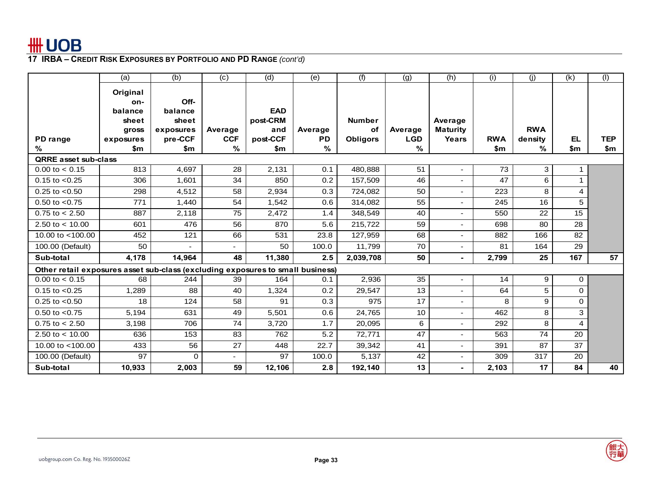

|                                                                                | (a)              | (b)                      | (c)                      | (d)             | (e)                        | (f)             | (g)             | (h)                      | (i)               | (i)          | (k)              | (1)               |
|--------------------------------------------------------------------------------|------------------|--------------------------|--------------------------|-----------------|----------------------------|-----------------|-----------------|--------------------------|-------------------|--------------|------------------|-------------------|
|                                                                                | Original         |                          |                          |                 |                            |                 |                 |                          |                   |              |                  |                   |
|                                                                                | on-              | Off-                     |                          |                 |                            |                 |                 |                          |                   |              |                  |                   |
|                                                                                | balance          | balance                  |                          | <b>EAD</b>      |                            |                 |                 |                          |                   |              |                  |                   |
|                                                                                | sheet            | sheet                    |                          | post-CRM        |                            | <b>Number</b>   |                 | Average                  |                   |              |                  |                   |
|                                                                                | gross            | exposures                | Average                  | and             | Average                    | οf              | Average         | <b>Maturity</b>          |                   | <b>RWA</b>   |                  |                   |
| PD range<br>%                                                                  | exposures<br>\$m | pre-CCF<br>\$m           | <b>CCF</b><br>$\%$       | post-CCF<br>\$m | <b>PD</b><br>$\frac{9}{6}$ | <b>Obligors</b> | <b>LGD</b><br>% | Years                    | <b>RWA</b><br>\$m | density<br>% | <b>EL</b><br>\$m | <b>TEP</b><br>\$m |
| <b>QRRE</b> asset sub-class                                                    |                  |                          |                          |                 |                            |                 |                 |                          |                   |              |                  |                   |
| $0.00$ to $< 0.15$                                                             | 813              | 4,697                    | 28                       | 2,131           | 0.1                        | 480,888         | 51              | ٠                        | 73                | 3            |                  |                   |
| $0.15$ to $< 0.25$                                                             | 306              | 1,601                    | 34                       | 850             | 0.2                        | 157,509         | 46              |                          | 47                | 6            |                  |                   |
| $0.25$ to $< 0.50$                                                             | 298              | 4,512                    | 58                       | 2,934           | 0.3                        | 724,082         | 50              | ٠                        | 223               | 8            | 4                |                   |
| $0.50$ to $< 0.75$                                                             | 771              | 1,440                    | 54                       | 1,542           | 0.6                        | 314,082         | 55              | ٠                        | 245               | 16           | 5                |                   |
| $0.75$ to $< 2.50$                                                             | 887              | 2,118                    | 75                       | 2,472           | 1.4                        | 348,549         | 40              | ٠                        | 550               | 22           | 15               |                   |
| 2.50 to $< 10.00$                                                              | 601              | 476                      | 56                       | 870             | 5.6                        | 215,722         | 59              | ٠                        | 698               | 80           | $\overline{28}$  |                   |
| 10.00 to $<$ 100.00                                                            | 452              | 121                      | 66                       | 531             | 23.8                       | 127,959         | 68              | ٠                        | 882               | 166          | 82               |                   |
| 100.00 (Default)                                                               | 50               | $\overline{\phantom{a}}$ | $\overline{\phantom{0}}$ | 50              | 100.0                      | 11,799          | 70              | $\overline{\phantom{a}}$ | 81                | 164          | 29               |                   |
| Sub-total                                                                      | 4,178            | 14.964                   | 48                       | 11,380          | 2.5                        | 2,039,708       | 50              | $\blacksquare$           | 2,799             | 25           | 167              | 57                |
| Other retail exposures asset sub-class (excluding exposures to small business) |                  |                          |                          |                 |                            |                 |                 |                          |                   |              |                  |                   |
| $0.00$ to $< 0.15$                                                             | 68               | 244                      | 39                       | 164             | 0.1                        | 2,936           | 35              | ٠                        | 14                | 9            | 0                |                   |
| $0.15$ to $< 0.25$                                                             | 1,289            | 88                       | 40                       | 1,324           | 0.2                        | 29,547          | 13              | ٠                        | 64                | 5            | 0                |                   |
| $0.25$ to $< 0.50$                                                             | 18               | 124                      | 58                       | 91              | 0.3                        | 975             | 17              |                          | 8                 | 9            | $\Omega$         |                   |
| $0.50$ to $< 0.75$                                                             | 5.194            | 631                      | 49                       | 5,501           | 0.6                        | 24,765          | 10              | $\blacksquare$           | 462               | 8            | 3                |                   |
| $0.75$ to $< 2.50$                                                             | 3,198            | 706                      | 74                       | 3,720           | 1.7                        | 20,095          | 6               | ٠                        | 292               | 8            | 4                |                   |
| 2.50 to $< 10.00$                                                              | 636              | 153                      | 83                       | 762             | 5.2                        | 72,771          | 47              | ٠                        | 563               | 74           | 20               |                   |
| 10.00 to $<$ 100.00                                                            | 433              | 56                       | 27                       | 448             | 22.7                       | 39,342          | 41              | ٠                        | 391               | 87           | 37               |                   |
| 100.00 (Default)                                                               | 97               | $\Omega$                 | $\overline{\phantom{0}}$ | 97              | 100.0                      | 5,137           | 42              | $\blacksquare$           | 309               | 317          | 20               |                   |
| Sub-total                                                                      | 10,933           | 2,003                    | 59                       | 12,106          | 2.8                        | 192,140         | 13              | $\blacksquare$           | 2,103             | 17           | 84               | 40                |

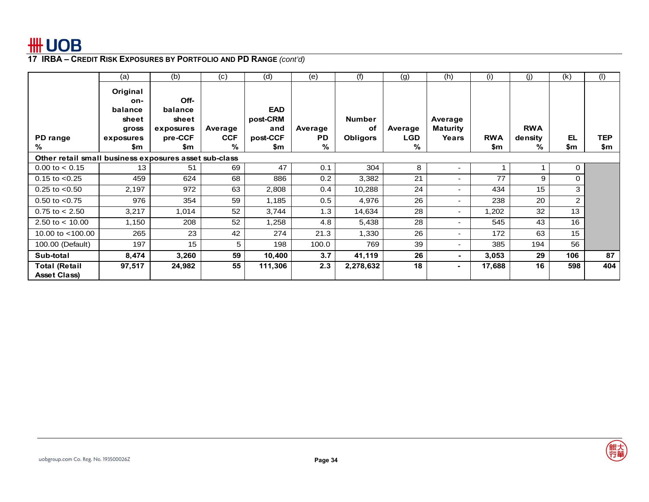

|                                                       | (a)                                                       | (b)                                              | (c)                   | (d)                                       | (e)                  | (f)                                    | (g)                   | (h)                                 | (i)        | (j)                   | (k)            | (1)        |
|-------------------------------------------------------|-----------------------------------------------------------|--------------------------------------------------|-----------------------|-------------------------------------------|----------------------|----------------------------------------|-----------------------|-------------------------------------|------------|-----------------------|----------------|------------|
| PD range                                              | Original<br>on-<br>balance<br>sheet<br>gross<br>exposures | Off-<br>balance<br>sheet<br>exposures<br>pre-CCF | Average<br><b>CCF</b> | <b>EAD</b><br>post-CRM<br>and<br>post-CCF | Average<br><b>PD</b> | <b>Number</b><br>οf<br><b>Obligors</b> | Average<br><b>LGD</b> | Average<br><b>Maturity</b><br>Years | <b>RWA</b> | <b>RWA</b><br>density | EL             | <b>TEP</b> |
| %                                                     | \$m                                                       | \$m                                              | %                     | \$m                                       | %                    |                                        | %                     |                                     | \$m        | %                     | \$m            | \$m        |
| Other retail small business exposures asset sub-class |                                                           |                                                  |                       |                                           |                      |                                        |                       |                                     |            |                       |                |            |
| $0.00$ to $< 0.15$                                    | 13                                                        | 51                                               | 69                    | 47                                        | 0.1                  | 304                                    | 8                     | ۰.                                  |            |                       | 0              |            |
| $0.15$ to $< 0.25$                                    | 459                                                       | 624                                              | 68                    | 886                                       | 0.2                  | 3,382                                  | 21                    | $\blacksquare$                      | 77         | 9                     | $\Omega$       |            |
| $0.25$ to $< 0.50$                                    | 2,197                                                     | 972                                              | 63                    | 2,808                                     | 0.4                  | 10,288                                 | 24                    | $\overline{\phantom{a}}$            | 434        | 15                    | 3              |            |
| $0.50$ to $< 0.75$                                    | 976                                                       | 354                                              | 59                    | 1,185                                     | 0.5                  | 4,976                                  | 26                    | $\overline{\phantom{0}}$            | 238        | 20                    | $\overline{2}$ |            |
| $0.75$ to $< 2.50$                                    | 3,217                                                     | 1,014                                            | 52                    | 3,744                                     | 1.3                  | 14,634                                 | 28                    | $\overline{\phantom{a}}$            | 1,202      | 32                    | 13             |            |
| 2.50 to $<$ 10.00                                     | 1,150                                                     | 208                                              | 52                    | 1,258                                     | 4.8                  | 5,438                                  | 28                    | $\blacksquare$                      | 545        | 43                    | 16             |            |
| 10.00 to <100.00                                      | 265                                                       | 23                                               | 42                    | 274                                       | 21.3                 | 1,330                                  | 26                    | $\blacksquare$                      | 172        | 63                    | 15             |            |
| 100.00 (Default)                                      | 197                                                       | 15 <sub>1</sub>                                  | 5                     | 198                                       | 100.0                | 769                                    | 39                    | ٠                                   | 385        | 194                   | 56             |            |
| Sub-total                                             | 8,474                                                     | 3,260                                            | 59                    | 10,400                                    | 3.7                  | 41,119                                 | 26                    | $\blacksquare$                      | 3.053      | 29                    | 106            | 87         |
| <b>Total (Retail</b><br><b>Asset Class)</b>           | 97,517                                                    | 24,982                                           | 55                    | 111,306                                   | 2.3                  | 2,278,632                              | 18                    | $\sim$                              | 17,688     | 16                    | 598            | 404        |

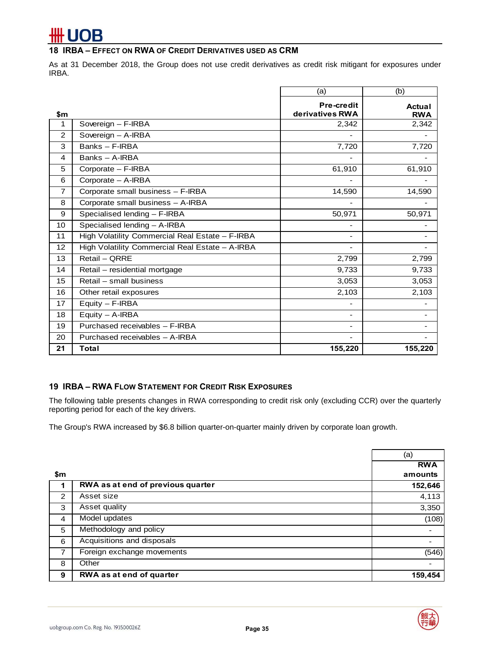# **UOB**

## **18 IRBA – EFFECT ON RWA OF CREDIT DERIVATIVES USED AS CRM**

As at 31 December 2018, the Group does not use credit derivatives as credit risk mitigant for exposures under IRBA.

|                |                                                 | (a)                      | (b)           |
|----------------|-------------------------------------------------|--------------------------|---------------|
|                |                                                 | <b>Pre-credit</b>        | <b>Actual</b> |
| \$m            |                                                 | derivatives RWA          | <b>RWA</b>    |
| 1              | Sovereign - F-IRBA                              | 2,342                    | 2,342         |
| 2              | Sovereign - A-IRBA                              |                          |               |
| 3              | Banks - F-IRBA                                  | 7,720                    | 7,720         |
| 4              | Banks - A-IRBA                                  |                          |               |
| 5              | Corporate - F-IRBA                              | 61,910                   | 61,910        |
| 6              | Corporate - A-IRBA                              |                          |               |
| $\overline{7}$ | Corporate small business - F-IRBA               | 14,590                   | 14,590        |
| 8              | Corporate small business - A-IRBA               | -                        |               |
| 9              | Specialised lending - F-IRBA                    | 50,971                   | 50,971        |
| 10             | Specialised lending - A-IRBA                    | -                        |               |
| 11             | High Volatility Commercial Real Estate - F-IRBA | $\overline{\phantom{a}}$ |               |
| 12             | High Volatility Commercial Real Estate - A-IRBA |                          |               |
| 13             | Retail - QRRE                                   | 2,799                    | 2,799         |
| 14             | Retail - residential mortgage                   | 9,733                    | 9,733         |
| 15             | Retail - small business                         | 3,053                    | 3,053         |
| 16             | Other retail exposures                          | 2,103                    | 2,103         |
| 17             | Equity - F-IRBA                                 | ۰                        |               |
| 18             | Equity - A-IRBA                                 | ٠                        |               |
| 19             | Purchased receivables - F-IRBA                  | Ξ.                       |               |
| 20             | Purchased receivables - A-IRBA                  | ۰                        |               |
| 21             | Total                                           | 155,220                  | 155,220       |

## **19 IRBA – RWA FLOW STATEMENT FOR CREDIT RISK EXPOSURES**

The following table presents changes in RWA corresponding to credit risk only (excluding CCR) over the quarterly reporting period for each of the key drivers.

The Group's RWA increased by \$6.8 billion quarter-on-quarter mainly driven by corporate loan growth.

|                |                                   | (a)        |
|----------------|-----------------------------------|------------|
|                |                                   | <b>RWA</b> |
| \$m            |                                   | amounts    |
|                | RWA as at end of previous quarter | 152,646    |
| 2              | Asset size                        | 4,113      |
| 3              | Asset quality                     | 3,350      |
| $\overline{4}$ | Model updates                     | (108)      |
| 5              | Methodology and policy            |            |
| 6              | Acquisitions and disposals        |            |
| $\overline{7}$ | Foreign exchange movements        | (546)      |
| 8              | Other                             |            |
| 9              | RWA as at end of quarter          | 159,454    |

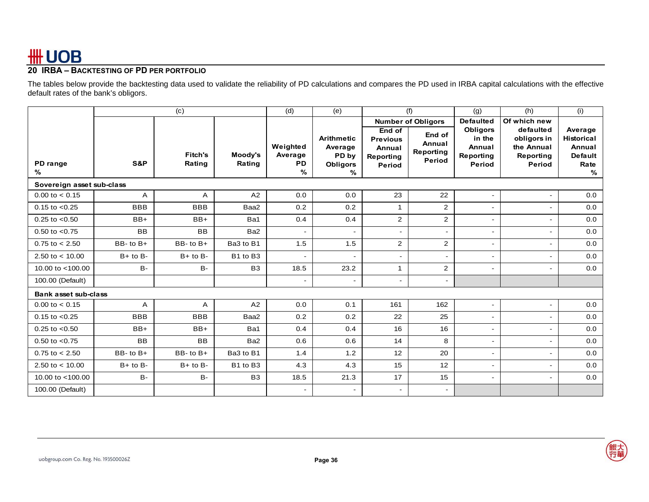# **20 IRBA – BACKTESTING OF PD PER PORTFOLIO**

The tables below provide the backtesting data used to validate the reliability of PD calculations and compares the PD used in IRBA capital calculations with the effective default rates of the bank's obligors.

|                             |               | (c)                      |                   | (d)                                   | (e)                                                           |                                                            | (f)                                     | (g)                                                        | (h)                                                           | (i)                                                            |
|-----------------------------|---------------|--------------------------|-------------------|---------------------------------------|---------------------------------------------------------------|------------------------------------------------------------|-----------------------------------------|------------------------------------------------------------|---------------------------------------------------------------|----------------------------------------------------------------|
|                             |               |                          |                   |                                       |                                                               |                                                            | <b>Number of Obligors</b>               | <b>Defaulted</b>                                           | Of which new                                                  |                                                                |
| PD range<br>%               | S&P           | <b>Fitch's</b><br>Rating | Moody's<br>Rating | Weighted<br>Average<br><b>PD</b><br>% | <b>Arithmetic</b><br>Average<br>PD by<br><b>Obligors</b><br>% | End of<br><b>Previous</b><br>Annual<br>Reporting<br>Period | End of<br>Annual<br>Reporting<br>Period | <b>Obligors</b><br>in the<br>Annual<br>Reporting<br>Period | defaulted<br>obligors in<br>the Annual<br>Reporting<br>Period | Average<br>Historical<br>Annual<br><b>Default</b><br>Rate<br>% |
| Sovereign asset sub-class   |               |                          |                   |                                       |                                                               |                                                            |                                         |                                                            |                                                               |                                                                |
| $0.00$ to $< 0.15$          | A             | A                        | A2                | 0.0                                   | 0.0                                                           | 23                                                         | 22                                      | $\blacksquare$                                             | $\blacksquare$                                                | 0.0                                                            |
| $0.15$ to $< 0.25$          | <b>BBB</b>    | <b>BBB</b>               | Baa2              | 0.2                                   | 0.2                                                           | $\mathbf{1}$                                               | $\overline{2}$                          | $\sim$                                                     | $\qquad \qquad \blacksquare$                                  | 0.0                                                            |
| $0.25$ to $< 0.50$          | BB+           | $BB+$                    | Ba1               | 0.4                                   | 0.4                                                           | $\overline{2}$                                             | $\overline{2}$                          | $\blacksquare$                                             | $\blacksquare$                                                | 0.0                                                            |
| $0.50$ to $< 0.75$          | <b>BB</b>     | <b>BB</b>                | Ba <sub>2</sub>   | $\blacksquare$                        | $\sim$                                                        | $\overline{\phantom{a}}$                                   | $\sim$                                  | $\sim$                                                     |                                                               | 0.0                                                            |
| $0.75$ to $< 2.50$          | $BB-$ to $B+$ | BB- to B+                | Ba3 to B1         | 1.5                                   | 1.5                                                           | $\overline{2}$                                             | $\overline{2}$                          | $\blacksquare$                                             | $\blacksquare$                                                | 0.0                                                            |
| 2.50 to $< 10.00$           | $B+$ to $B-$  | $B+$ to $B-$             | B1 to B3          |                                       | $\overline{\phantom{a}}$                                      | $\sim$                                                     | $\sim$                                  | $\sim$                                                     | $\overline{\phantom{a}}$                                      | 0.0                                                            |
| 10.00 to <100.00            | <b>B-</b>     | $B -$                    | B <sub>3</sub>    | 18.5                                  | 23.2                                                          | $\mathbf{1}$                                               | $\overline{2}$                          | $\blacksquare$                                             | $\blacksquare$                                                | 0.0                                                            |
| 100.00 (Default)            |               |                          |                   | $\overline{\phantom{a}}$              | $\blacksquare$                                                | $\sim$                                                     | $\mathbf{r}$                            |                                                            |                                                               |                                                                |
| <b>Bank asset sub-class</b> |               |                          |                   |                                       |                                                               |                                                            |                                         |                                                            |                                                               |                                                                |
| $0.00$ to $< 0.15$          | A             | A                        | A2                | 0.0                                   | 0.1                                                           | 161                                                        | 162                                     | $\blacksquare$                                             | L.                                                            | 0.0                                                            |
| $0.15$ to $< 0.25$          | <b>BBB</b>    | <b>BBB</b>               | Baa2              | 0.2                                   | 0.2                                                           | 22                                                         | 25                                      | $\sim$                                                     | $\blacksquare$                                                | 0.0                                                            |
| $0.25$ to $< 0.50$          | BB+           | $BB+$                    | Ba1               | 0.4                                   | 0.4                                                           | 16                                                         | 16                                      | $\sim$                                                     | $\overline{\phantom{a}}$                                      | 0.0                                                            |
| $0.50$ to $< 0.75$          | <b>BB</b>     | <b>BB</b>                | Ba <sub>2</sub>   | 0.6                                   | 0.6                                                           | 14                                                         | 8                                       | $\sim$                                                     | $\blacksquare$                                                | 0.0                                                            |
| $0.75$ to $< 2.50$          | BB- to B+     | BB- to B+                | Ba3 to B1         | 1.4                                   | 1.2                                                           | 12 <sup>2</sup>                                            | 20                                      | $\blacksquare$                                             | $\blacksquare$                                                | 0.0                                                            |
| 2.50 to $< 10.00$           | $B+$ to $B-$  | $B+$ to $B-$             | B1 to B3          | 4.3                                   | 4.3                                                           | 15                                                         | 12                                      | $\sim$                                                     | $\overline{\phantom{a}}$                                      | 0.0                                                            |
| 10.00 to <100.00            | <b>B-</b>     | $B -$                    | B <sub>3</sub>    | 18.5                                  | 21.3                                                          | 17                                                         | 15                                      | $\sim$                                                     | $\blacksquare$                                                | 0.0                                                            |
| 100.00 (Default)            |               |                          |                   | $\blacksquare$                        | $\sim$                                                        | $\sim$                                                     | $\sim$                                  |                                                            |                                                               |                                                                |

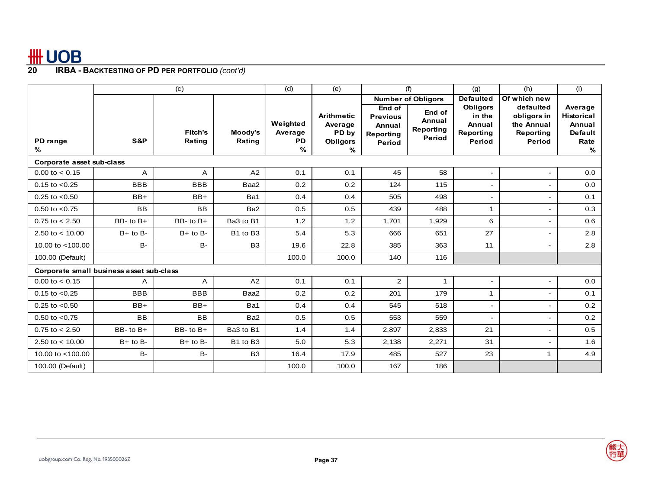|                                          |              | (c)                      |                   | (d)                                      | (e)                                                           |                                                                   | (f)                                            | (g)                                                        | (h)                                                           | (i)                                                                   |
|------------------------------------------|--------------|--------------------------|-------------------|------------------------------------------|---------------------------------------------------------------|-------------------------------------------------------------------|------------------------------------------------|------------------------------------------------------------|---------------------------------------------------------------|-----------------------------------------------------------------------|
|                                          |              |                          |                   |                                          |                                                               |                                                                   | <b>Number of Obligors</b>                      | <b>Defaulted</b>                                           | Of which new                                                  |                                                                       |
| PD range<br>℅                            | S&P          | <b>Fitch's</b><br>Rating | Moody's<br>Rating | Weighted<br>Average<br><b>PD</b><br>$\%$ | <b>Arithmetic</b><br>Average<br>PD by<br><b>Obligors</b><br>% | End of<br><b>Previous</b><br>Annual<br><b>Reporting</b><br>Period | End of<br>Annual<br>Reporting<br><b>Period</b> | <b>Obligors</b><br>in the<br>Annual<br>Reporting<br>Period | defaulted<br>obligors in<br>the Annual<br>Reporting<br>Period | Average<br><b>Historical</b><br>Annual<br><b>Default</b><br>Rate<br>% |
| Corporate asset sub-class                |              |                          |                   |                                          |                                                               |                                                                   |                                                |                                                            |                                                               |                                                                       |
| $0.00$ to $< 0.15$                       | A            | Α                        | A2                | 0.1                                      | 0.1                                                           | 45                                                                | 58                                             | $\blacksquare$                                             |                                                               | 0.0                                                                   |
| $0.15$ to $< 0.25$                       | <b>BBB</b>   | <b>BBB</b>               | Baa2              | 0.2                                      | 0.2                                                           | 124                                                               | 115                                            | $\blacksquare$                                             |                                                               | 0.0                                                                   |
| $0.25$ to $< 0.50$                       | $BB+$        | $BB+$                    | Ba1               | 0.4                                      | 0.4                                                           | 505                                                               | 498                                            | $\sim$                                                     |                                                               | 0.1                                                                   |
| $0.50$ to $< 0.75$                       | <b>BB</b>    | <b>BB</b>                | Ba2               | 0.5                                      | 0.5                                                           | 439                                                               | 488                                            | 1                                                          |                                                               | 0.3                                                                   |
| $0.75$ to $< 2.50$                       | BB-to B+     | BB- to B+                | Ba3 to B1         | 1.2                                      | 1.2                                                           | 1,701                                                             | 1,929                                          | 6                                                          |                                                               | 0.6                                                                   |
| 2.50 to $< 10.00$                        | $B+$ to $B-$ | $B+$ to $B-$             | B1 to B3          | 5.4                                      | 5.3                                                           | 666                                                               | 651                                            | 27                                                         | ٠                                                             | 2.8                                                                   |
| 10.00 to <100.00                         | <b>B-</b>    | <b>B-</b>                | B <sub>3</sub>    | 19.6                                     | 22.8                                                          | 385                                                               | 363                                            | 11                                                         |                                                               | 2.8                                                                   |
| 100.00 (Default)                         |              |                          |                   | 100.0                                    | 100.0                                                         | 140                                                               | 116                                            |                                                            |                                                               |                                                                       |
| Corporate small business asset sub-class |              |                          |                   |                                          |                                                               |                                                                   |                                                |                                                            |                                                               |                                                                       |
| $0.00$ to $< 0.15$                       | A            | A                        | A2                | 0.1                                      | 0.1                                                           | 2                                                                 | $\mathbf{1}$                                   | $\sim$                                                     |                                                               | 0.0                                                                   |
| $0.15$ to $< 0.25$                       | <b>BBB</b>   | <b>BBB</b>               | Baa2              | 0.2                                      | 0.2                                                           | 201                                                               | 179                                            | $\mathbf{1}$                                               |                                                               | 0.1                                                                   |
| $0.25$ to $< 0.50$                       | $BB+$        | $BB+$                    | Ba1               | 0.4                                      | 0.4                                                           | 545                                                               | 518                                            | $\sim$                                                     | ٠                                                             | 0.2                                                                   |
| $0.50$ to $< 0.75$                       | <b>BB</b>    | <b>BB</b>                | Ba2               | 0.5                                      | 0.5                                                           | 553                                                               | 559                                            | $\overline{\phantom{a}}$                                   |                                                               | 0.2                                                                   |
| $0.75$ to $< 2.50$                       | BB-to B+     | BB-to B+                 | Ba3 to B1         | 1.4                                      | 1.4                                                           | 2,897                                                             | 2,833                                          | 21                                                         |                                                               | 0.5                                                                   |
| 2.50 to $< 10.00$                        | $B+$ to $B-$ | $B+$ to $B-$             | B1 to B3          | 5.0                                      | 5.3                                                           | 2,138                                                             | 2,271                                          | 31                                                         |                                                               | 1.6                                                                   |
| 10.00 to <100.00                         | <b>B-</b>    | <b>B-</b>                | B <sub>3</sub>    | 16.4                                     | 17.9                                                          | 485                                                               | 527                                            | 23                                                         | $\mathbf{1}$                                                  | 4.9                                                                   |
| 100.00 (Default)                         |              |                          |                   | 100.0                                    | 100.0                                                         | 167                                                               | 186                                            |                                                            |                                                               |                                                                       |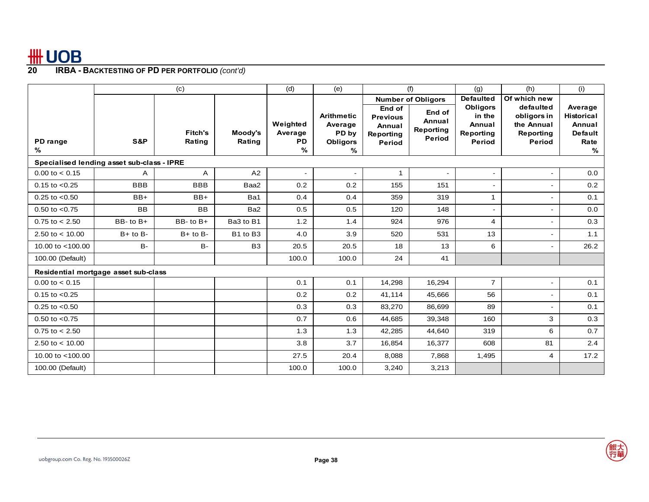|                                            |               | (c)                      |                   | (d)                                   | (e)                                                    |                                                            | (f)                                     | (g)                                                        | (h)                                                           | (i)                                                                   |
|--------------------------------------------|---------------|--------------------------|-------------------|---------------------------------------|--------------------------------------------------------|------------------------------------------------------------|-----------------------------------------|------------------------------------------------------------|---------------------------------------------------------------|-----------------------------------------------------------------------|
|                                            |               |                          |                   |                                       |                                                        |                                                            | <b>Number of Obligors</b>               | <b>Defaulted</b>                                           | Of which new                                                  |                                                                       |
| PD range<br>%                              | S&P           | <b>Fitch's</b><br>Rating | Moody's<br>Rating | Weighted<br>Average<br><b>PD</b><br>% | <b>Arithmetic</b><br>Average<br>PD by<br>Obligors<br>℅ | End of<br><b>Previous</b><br>Annual<br>Reporting<br>Period | End of<br>Annual<br>Reporting<br>Period | <b>Obligors</b><br>in the<br>Annual<br>Reporting<br>Period | defaulted<br>obligors in<br>the Annual<br>Reporting<br>Period | Average<br><b>Historical</b><br>Annual<br><b>Default</b><br>Rate<br>% |
| Specialised lending asset sub-class - IPRE |               |                          |                   |                                       |                                                        |                                                            |                                         |                                                            |                                                               |                                                                       |
| $0.00$ to $< 0.15$                         | A             | A                        | A2                | $\blacksquare$                        | -                                                      | $\mathbf{1}$                                               | -                                       | $\blacksquare$                                             | $\frac{1}{2}$                                                 | 0.0                                                                   |
| $0.15$ to $< 0.25$                         | <b>BBB</b>    | <b>BBB</b>               | Baa2              | 0.2                                   | 0.2                                                    | 155                                                        | 151                                     | $\sim$                                                     | ۰                                                             | 0.2                                                                   |
| $0.25$ to $< 0.50$                         | $BB+$         | $BB+$                    | Ba1               | 0.4                                   | 0.4                                                    | 359                                                        | 319                                     | 1                                                          | L,                                                            | 0.1                                                                   |
| $0.50$ to $< 0.75$                         | <b>BB</b>     | <b>BB</b>                | Ba2               | 0.5                                   | 0.5                                                    | 120                                                        | 148                                     | $\sim$                                                     |                                                               | 0.0                                                                   |
| $0.75$ to $< 2.50$                         | $BB - to B +$ | $BB-$ to $B+$            | Ba3 to B1         | 1.2                                   | 1.4                                                    | 924                                                        | 976                                     | 4                                                          | ۰                                                             | 0.3                                                                   |
| 2.50 to $< 10.00$                          | $B+$ to $B-$  | $B+$ to $B-$             | B1 to B3          | 4.0                                   | 3.9                                                    | 520                                                        | 531                                     | 13                                                         | $\frac{1}{2}$                                                 | 1.1                                                                   |
| 10.00 to <100.00                           | <b>B-</b>     | <b>B-</b>                | B <sub>3</sub>    | 20.5                                  | 20.5                                                   | 18                                                         | 13                                      | 6                                                          | $\qquad \qquad \blacksquare$                                  | 26.2                                                                  |
| 100.00 (Default)                           |               |                          |                   | 100.0                                 | 100.0                                                  | 24                                                         | 41                                      |                                                            |                                                               |                                                                       |
| Residential mortgage asset sub-class       |               |                          |                   |                                       |                                                        |                                                            |                                         |                                                            |                                                               |                                                                       |
| $0.00$ to $< 0.15$                         |               |                          |                   | 0.1                                   | 0.1                                                    | 14,298                                                     | 16,294                                  | $\overline{7}$                                             | $\frac{1}{2}$                                                 | 0.1                                                                   |
| $0.15$ to $< 0.25$                         |               |                          |                   | 0.2                                   | 0.2                                                    | 41,114                                                     | 45,666                                  | 56                                                         | ۰                                                             | 0.1                                                                   |
| $0.25$ to $< 0.50$                         |               |                          |                   | 0.3                                   | 0.3                                                    | 83,270                                                     | 86,699                                  | 89                                                         |                                                               | 0.1                                                                   |
| $0.50$ to $< 0.75$                         |               |                          |                   | 0.7                                   | 0.6                                                    | 44,685                                                     | 39,348                                  | 160                                                        | 3                                                             | 0.3                                                                   |
| $0.75$ to $< 2.50$                         |               |                          |                   | 1.3                                   | 1.3                                                    | 42,285                                                     | 44,640                                  | 319                                                        | 6                                                             | 0.7                                                                   |
| 2.50 to $<$ 10.00                          |               |                          |                   | 3.8                                   | 3.7                                                    | 16,854                                                     | 16,377                                  | 608                                                        | 81                                                            | 2.4                                                                   |
| 10.00 to <100.00                           |               |                          |                   | 27.5                                  | 20.4                                                   | 8,088                                                      | 7,868                                   | 1,495                                                      | 4                                                             | 17.2                                                                  |
| 100.00 (Default)                           |               |                          |                   | 100.0                                 | 100.0                                                  | 3,240                                                      | 3,213                                   |                                                            |                                                               |                                                                       |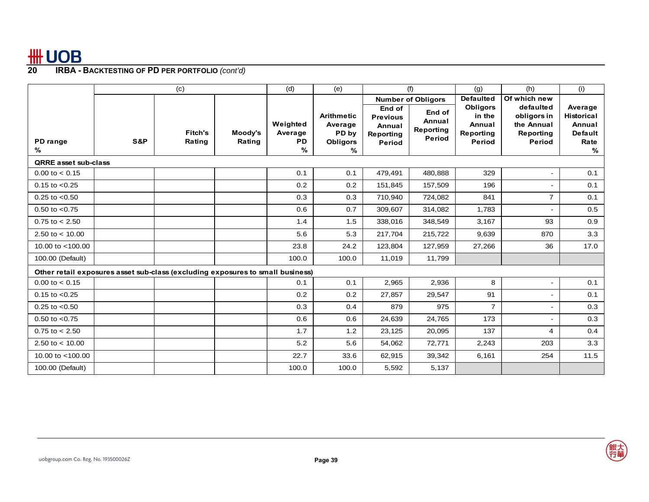|                                                                                |     | (c)                      |                   | (d)                                      | (e)                                                           |                                                            | (f)                                     | (g)                                                        | (h)                                                           | (i)                                                                   |
|--------------------------------------------------------------------------------|-----|--------------------------|-------------------|------------------------------------------|---------------------------------------------------------------|------------------------------------------------------------|-----------------------------------------|------------------------------------------------------------|---------------------------------------------------------------|-----------------------------------------------------------------------|
|                                                                                |     |                          |                   |                                          |                                                               |                                                            | <b>Number of Obligors</b>               | <b>Defaulted</b>                                           | Of which new                                                  |                                                                       |
| PD range<br>%                                                                  | S&P | <b>Fitch's</b><br>Rating | Moody's<br>Rating | Weighted<br>Average<br><b>PD</b><br>$\%$ | <b>Arithmetic</b><br>Average<br>PD by<br><b>Obligors</b><br>% | End of<br><b>Previous</b><br>Annual<br>Reporting<br>Period | End of<br>Annual<br>Reporting<br>Period | <b>Obligors</b><br>in the<br>Annual<br>Reporting<br>Period | defaulted<br>obligors in<br>the Annual<br>Reporting<br>Period | Average<br><b>Historical</b><br>Annual<br><b>Default</b><br>Rate<br>% |
| <b>QRRE</b> asset sub-class                                                    |     |                          |                   |                                          |                                                               |                                                            |                                         |                                                            |                                                               |                                                                       |
| $0.00$ to $< 0.15$                                                             |     |                          |                   | 0.1                                      | 0.1                                                           | 479,491                                                    | 480,888                                 | 329                                                        |                                                               | 0.1                                                                   |
| $0.15$ to $< 0.25$                                                             |     |                          |                   | 0.2                                      | 0.2                                                           | 151,845                                                    | 157,509                                 | 196                                                        | ۰                                                             | 0.1                                                                   |
| $0.25$ to $< 0.50$                                                             |     |                          |                   | 0.3                                      | 0.3                                                           | 710,940                                                    | 724,082                                 | 841                                                        | $\overline{7}$                                                | 0.1                                                                   |
| $0.50$ to $< 0.75$                                                             |     |                          |                   | 0.6                                      | 0.7                                                           | 309,607                                                    | 314,082                                 | 1,783                                                      |                                                               | 0.5                                                                   |
| $0.75$ to $< 2.50$                                                             |     |                          |                   | 1.4                                      | 1.5                                                           | 338,016                                                    | 348,549                                 | 3,167                                                      | 93                                                            | 0.9                                                                   |
| 2.50 to $<$ 10.00                                                              |     |                          |                   | 5.6                                      | 5.3                                                           | 217,704                                                    | 215,722                                 | 9,639                                                      | 870                                                           | 3.3                                                                   |
| 10.00 to $<$ 100.00                                                            |     |                          |                   | 23.8                                     | 24.2                                                          | 123,804                                                    | 127,959                                 | 27,266                                                     | 36                                                            | 17.0                                                                  |
| 100.00 (Default)                                                               |     |                          |                   | 100.0                                    | 100.0                                                         | 11,019                                                     | 11,799                                  |                                                            |                                                               |                                                                       |
| Other retail exposures asset sub-class (excluding exposures to small business) |     |                          |                   |                                          |                                                               |                                                            |                                         |                                                            |                                                               |                                                                       |
| $0.00$ to $< 0.15$                                                             |     |                          |                   | 0.1                                      | 0.1                                                           | 2,965                                                      | 2,936                                   | 8                                                          | $\frac{1}{2}$                                                 | 0.1                                                                   |
| $0.15$ to $< 0.25$                                                             |     |                          |                   | 0.2                                      | 0.2                                                           | 27,857                                                     | 29,547                                  | 91                                                         |                                                               | 0.1                                                                   |
| $0.25$ to $< 0.50$                                                             |     |                          |                   | 0.3                                      | 0.4                                                           | 879                                                        | 975                                     | $\overline{7}$                                             | L,                                                            | 0.3                                                                   |
| $0.50$ to $< 0.75$                                                             |     |                          |                   | 0.6                                      | 0.6                                                           | 24,639                                                     | 24,765                                  | 173                                                        |                                                               | 0.3                                                                   |
| $0.75$ to $< 2.50$                                                             |     |                          |                   | 1.7                                      | 1.2                                                           | 23,125                                                     | 20,095                                  | 137                                                        | 4                                                             | 0.4                                                                   |
| 2.50 to $<$ 10.00                                                              |     |                          |                   | 5.2                                      | 5.6                                                           | 54,062                                                     | 72,771                                  | 2,243                                                      | 203                                                           | 3.3                                                                   |
| 10.00 to $<$ 100.00                                                            |     |                          |                   | 22.7                                     | 33.6                                                          | 62,915                                                     | 39,342                                  | 6,161                                                      | 254                                                           | 11.5                                                                  |
| 100.00 (Default)                                                               |     |                          |                   | 100.0                                    | 100.0                                                         | 5,592                                                      | 5,137                                   |                                                            |                                                               |                                                                       |

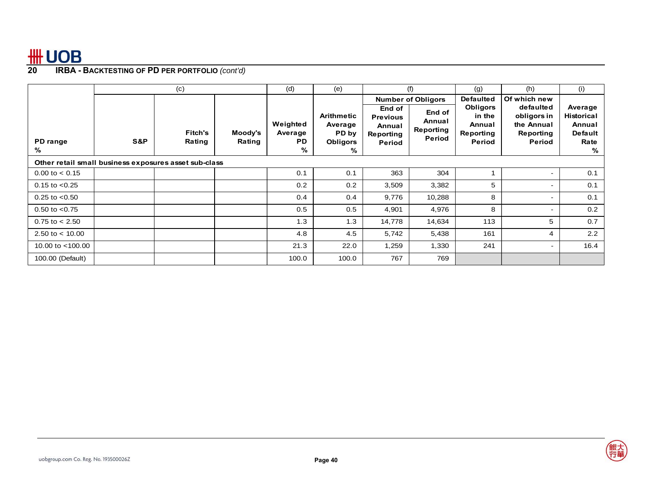|                                                       |     | (c)                      |                   | (d)                                   | (e)                                                    |                                                            | (f)                                     | (g)                                                        | (h)                                                           | (i)                                                            |
|-------------------------------------------------------|-----|--------------------------|-------------------|---------------------------------------|--------------------------------------------------------|------------------------------------------------------------|-----------------------------------------|------------------------------------------------------------|---------------------------------------------------------------|----------------------------------------------------------------|
|                                                       |     |                          |                   |                                       |                                                        |                                                            | <b>Number of Obligors</b>               | <b>Defaulted</b>                                           | Of which new                                                  |                                                                |
| PD range<br>%                                         | S&P | <b>Fitch's</b><br>Rating | Moody's<br>Rating | Weighted<br>Average<br><b>PD</b><br>% | Arithmetic<br>Average<br>PD by<br><b>Obligors</b><br>% | End of<br><b>Previous</b><br>Annual<br>Reporting<br>Period | End of<br>Annual<br>Reporting<br>Period | <b>Obligors</b><br>in the<br>Annual<br>Reporting<br>Period | defaulted<br>obligors in<br>the Annual<br>Reporting<br>Period | Average<br>Historical<br>Annual<br><b>Default</b><br>Rate<br>% |
| Other retail small business exposures asset sub-class |     |                          |                   |                                       |                                                        |                                                            |                                         |                                                            |                                                               |                                                                |
| $0.00$ to $< 0.15$                                    |     |                          |                   | 0.1                                   | 0.1                                                    | 363                                                        | 304                                     |                                                            |                                                               | 0.1                                                            |
| $0.15$ to $< 0.25$                                    |     |                          |                   | 0.2                                   | 0.2                                                    | 3,509                                                      | 3,382                                   | 5                                                          | ۰.                                                            | 0.1                                                            |
| $0.25$ to $< 0.50$                                    |     |                          |                   | 0.4                                   | 0.4                                                    | 9,776                                                      | 10,288                                  | 8                                                          | ۰                                                             | 0.1                                                            |
| $0.50$ to $< 0.75$                                    |     |                          |                   | 0.5                                   | 0.5                                                    | 4,901                                                      | 4,976                                   | 8                                                          |                                                               | 0.2                                                            |
| $0.75$ to $< 2.50$                                    |     |                          |                   | 1.3                                   | 1.3                                                    | 14,778                                                     | 14,634                                  | 113                                                        | 5                                                             | 0.7                                                            |
| 2.50 to $<$ 10.00                                     |     |                          |                   | 4.8                                   | 4.5                                                    | 5,742                                                      | 5,438                                   | 161                                                        | 4                                                             | 2.2                                                            |
| 10.00 to $<$ 100.00                                   |     |                          |                   | 21.3                                  | 22.0                                                   | 1,259                                                      | 1,330                                   | 241                                                        |                                                               | 16.4                                                           |
| 100.00 (Default)                                      |     |                          |                   | 100.0                                 | 100.0                                                  | 767                                                        | 769                                     |                                                            |                                                               |                                                                |

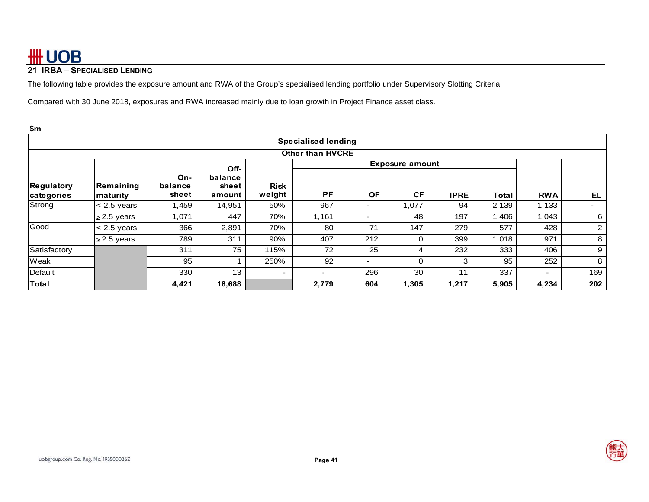# **21 IRBA – SPECIALISED LENDING**

The following table provides the exposure amount and RWA of the Group's specialised lending portfolio under Supervisory Slotting Criteria.

Compared with 30 June 2018, exposures and RWA increased mainly due to loan growth in Project Finance asset class.

| \$m                      |                               |                         |                            |                          |                          |                          |                        |             |       |                          |                |
|--------------------------|-------------------------------|-------------------------|----------------------------|--------------------------|--------------------------|--------------------------|------------------------|-------------|-------|--------------------------|----------------|
|                          | <b>Specialised lending</b>    |                         |                            |                          |                          |                          |                        |             |       |                          |                |
| <b>Other than HVCRE</b>  |                               |                         |                            |                          |                          |                          |                        |             |       |                          |                |
|                          |                               |                         | Off-                       |                          |                          |                          | <b>Exposure amount</b> |             |       |                          |                |
| Regulatory<br>categories | Remaining<br><b>Imaturity</b> | On-<br>balance<br>sheet | balance<br>sheet<br>amount | <b>Risk</b><br>weight    | <b>PF</b>                | <b>OF</b>                | <b>CF</b>              | <b>IPRE</b> | Total | <b>RWA</b>               | EL.            |
| Strong                   | $< 2.5$ years                 | 1,459                   | 14,951                     | 50%                      | 967                      | ٠                        | 1,077                  | 94          | 2,139 | 1,133                    | ۰.             |
|                          | $\geq$ 2.5 years              | 1,071                   | 447                        | 70%                      | 1,161                    | ٠                        | 48                     | 197         | 1,406 | 1,043                    | 6              |
| Good                     | $< 2.5$ years                 | 366                     | 2,891                      | 70%                      | 80                       | 71                       | 147                    | 279         | 577   | 428                      | $\overline{2}$ |
|                          | $\geq$ 2.5 years              | 789                     | 311                        | 90%                      | 407                      | 212                      |                        | 399         | 1,018 | 971                      | 8              |
| Satisfactory             |                               | 311                     | 75                         | 115%                     | 72                       | 25                       | 4                      | 232         | 333   | 406                      | 9              |
| Weak                     |                               | 95                      |                            | 250%                     | 92                       | $\overline{\phantom{a}}$ |                        | 3           | 95    | 252                      | 8              |
| Default                  |                               | 330                     | 13                         | $\overline{\phantom{0}}$ | $\overline{\phantom{0}}$ | 296                      | 30                     | 11          | 337   | $\overline{\phantom{0}}$ | 169            |
| Total                    |                               | 4,421                   | 18,688                     |                          | 2,779                    | 604                      | 1,305                  | 1,217       | 5,905 | 4,234                    | 202            |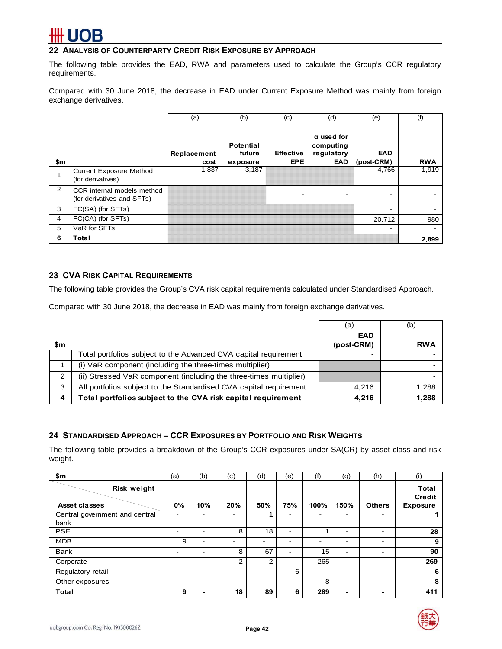## **22 ANALYSIS OF COUNTERPARTY CREDIT RISK EXPOSURE BY APPROACH**

The following table provides the EAD, RWA and parameters used to calculate the Group's CCR regulatory requirements.

Compared with 30 June 2018, the decrease in EAD under Current Exposure Method was mainly from foreign exchange derivatives.

|                |                                                          | (a)                 | (b)                                    | (c)                            | (d)                                                        | (e)                      | (f)        |
|----------------|----------------------------------------------------------|---------------------|----------------------------------------|--------------------------------|------------------------------------------------------------|--------------------------|------------|
| \$m            |                                                          | Replacement<br>cost | <b>Potential</b><br>future<br>exposure | <b>Effective</b><br><b>EPE</b> | $\alpha$ used for<br>computing<br>regulatory<br><b>EAD</b> | <b>EAD</b><br>(post-CRM) | <b>RWA</b> |
|                | <b>Current Exposure Method</b><br>(for derivatives)      | 1,837               | 3,187                                  |                                |                                                            | 4,766                    | 1,919      |
| $\overline{2}$ | CCR internal models method<br>(for derivatives and SFTs) |                     |                                        |                                |                                                            |                          |            |
| 3              | FC(SA) (for SFTs)                                        |                     |                                        |                                |                                                            | -                        |            |
| $\overline{4}$ | FC(CA) (for SFTs)                                        |                     |                                        |                                |                                                            | 20,712                   | 980        |
| 5              | VaR for SFTs                                             |                     |                                        |                                |                                                            |                          |            |
| 6              | Total                                                    |                     |                                        |                                |                                                            |                          | 2,899      |

## **23 CVA RISK CAPITAL REQUIREMENTS**

The following table provides the Group's CVA risk capital requirements calculated under Standardised Approach.

Compared with 30 June 2018, the decrease in EAD was mainly from foreign exchange derivatives.

|     |                                                                    | (a)                      | (b)        |
|-----|--------------------------------------------------------------------|--------------------------|------------|
| \$m |                                                                    | <b>EAD</b><br>(post-CRM) | <b>RWA</b> |
|     | Total portfolios subject to the Advanced CVA capital requirement   |                          |            |
|     | (i) VaR component (including the three-times multiplier)           |                          |            |
|     | (ii) Stressed VaR component (including the three-times multiplier) |                          |            |
| 3   | All portfolios subject to the Standardised CVA capital requirement | 4.216                    | 1,288      |
| 4   | Total portfolios subject to the CVA risk capital requirement       | 4.216                    | 1,288      |

### **24 STANDARDISED APPROACH – CCR EXPOSURES BY PORTFOLIO AND RISK WEIGHTS**

The following table provides a breakdown of the Group's CCR exposures under SA(CR) by asset class and risk weight.

| \$m                                    | (a)                      | (b) | (c) | (d)  | (e) | (f)                      | (g)                      | (h)                      | (i)                                              |
|----------------------------------------|--------------------------|-----|-----|------|-----|--------------------------|--------------------------|--------------------------|--------------------------------------------------|
| Risk weight<br>Asset classes           | 0%                       | 10% | 20% | 50%  | 75% | 100%                     | 150%                     | <b>Others</b>            | <b>Total</b><br><b>Credit</b><br><b>Exposure</b> |
| Central government and central<br>bank | -                        |     |     |      |     | -                        | -                        |                          |                                                  |
| <b>PSE</b>                             | $\overline{\phantom{0}}$ | -   | 8   | 18   |     |                          | $\overline{\phantom{a}}$ |                          | 28                                               |
| <b>MDB</b>                             | 9                        | -   | -   |      |     | -                        | ۰                        |                          | 9                                                |
| <b>Bank</b>                            | -                        | ۰   | 8   | 67   |     | 15                       | ۰                        |                          | 90                                               |
| Corporate                              | -                        | ۰   | 2   | 2    | -   | 265                      | $\overline{\phantom{a}}$ | -                        | 269                                              |
| Regulatory retail                      | -                        | -   | -   |      | 6   | $\overline{\phantom{0}}$ | -                        | -                        | 6                                                |
| Other exposures                        | $\overline{\phantom{0}}$ | -   | -   | $\,$ | -   | 8                        | -                        | $\overline{\phantom{a}}$ | 8                                                |
| Total                                  | 9                        | ۰.  | 18  | 89   | 6   | 289                      | ۰                        | -                        | 411                                              |

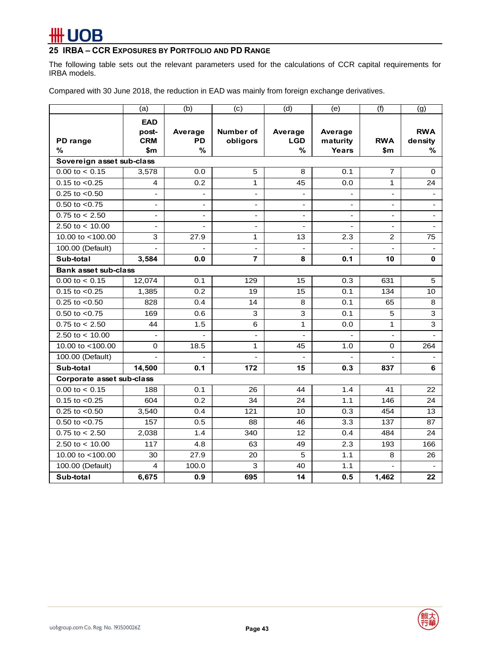# # UOB

# **25 IRBA – CCR EXPOSURES BY PORTFOLIO AND PD RANGE**

The following table sets out the relevant parameters used for the calculations of CCR capital requirements for IRBA models.

Compared with 30 June 2018, the reduction in EAD was mainly from foreign exchange derivatives.

|                                                       | (a)                      | (b)       | (c)                      | (d)                      | (e)                      | (f)            | (g)            |
|-------------------------------------------------------|--------------------------|-----------|--------------------------|--------------------------|--------------------------|----------------|----------------|
|                                                       | <b>EAD</b><br>post-      | Average   | Number of                | Average                  | Average                  |                | <b>RWA</b>     |
| PD range                                              | <b>CRM</b>               | <b>PD</b> | obligors                 | <b>LGD</b>               | maturity                 | <b>RWA</b>     | density        |
| %                                                     | \$m                      | %         |                          | %                        | Years                    | \$m            | %              |
| Sovereign asset sub-class                             |                          |           |                          |                          |                          |                |                |
| $0.00$ to $< 0.15$                                    | 3,578                    | 0.0       | 5                        | 8                        | 0.1                      | $\overline{7}$ | 0              |
| $0.15$ to $< 0.25$                                    | 4                        | 0.2       | $\mathbf{1}$             | 45                       | 0.0                      | $\mathbf{1}$   | 24             |
| $0.25$ to $< 0.50$                                    | $\overline{\phantom{a}}$ |           | $\overline{\phantom{a}}$ | $\overline{\phantom{0}}$ |                          | ٠              |                |
| $0.50$ to $< 0.75$                                    | $\blacksquare$           |           | $\overline{a}$           | $\overline{a}$           |                          |                | $\overline{a}$ |
| $\frac{0.75 \text{ to } 2.50}{0.75 \text{ to } 2.50}$ | $\overline{\phantom{a}}$ |           | $\overline{\phantom{a}}$ | $\frac{1}{2}$            | $\overline{\phantom{a}}$ | $\blacksquare$ | ٠              |
| 2.50 to $< 10.00$                                     | $\overline{\phantom{a}}$ |           | $\overline{a}$           | $\overline{a}$           | $\overline{a}$           |                | $\sim$         |
| 10.00 to <100.00                                      | 3                        | 27.9      | 1                        | 13                       | 2.3                      | 2              | 75             |
| 100.00 (Default)                                      |                          |           | $\overline{a}$           | $\overline{a}$           |                          |                | $\blacksquare$ |
| Sub-total                                             | 3,584                    | 0.0       | $\overline{7}$           | 8                        | 0.1                      | 10             | 0              |
| <b>Bank asset sub-class</b>                           |                          |           |                          |                          |                          |                |                |
| $0.00$ to $< 0.15$                                    | 12,074                   | 0.1       | 129                      | 15                       | 0.3                      | 631            | 5              |
| $0.15$ to $< 0.25$                                    | 1,385                    | 0.2       | 19                       | 15                       | 0.1                      | 134            | 10             |
| $0.25$ to $< 0.50$                                    | 828                      | 0.4       | 14                       | 8                        | 0.1                      | 65             | 8              |
| $0.50$ to $< 0.75$                                    | 169                      | 0.6       | 3                        | 3                        | 0.1                      | 5              | 3              |
| $0.75$ to $< 2.50$                                    | 44                       | 1.5       | 6                        | 1                        | 0.0                      | $\mathbf{1}$   | 3              |
| 2.50 to $<$ 10.00                                     | $\sim$                   |           | $\overline{a}$           | $\overline{a}$           |                          | $\blacksquare$ |                |
| 10.00 to <100.00                                      | 0                        | 18.5      | 1                        | 45                       | 1.0                      | 0              | 264            |
| 100.00 (Default)                                      |                          |           |                          |                          |                          |                |                |
| Sub-total                                             | 14.500                   | 0.1       | 172                      | 15                       | 0.3                      | 837            | 6              |
| Corporate asset sub-class                             |                          |           |                          |                          |                          |                |                |
| $0.00$ to $< 0.15$                                    | 188                      | 0.1       | 26                       | 44                       | 1.4                      | 41             | 22             |
| $0.15$ to $< 0.25$                                    | 604                      | 0.2       | 34                       | 24                       | 1.1                      | 146            | 24             |
| $0.25$ to $< 0.50$                                    | 3,540                    | 0.4       | 121                      | 10                       | 0.3                      | 454            | 13             |
| $\overline{0.50}$ to <0.75                            | 157                      | 0.5       | 88                       | 46                       | 3.3                      | 137            | 87             |
| $0.75$ to $< 2.50$                                    | 2,038                    | 1.4       | 340                      | 12                       | 0.4                      | 484            | 24             |
| 2.50 to $< 10.00$                                     | 117                      | 4.8       | 63                       | 49                       | 2.3                      | 193            | 166            |
| 10.00 to <100.00                                      | 30                       | 27.9      | 20                       | 5                        | 1.1                      | 8              | 26             |
| 100.00 (Default)                                      | 4                        | 100.0     | 3                        | 40                       | 1.1                      |                | $\blacksquare$ |
| Sub-total                                             | 6,675                    | 0.9       | 695                      | 14                       | 0.5                      | 1,462          | 22             |

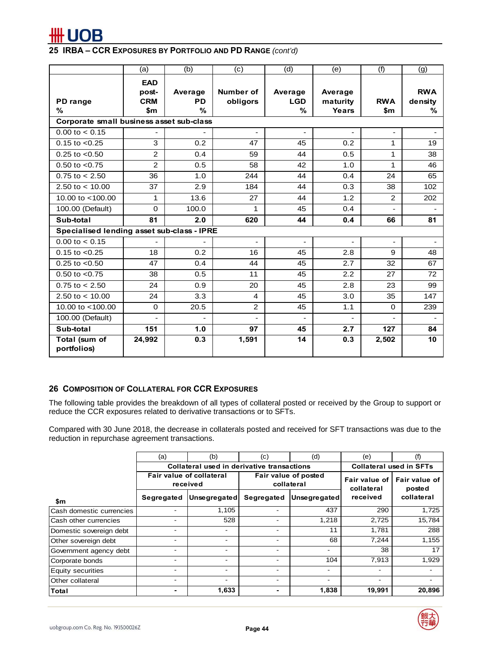

|                                            | (a)                                      | (b)                          | (c)                   | (d)                        | (e)                          | (f)                      | (g)                        |  |  |  |
|--------------------------------------------|------------------------------------------|------------------------------|-----------------------|----------------------------|------------------------------|--------------------------|----------------------------|--|--|--|
| PD range<br>℅                              | <b>EAD</b><br>post-<br><b>CRM</b><br>\$m | Average<br><b>PD</b><br>$\%$ | Number of<br>obligors | Average<br><b>LGD</b><br>% | Average<br>maturity<br>Years | <b>RWA</b><br>\$m        | <b>RWA</b><br>density<br>% |  |  |  |
| Corporate small business asset sub-class   |                                          |                              |                       |                            |                              |                          |                            |  |  |  |
| $0.00$ to $< 0.15$                         |                                          |                              |                       |                            |                              |                          |                            |  |  |  |
| $0.15$ to $< 0.25$                         | 3                                        | 0.2                          | 47                    | 45                         | 0.2                          | 1                        | 19                         |  |  |  |
| $0.25$ to $< 0.50$                         | $\overline{2}$                           | 0.4                          | 59                    | 44                         | 0.5                          | 1                        | 38                         |  |  |  |
| $0.50$ to $< 0.75$                         | $\overline{2}$                           | 0.5                          | 58                    | 42                         | 1.0                          | 1                        | 46                         |  |  |  |
| $0.75$ to $< 2.50$                         | 36                                       | 1.0                          | 244                   | 44                         | 0.4                          | 24                       | 65                         |  |  |  |
| 2.50 to $<$ 10.00                          | 37                                       | 2.9                          | 184                   | 44                         | 0.3                          | 38                       | 102                        |  |  |  |
| 10.00 to $<$ 100.00                        | 1                                        | 13.6                         | 27                    | 44                         | 1.2                          | 2                        | 202                        |  |  |  |
| 100.00 (Default)                           | $\Omega$                                 | 100.0                        | 1                     | 45                         | 0.4                          |                          |                            |  |  |  |
| Sub-total                                  | 81                                       | 2.0                          | 620                   | 44                         | 0.4                          | 66                       | 81                         |  |  |  |
| Specialised lending asset sub-class - IPRE |                                          |                              |                       |                            |                              |                          |                            |  |  |  |
| $0.00$ to $< 0.15$                         |                                          |                              | $\blacksquare$        | $\sim$                     | $\blacksquare$               | $\overline{\phantom{a}}$ | ۰                          |  |  |  |
| $0.15$ to $< 0.25$                         | 18                                       | 0.2                          | 16                    | 45                         | 2.8                          | 9                        | 48                         |  |  |  |
| $0.25$ to $< 0.50$                         | 47                                       | 0.4                          | 44                    | 45                         | 2.7                          | 32                       | 67                         |  |  |  |
| $0.50$ to $< 0.75$                         | 38                                       | 0.5                          | 11                    | 45                         | 2.2                          | 27                       | 72                         |  |  |  |
| $0.75$ to $< 2.50$                         | 24                                       | 0.9                          | 20                    | 45                         | 2.8                          | 23                       | 99                         |  |  |  |
| 2.50 to $<$ 10.00                          | 24                                       | 3.3                          | 4                     | 45                         | 3.0                          | 35                       | 147                        |  |  |  |
| 10.00 to <100.00                           | $\mathbf 0$                              | 20.5                         | $\overline{2}$        | 45                         | 1.1                          | $\Omega$                 | 239                        |  |  |  |
| 100.00 (Default)                           |                                          |                              |                       |                            |                              |                          |                            |  |  |  |
| Sub-total                                  | 151                                      | 1.0                          | 97                    | 45                         | 2.7                          | 127                      | 84                         |  |  |  |
| Total (sum of<br>portfolios)               | 24,992                                   | 0.3                          | 1,591                 | 14                         | 0.3                          | 2,502                    | 10                         |  |  |  |

# **26 COMPOSITION OF COLLATERAL FOR CCR EXPOSURES**

The following table provides the breakdown of all types of collateral posted or received by the Group to support or reduce the CCR exposures related to derivative transactions or to SFTs.

Compared with 30 June 2018, the decrease in collaterals posted and received for SFT transactions was due to the reduction in repurchase agreement transactions.

|                          | (a)        | (b)                                                                                         | (d)<br>(c)               |              | (e)                      | (f)                            |
|--------------------------|------------|---------------------------------------------------------------------------------------------|--------------------------|--------------|--------------------------|--------------------------------|
|                          |            | Collateral used in derivative transactions                                                  |                          |              |                          | <b>Collateral used in SFTs</b> |
|                          |            | Fair value of collateral<br>Fair value of posted<br>Fair value of<br>collateral<br>received |                          |              |                          | Fair value of<br>posted        |
| \$m                      | Segregated | Unsegregated                                                                                | Segregated               | Unsegregated | received                 | collateral                     |
| Cash domestic currencies |            | 1.105                                                                                       | -                        | 437          | 290                      | 1,725                          |
| Cash other currencies    |            | 528                                                                                         | -                        | 1,218        | 2,725                    | 15,784                         |
| Domestic sovereign debt  |            |                                                                                             |                          | 11           | 1,781                    | 288                            |
| Other sovereign debt     |            |                                                                                             |                          | 68           | 7,244                    | 1,155                          |
| Government agency debt   |            |                                                                                             |                          |              | 38                       | 17                             |
| Corporate bonds          |            |                                                                                             |                          | 104          | 7,913                    | 1,929                          |
| <b>Equity securities</b> |            |                                                                                             | $\overline{\phantom{0}}$ |              | $\overline{\phantom{0}}$ |                                |
| Other collateral         |            |                                                                                             | -                        |              | $\overline{\phantom{0}}$ |                                |
| Total                    |            | 1,633                                                                                       |                          | 1,838        | 19,991                   | 20,896                         |

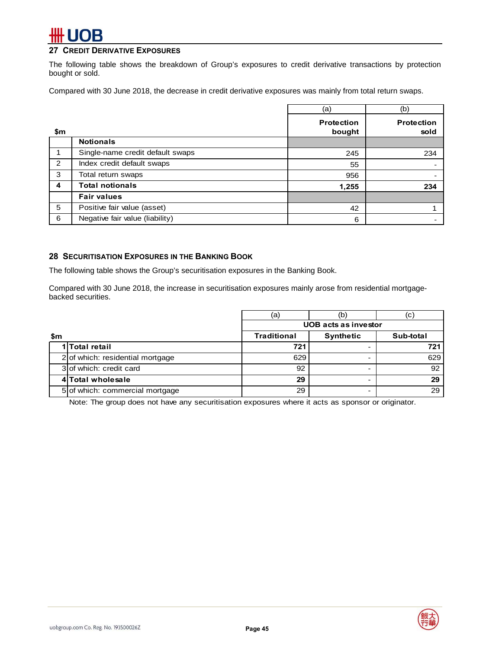# **27 CREDIT DERIVATIVE EXPOSURES**

The following table shows the breakdown of Group's exposures to credit derivative transactions by protection bought or sold.

Compared with 30 June 2018, the decrease in credit derivative exposures was mainly from total return swaps.

|                  |                                  | (a)                         | (b)                       |
|------------------|----------------------------------|-----------------------------|---------------------------|
| \$m              |                                  | <b>Protection</b><br>bought | <b>Protection</b><br>sold |
|                  | <b>Notionals</b>                 |                             |                           |
| 1                | Single-name credit default swaps | 245                         | 234                       |
| 2                | Index credit default swaps       | 55                          |                           |
| 3                | Total return swaps               | 956                         |                           |
| $\boldsymbol{4}$ | <b>Total notionals</b>           | 1,255                       | 234                       |
|                  | <b>Fair values</b>               |                             |                           |
| 5                | Positive fair value (asset)      | 42                          |                           |
| 6                | Negative fair value (liability)  | 6                           |                           |

### **28 SECURITISATION EXPOSURES IN THE BANKING BOOK**

The following table shows the Group's securitisation exposures in the Banking Book.

Compared with 30 June 2018, the increase in securitisation exposures mainly arose from residential mortgagebacked securities.

|     |                                    | (a)                         | (b               | (C)       |  |  |  |  |
|-----|------------------------------------|-----------------------------|------------------|-----------|--|--|--|--|
|     |                                    | <b>UOB</b> acts as investor |                  |           |  |  |  |  |
| \$m |                                    | <b>Traditional</b>          | <b>Synthetic</b> | Sub-total |  |  |  |  |
|     | 1 Total retail                     | 721                         |                  | 721       |  |  |  |  |
|     | $2$ of which: residential mortgage | 629                         |                  | 629       |  |  |  |  |
|     | 3 of which: credit card            | 92                          |                  | 92        |  |  |  |  |
|     | 4 Total wholesale                  | 29                          |                  | 29        |  |  |  |  |
|     | 5 of which: commercial mortgage    | 29                          |                  | 29        |  |  |  |  |

Note: The group does not have any securitisation exposures where it acts as sponsor or originator.

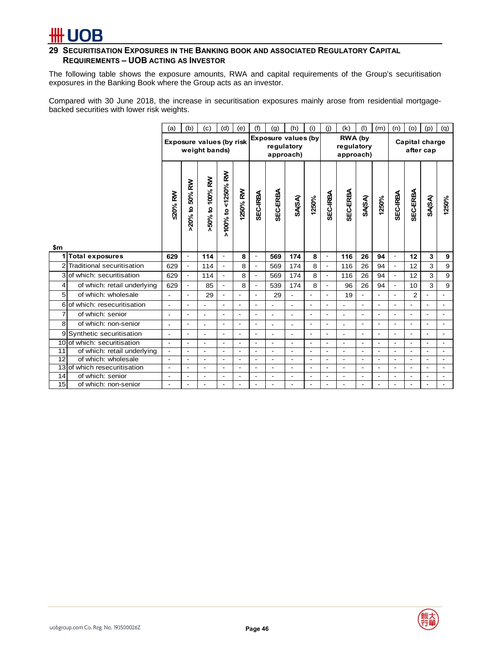

# **29 SECURITISATION EXPOSURES IN THE BANKING BOOK AND ASSOCIATED REGULATORY CAPITAL REQUIREMENTS – UOB ACTING AS INVESTOR**

The following table shows the exposure amounts, RWA and capital requirements of the Group's securitisation exposures in the Banking Book where the Group acts as an investor.

Compared with 30 June 2018, the increase in securitisation exposures mainly arose from residential mortgagebacked securities with lower risk weights.

|                 |                              | (a)                      | (b)                                       | (c)                      | (d)                      | (e)                      | (f)                        | (g)                      | (h)                      | (i)                                | (j)                      | (k)                      | (1)                      | (m)                         | (n)                      | (0)                      | (p)                      | (q)                      |
|-----------------|------------------------------|--------------------------|-------------------------------------------|--------------------------|--------------------------|--------------------------|----------------------------|--------------------------|--------------------------|------------------------------------|--------------------------|--------------------------|--------------------------|-----------------------------|--------------------------|--------------------------|--------------------------|--------------------------|
|                 |                              |                          | Exposure values (by risk<br>weight bands) |                          |                          |                          | <b>Exposure values (by</b> | regulatory<br>approach)  |                          | RWA (by<br>regulatory<br>approach) |                          |                          |                          | Capital charge<br>after cap |                          |                          |                          |                          |
|                 |                              | <b>20% RW</b>            | >20% to 50% RW                            | >50% to 100% RW          | >100% to <1250% RW       | 1250% RW                 | SEC-IRBA                   | SEC-ERBA                 | <b>SA(SA)</b>            | 1250%                              | SEC-IRBA                 | SEC-ERBA                 | <b>SA(SA)</b>            | 1250%                       | SEC-IRBA                 | SEC-ERBA                 | <b>SA(SA)</b>            | 1250%                    |
| \$m<br>1        | <b>Total exposures</b>       | 629                      | $\overline{\phantom{a}}$                  | 114                      | $\overline{\phantom{a}}$ | 8                        | $\overline{\phantom{a}}$   | 569                      | 174                      | 8                                  | $\overline{\phantom{a}}$ | 116                      | 26                       | 94                          | $\overline{\phantom{a}}$ | 12                       | 3                        | 9                        |
|                 | 2 Traditional securitisation | 629                      | $\blacksquare$                            | 114                      |                          | 8                        |                            | 569                      | 174                      | 8                                  | $\blacksquare$           | 116                      | 26                       | 94                          | $\overline{a}$           | 12                       | 3                        | 9                        |
|                 | 3 of which: securitisation   | 629                      | $\blacksquare$                            | 114                      | $\frac{1}{2}$            | 8                        | $\overline{\phantom{a}}$   | 569                      | 174                      | 8                                  | $\overline{\phantom{a}}$ | 116                      | 26                       | 94                          | $\blacksquare$           | 12                       | 3                        | 9                        |
| 4               | of which: retail underlying  | 629                      | $\blacksquare$                            | 85                       | $\overline{\phantom{a}}$ | 8                        | $\overline{\phantom{a}}$   | 539                      | 174                      | 8                                  | $\overline{\phantom{a}}$ | 96                       | 26                       | 94                          | $\overline{\phantom{a}}$ | 10                       | 3                        | 9                        |
| 5               | of which: wholesale          | L,                       | ۰                                         | 29                       | ÷,                       |                          | $\overline{\phantom{a}}$   | 29                       |                          | ٠                                  | $\blacksquare$           | 19                       | $\blacksquare$           | $\blacksquare$              | $\blacksquare$           | $\overline{2}$           |                          | $\overline{a}$           |
|                 | 6 of which: resecuritisation | $\blacksquare$           | ۰                                         |                          | $\blacksquare$           | $\overline{\phantom{a}}$ | $\overline{\phantom{a}}$   | ÷.                       | $\overline{a}$           | $\overline{\phantom{a}}$           | $\blacksquare$           |                          | $\blacksquare$           | $\blacksquare$              | $\overline{a}$           | ۰                        | $\blacksquare$           | $\overline{\phantom{a}}$ |
| $\overline{7}$  | of which: senior             | $\overline{\phantom{0}}$ | ٠                                         |                          | ÷,                       | $\overline{\phantom{a}}$ | $\overline{a}$             | $\overline{a}$           | $\blacksquare$           | $\overline{\phantom{a}}$           | $\blacksquare$           | $\overline{a}$           | $\overline{\phantom{a}}$ | $\blacksquare$              | $\overline{\phantom{a}}$ | ÷.                       | $\overline{\phantom{a}}$ | $\blacksquare$           |
| 8               | of which: non-senior         | $\overline{\phantom{0}}$ | ۰                                         | $\overline{\phantom{a}}$ | ÷,                       | $\overline{\phantom{a}}$ | $\overline{\phantom{a}}$   | $\overline{\phantom{a}}$ | $\overline{\phantom{0}}$ | $\overline{\phantom{a}}$           | $\overline{\phantom{a}}$ | $\overline{\phantom{a}}$ | $\blacksquare$           | $\blacksquare$              | $\overline{\phantom{a}}$ | ۰                        | $\overline{\phantom{a}}$ | $\overline{a}$           |
|                 | 9 Synthetic securitisation   | $\overline{\phantom{0}}$ | ۰                                         |                          | $\overline{\phantom{a}}$ | $\overline{\phantom{a}}$ | $\overline{\phantom{a}}$   | $\overline{\phantom{a}}$ | $\overline{a}$           | $\overline{\phantom{a}}$           | $\blacksquare$           | $\overline{\phantom{a}}$ | $\blacksquare$           | $\overline{\phantom{a}}$    | $\overline{a}$           | ۰                        | $\blacksquare$           | $\blacksquare$           |
|                 | 10 of which: securitisation  | $\blacksquare$           | ۰                                         | $\overline{\phantom{a}}$ | ÷                        | $\overline{a}$           | $\overline{a}$             | $\overline{a}$           | $\overline{a}$           | $\overline{a}$                     | $\overline{a}$           | $\overline{a}$           | $\blacksquare$           | $\blacksquare$              | $\blacksquare$           | ٠                        | $\overline{a}$           | $\blacksquare$           |
| $\overline{11}$ | of which: retail underlying  | $\overline{\phantom{a}}$ | $\blacksquare$                            | $\blacksquare$           | $\blacksquare$           | $\blacksquare$           | $\blacksquare$             | $\blacksquare$           | $\overline{\phantom{a}}$ | $\overline{\phantom{a}}$           | $\overline{\phantom{a}}$ | $\blacksquare$           | $\overline{\phantom{a}}$ | $\blacksquare$              | $\overline{\phantom{a}}$ | ٠                        | $\overline{\phantom{a}}$ | $\blacksquare$           |
| 12              | of which: wholesale          | $\overline{\phantom{a}}$ | ۰                                         | $\overline{\phantom{a}}$ | $\overline{\phantom{a}}$ | $\overline{\phantom{a}}$ | $\overline{\phantom{a}}$   | $\blacksquare$           | $\overline{\phantom{a}}$ | $\overline{\phantom{a}}$           | $\overline{a}$           | $\overline{\phantom{a}}$ | $\overline{\phantom{a}}$ | $\blacksquare$              | $\blacksquare$           | ٠                        | $\overline{a}$           | $\blacksquare$           |
|                 | 13 of which resecuritisation | $\overline{\phantom{a}}$ | ٠                                         | $\overline{\phantom{a}}$ | $\overline{\phantom{a}}$ | $\overline{\phantom{a}}$ | $\overline{\phantom{a}}$   | $\overline{\phantom{a}}$ | $\overline{\phantom{a}}$ | $\overline{\phantom{a}}$           | $\blacksquare$           | $\overline{\phantom{a}}$ | $\overline{\phantom{a}}$ | $\blacksquare$              | $\blacksquare$           | ٠                        | $\blacksquare$           | $\blacksquare$           |
| 14              | of which: senior             | $\overline{\phantom{0}}$ | ٠                                         | $\overline{\phantom{a}}$ | ÷,                       | $\overline{\phantom{a}}$ | $\overline{\phantom{a}}$   | $\overline{\phantom{a}}$ | $\overline{\phantom{a}}$ | $\overline{\phantom{a}}$           | $\overline{a}$           | $\overline{a}$           | $\overline{\phantom{a}}$ | $\overline{\phantom{a}}$    | $\overline{\phantom{a}}$ | $\overline{\phantom{0}}$ | $\overline{\phantom{a}}$ | $\blacksquare$           |
| 15              | of which: non-senior         | $\overline{\phantom{0}}$ |                                           |                          | $\overline{\phantom{a}}$ | $\overline{a}$           | $\overline{\phantom{a}}$   |                          |                          | $\overline{\phantom{a}}$           | $\blacksquare$           |                          | $\overline{a}$           |                             | $\blacksquare$           |                          |                          |                          |

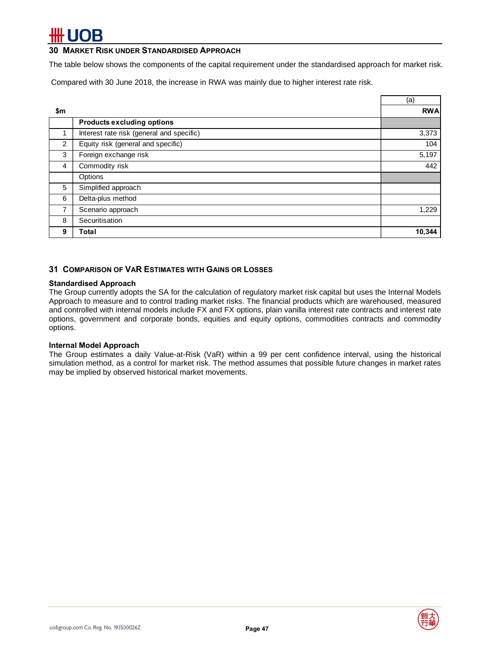### **30 MARKET RISK UNDER STANDARDISED APPROACH**

The table below shows the components of the capital requirement under the standardised approach for market risk.

Compared with 30 June 2018, the increase in RWA was mainly due to higher interest rate risk.

|     |                                           | (a)        |
|-----|-------------------------------------------|------------|
| \$m |                                           | <b>RWA</b> |
|     | <b>Products excluding options</b>         |            |
|     | Interest rate risk (general and specific) | 3,373      |
| 2   | Equity risk (general and specific)        | 104        |
| 3   | Foreign exchange risk                     | 5,197      |
| 4   | Commodity risk                            | 442        |
|     | Options                                   |            |
| 5   | Simplified approach                       |            |
| 6   | Delta-plus method                         |            |
| 7   | Scenario approach                         | 1,229      |
| 8   | Securitisation                            |            |
| 9   | Total                                     | 10,344     |

### **31 COMPARISON OF VAR ESTIMATES WITH GAINS OR LOSSES**

### **Standardised Approach**

The Group currently adopts the SA for the calculation of regulatory market risk capital but uses the Internal Models Approach to measure and to control trading market risks. The financial products which are warehoused, measured and controlled with internal models include FX and FX options, plain vanilla interest rate contracts and interest rate options, government and corporate bonds, equities and equity options, commodities contracts and commodity options.

### **Internal Model Approach**

The Group estimates a daily Value-at-Risk (VaR) within a 99 per cent confidence interval, using the historical simulation method, as a control for market risk. The method assumes that possible future changes in market rates may be implied by observed historical market movements.

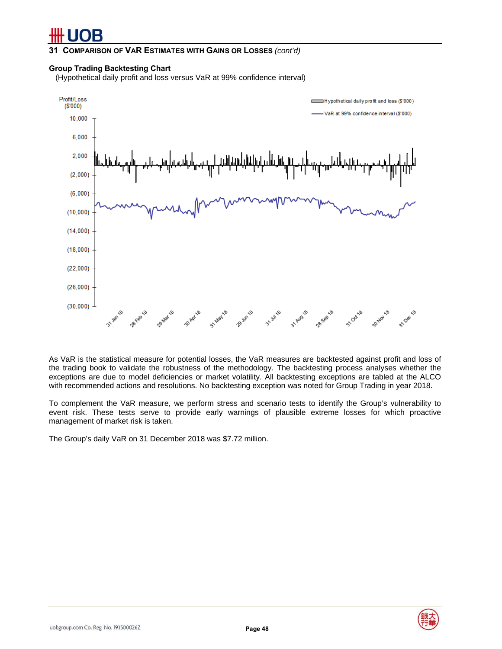**31 COMPARISON OF VAR ESTIMATES WITH GAINS OR LOSSES** *(cont'd)* 

### **Group Trading Backtesting Chart**

(Hypothetical daily profit and loss versus VaR at 99% confidence interval)



As VaR is the statistical measure for potential losses, the VaR measures are backtested against profit and loss of the trading book to validate the robustness of the methodology. The backtesting process analyses whether the exceptions are due to model deficiencies or market volatility. All backtesting exceptions are tabled at the ALCO with recommended actions and resolutions. No backtesting exception was noted for Group Trading in year 2018.

To complement the VaR measure, we perform stress and scenario tests to identify the Group's vulnerability to event risk. These tests serve to provide early warnings of plausible extreme losses for which proactive management of market risk is taken.

The Group's daily VaR on 31 December 2018 was \$7.72 million.

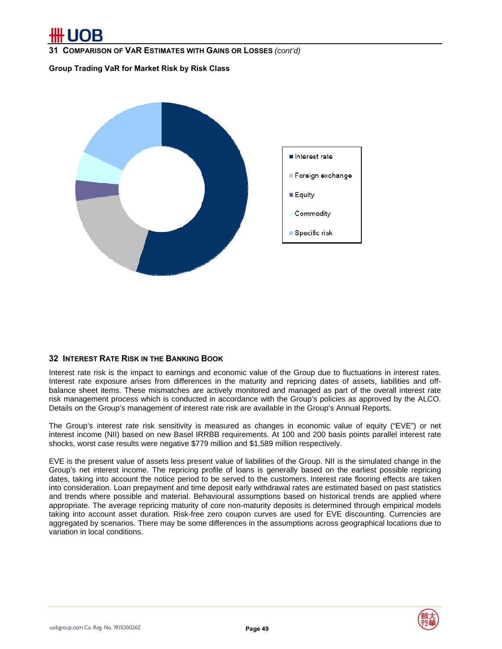**31 COMPARISON OF VAR ESTIMATES WITH GAINS OR LOSSES** *(cont'd)*

**Group Trading VaR for Market Risk by Risk Class** 



# **32 INTEREST RATE RISK IN THE BANKING BOOK**

Interest rate risk is the impact to earnings and economic value of the Group due to fluctuations in interest rates. Interest rate exposure arises from differences in the maturity and repricing dates of assets, liabilities and offbalance sheet items. These mismatches are actively monitored and managed as part of the overall interest rate risk management process which is conducted in accordance with the Group's policies as approved by the ALCO. Details on the Group's management of interest rate risk are available in the Group's Annual Reports.

The Group's interest rate risk sensitivity is measured as changes in economic value of equity ("EVE") or net interest income (NII) based on new Basel IRRBB requirements. At 100 and 200 basis points parallel interest rate shocks, worst case results were negative \$779 million and \$1,589 million respectively.

EVE is the present value of assets less present value of liabilities of the Group. NII is the simulated change in the Group's net interest income. The repricing profile of loans is generally based on the earliest possible repricing dates, taking into account the notice period to be served to the customers. Interest rate flooring effects are taken into consideration. Loan prepayment and time deposit early withdrawal rates are estimated based on past statistics and trends where possible and material. Behavioural assumptions based on historical trends are applied where appropriate. The average repricing maturity of core non-maturity deposits is determined through empirical models taking into account asset duration. Risk-free zero coupon curves are used for EVE discounting. Currencies are aggregated by scenarios. There may be some differences in the assumptions across geographical locations due to variation in local conditions.

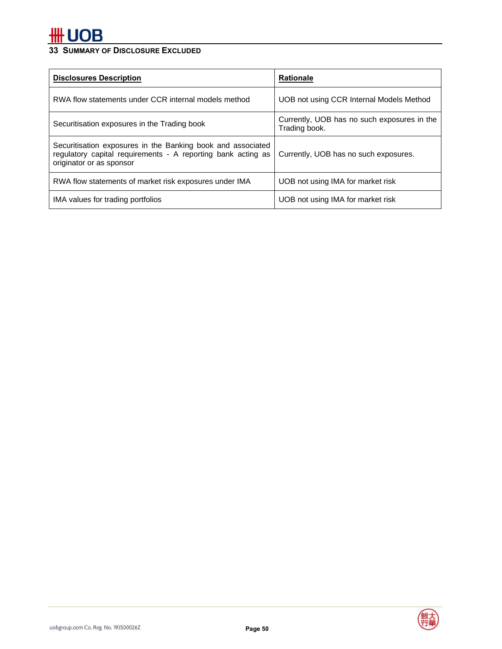# **33 SUMMARY OF DISCLOSURE EXCLUDED**

| <b>Disclosures Description</b>                                                                                                                          | <b>Rationale</b>                                             |
|---------------------------------------------------------------------------------------------------------------------------------------------------------|--------------------------------------------------------------|
| RWA flow statements under CCR internal models method                                                                                                    | UOB not using CCR Internal Models Method                     |
| Securitisation exposures in the Trading book                                                                                                            | Currently, UOB has no such exposures in the<br>Trading book. |
| Securitisation exposures in the Banking book and associated<br>regulatory capital requirements - A reporting bank acting as<br>originator or as sponsor | Currently, UOB has no such exposures.                        |
| RWA flow statements of market risk exposures under IMA                                                                                                  | UOB not using IMA for market risk                            |
| IMA values for trading portfolios                                                                                                                       | UOB not using IMA for market risk                            |

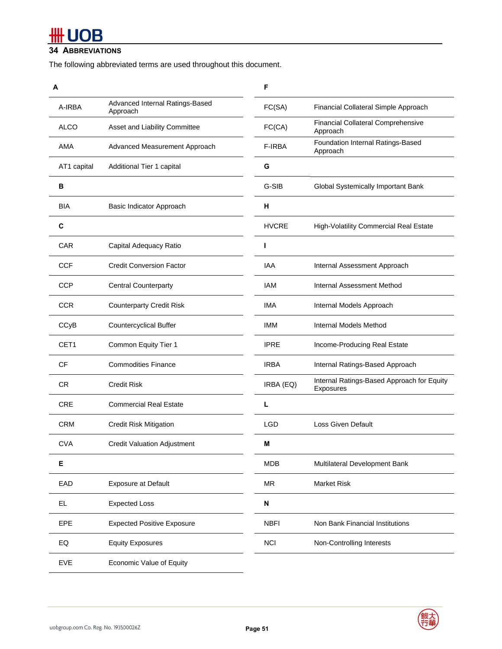# **#H UOB**

# **34 ABBREVIATIONS**

The following abbreviated terms are used throughout this document.

| A           |                                             | F            |                                                         |
|-------------|---------------------------------------------|--------------|---------------------------------------------------------|
| A-IRBA      | Advanced Internal Ratings-Based<br>Approach | FC(SA)       | Financial Collateral Simple Approach                    |
| <b>ALCO</b> | Asset and Liability Committee               | FC(CA)       | <b>Financial Collateral Comprehensive</b><br>Approach   |
| AMA         | Advanced Measurement Approach               | F-IRBA       | Foundation Internal Ratings-Based<br>Approach           |
| AT1 capital | Additional Tier 1 capital                   | G            |                                                         |
| в           |                                             | G-SIB        | Global Systemically Important Bank                      |
| BIA         | Basic Indicator Approach                    | н            |                                                         |
| C           |                                             | <b>HVCRE</b> | High-Volatility Commercial Real Estate                  |
| <b>CAR</b>  | Capital Adequacy Ratio                      |              |                                                         |
| CCF         | <b>Credit Conversion Factor</b>             | IAA          | Internal Assessment Approach                            |
| <b>CCP</b>  | <b>Central Counterparty</b>                 | <b>IAM</b>   | Internal Assessment Method                              |
| <b>CCR</b>  | <b>Counterparty Credit Risk</b>             | <b>IMA</b>   | Internal Models Approach                                |
| CCyB        | Countercyclical Buffer                      | <b>IMM</b>   | Internal Models Method                                  |
| CET1        | Common Equity Tier 1                        | <b>IPRE</b>  | Income-Producing Real Estate                            |
| <b>CF</b>   | <b>Commodities Finance</b>                  | <b>IRBA</b>  | Internal Ratings-Based Approach                         |
| <b>CR</b>   | <b>Credit Risk</b>                          | IRBA (EQ)    | Internal Ratings-Based Approach for Equity<br>Exposures |
| <b>CRE</b>  | <b>Commercial Real Estate</b>               | L            |                                                         |
| <b>CRM</b>  | <b>Credit Risk Mitigation</b>               | LGD          | <b>Loss Given Default</b>                               |
| <b>CVA</b>  | <b>Credit Valuation Adjustment</b>          | Μ            |                                                         |
| E           |                                             | <b>MDB</b>   | Multilateral Development Bank                           |
| EAD         | <b>Exposure at Default</b>                  | <b>MR</b>    | <b>Market Risk</b>                                      |
| <b>EL</b>   | <b>Expected Loss</b>                        | N            |                                                         |
| EPE         | <b>Expected Positive Exposure</b>           | <b>NBFI</b>  | Non Bank Financial Institutions                         |
| EQ          | <b>Equity Exposures</b>                     | <b>NCI</b>   | Non-Controlling Interests                               |
| <b>EVE</b>  | Economic Value of Equity                    |              |                                                         |